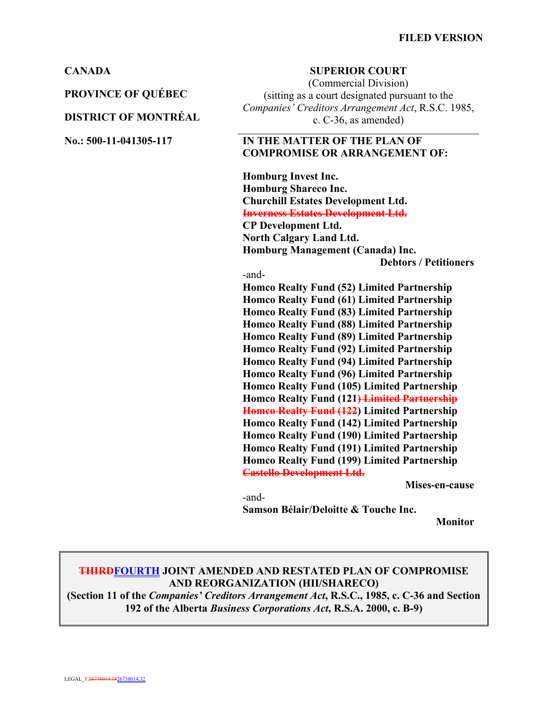**PROVINCE OF QUÉBEC**

#### **DISTRICT OF MONTRÉAL**

#### **CANADA SUPERIOR COURT**

(Commercial Division) (sitting as a court designated pursuant to the *Companies' Creditors Arrangement Act*, R.S.C. 1985, c. C-36, as amended)

#### **No.: 500-11-041305-117 IN THE MATTER OF THE PLAN OF COMPROMISE OR ARRANGEMENT OF:**

**Homburg Invest Inc. Homburg Shareco Inc. Churchill Estates Development Ltd. Inverness Estates Development Ltd. CP Development Ltd. North Calgary Land Ltd. Homburg Management (Canada) Inc. Debtors / Petitioners**

#### -and-

**Homco Realty Fund (52) Limited Partnership Homco Realty Fund (61) Limited Partnership Homco Realty Fund (83) Limited Partnership Homco Realty Fund (88) Limited Partnership Homco Realty Fund (89) Limited Partnership Homco Realty Fund (92) Limited Partnership Homco Realty Fund (94) Limited Partnership Homco Realty Fund (96) Limited Partnership Homco Realty Fund (105) Limited Partnership Homco Realty Fund (121) Limited Partnership Homco Realty Fund (122) Limited Partnership Homco Realty Fund (142) Limited Partnership Homco Realty Fund (190) Limited Partnership Homco Realty Fund (191) Limited Partnership Homco Realty Fund (199) Limited Partnership Castello Development Ltd.**

**Mises-en-cause**

-and-**Samson Bélair/Deloitte & Touche Inc.** 

**Monitor**

### **THIRDFOURTH JOINT AMENDED AND RESTATED PLAN OF COMPROMISE AND REORGANIZATION (HII/SHARECO)**

**(Section 11 of the** *Companies' Creditors Arrangement Act***, R.S.C., 1985, c. C-36 and Section 192 of the Alberta** *Business Corporations Act***, R.S.A. 2000, c. B-9)**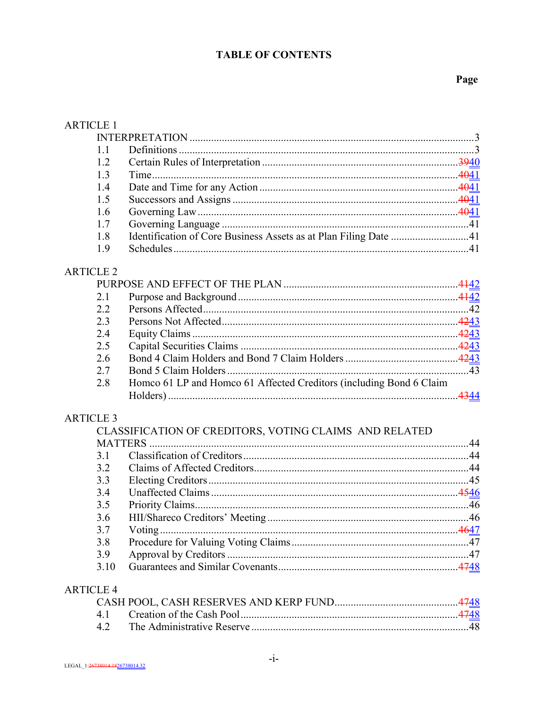# **TABLE OF CONTENTS**

# Page

| <b>ARTICLE 1</b> |                                                                     |  |
|------------------|---------------------------------------------------------------------|--|
|                  |                                                                     |  |
| 1.1              |                                                                     |  |
| 1.2              |                                                                     |  |
| 1.3              |                                                                     |  |
| 1.4              |                                                                     |  |
| 1.5              |                                                                     |  |
| 1.6              |                                                                     |  |
| 1.7              |                                                                     |  |
| 1.8              | Identification of Core Business Assets as at Plan Filing Date 41    |  |
| 1.9              |                                                                     |  |
| <b>ARTICLE 2</b> |                                                                     |  |
|                  |                                                                     |  |
| 2.1              |                                                                     |  |
| 2.2              |                                                                     |  |
| 2.3              |                                                                     |  |
| 2.4              |                                                                     |  |
| 2.5              |                                                                     |  |
| 2.6              |                                                                     |  |
| 2.7              |                                                                     |  |
| 2.8              | Homco 61 LP and Homco 61 Affected Creditors (including Bond 6 Claim |  |
| <b>ARTICLE 3</b> |                                                                     |  |
|                  | CLASSIFICATION OF CREDITORS, VOTING CLAIMS AND RELATED              |  |
| <b>MATTERS</b>   |                                                                     |  |
| 3.1              |                                                                     |  |
| 3.2              |                                                                     |  |
| 3.3              |                                                                     |  |
| 3.4              |                                                                     |  |
| 3.5              |                                                                     |  |
| 3.6              |                                                                     |  |
| 3.7              |                                                                     |  |
| 3.8              |                                                                     |  |
| 3.9              |                                                                     |  |
| 3.10             |                                                                     |  |
| <b>ARTICLE 4</b> |                                                                     |  |
|                  |                                                                     |  |
| 4.1              |                                                                     |  |
| 4.2              |                                                                     |  |
|                  |                                                                     |  |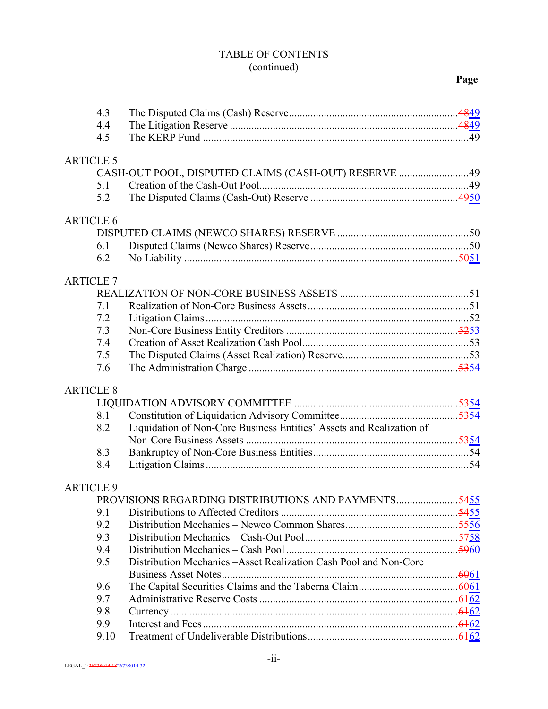# TABLE OF CONTENTS (continued)

# **Page**

| 4.4<br>4.5<br><b>ARTICLE 5</b><br>CASH-OUT POOL, DISPUTED CLAIMS (CASH-OUT) RESERVE 49<br>5.1<br>5.2<br><b>ARTICLE 6</b><br>6.1<br>6.2 |  |
|----------------------------------------------------------------------------------------------------------------------------------------|--|
|                                                                                                                                        |  |
|                                                                                                                                        |  |
|                                                                                                                                        |  |
|                                                                                                                                        |  |
|                                                                                                                                        |  |
|                                                                                                                                        |  |
|                                                                                                                                        |  |
|                                                                                                                                        |  |
|                                                                                                                                        |  |
|                                                                                                                                        |  |
| <b>ARTICLE 7</b>                                                                                                                       |  |
|                                                                                                                                        |  |
| 7.1                                                                                                                                    |  |
| 7.2                                                                                                                                    |  |
| 7.3                                                                                                                                    |  |
| 7.4                                                                                                                                    |  |
| 7.5                                                                                                                                    |  |
| 7.6                                                                                                                                    |  |
| <b>ARTICLE 8</b>                                                                                                                       |  |
|                                                                                                                                        |  |
| 8.1                                                                                                                                    |  |
| Liquidation of Non-Core Business Entities' Assets and Realization of<br>8.2                                                            |  |
|                                                                                                                                        |  |
| 8.3                                                                                                                                    |  |
| 8.4                                                                                                                                    |  |
|                                                                                                                                        |  |
| <b>ARTICLE 9</b>                                                                                                                       |  |
| PROVISIONS REGARDING DISTRIBUTIONS AND PAYMENTS5455                                                                                    |  |
| 9.1                                                                                                                                    |  |
| 9.2                                                                                                                                    |  |
| 9.3                                                                                                                                    |  |
| 9.4<br>Distribution Mechanics - Asset Realization Cash Pool and Non-Core                                                               |  |
| 9.5                                                                                                                                    |  |
| 9.6                                                                                                                                    |  |
| 9.7                                                                                                                                    |  |
| 9.8                                                                                                                                    |  |
| 9.9                                                                                                                                    |  |
| 9.10                                                                                                                                   |  |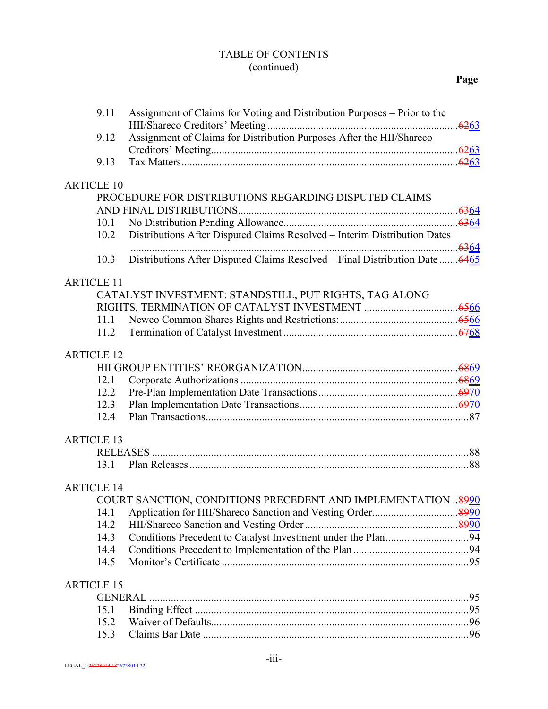### TABLE OF CONTENTS (continued)

| 9.11              | Assignment of Claims for Voting and Distribution Purposes - Prior to the     |  |
|-------------------|------------------------------------------------------------------------------|--|
| 9.12              | Assignment of Claims for Distribution Purposes After the HII/Shareco         |  |
| 9.13              |                                                                              |  |
| <b>ARTICLE 10</b> |                                                                              |  |
|                   | PROCEDURE FOR DISTRIBUTIONS REGARDING DISPUTED CLAIMS                        |  |
|                   |                                                                              |  |
| 10.1              |                                                                              |  |
| 10.2              | Distributions After Disputed Claims Resolved - Interim Distribution Dates    |  |
|                   |                                                                              |  |
| 10.3              | Distributions After Disputed Claims Resolved – Final Distribution Date  6465 |  |
| <b>ARTICLE 11</b> |                                                                              |  |
|                   | CATALYST INVESTMENT: STANDSTILL, PUT RIGHTS, TAG ALONG                       |  |
|                   |                                                                              |  |
| 11.1              |                                                                              |  |
| 11.2              |                                                                              |  |
| <b>ARTICLE 12</b> |                                                                              |  |
|                   |                                                                              |  |
| 12.1              |                                                                              |  |
| 12.2              |                                                                              |  |
| 12.3              |                                                                              |  |
| 12.4              |                                                                              |  |
| <b>ARTICLE 13</b> |                                                                              |  |
|                   |                                                                              |  |
| 13.1              |                                                                              |  |
| <b>ARTICLE 14</b> |                                                                              |  |
|                   | COURT SANCTION, CONDITIONS PRECEDENT AND IMPLEMENTATION  8990                |  |
| 14.1              |                                                                              |  |
| 14.2              |                                                                              |  |
| 14.3              |                                                                              |  |
| 14.4              |                                                                              |  |
| 14.5              |                                                                              |  |
| <b>ARTICLE 15</b> |                                                                              |  |
| <b>GENERAL</b>    |                                                                              |  |
| 15.1              |                                                                              |  |
| 15.2              |                                                                              |  |
| 15.3              |                                                                              |  |
|                   |                                                                              |  |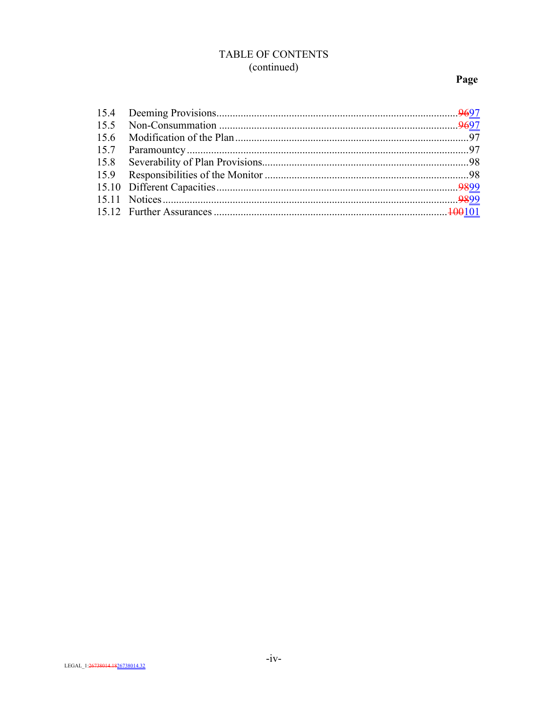# TABLE OF CONTENTS (continued)

# Page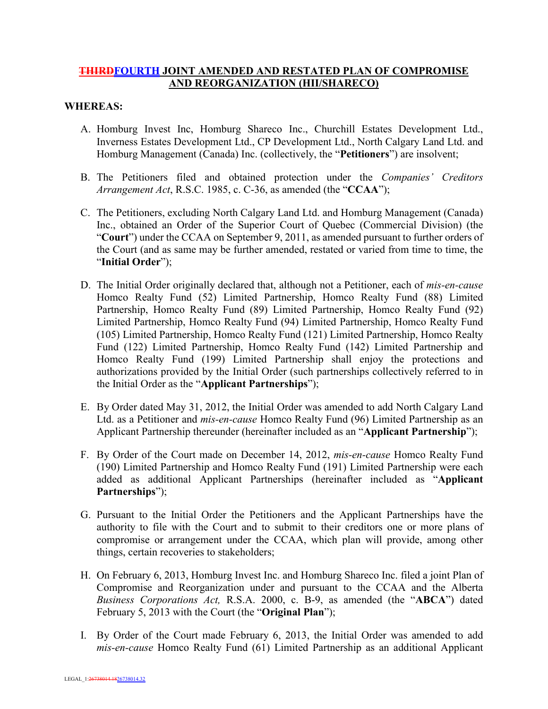### **THIRDFOURTH JOINT AMENDED AND RESTATED PLAN OF COMPROMISE AND REORGANIZATION (HII/SHARECO)**

#### **WHEREAS:**

- A. Homburg Invest Inc, Homburg Shareco Inc., Churchill Estates Development Ltd., Inverness Estates Development Ltd., CP Development Ltd., North Calgary Land Ltd. and Homburg Management (Canada) Inc. (collectively, the "**Petitioners**") are insolvent;
- B. The Petitioners filed and obtained protection under the *Companies' Creditors Arrangement Act*, R.S.C. 1985, c. C-36, as amended (the "**CCAA**");
- C. The Petitioners, excluding North Calgary Land Ltd. and Homburg Management (Canada) Inc., obtained an Order of the Superior Court of Quebec (Commercial Division) (the "**Court**") under the CCAA on September 9, 2011, as amended pursuant to further orders of the Court (and as same may be further amended, restated or varied from time to time, the "**Initial Order**");
- D. The Initial Order originally declared that, although not a Petitioner, each of *mis-en-cause* Homco Realty Fund (52) Limited Partnership, Homco Realty Fund (88) Limited Partnership, Homco Realty Fund (89) Limited Partnership, Homco Realty Fund (92) Limited Partnership, Homco Realty Fund (94) Limited Partnership, Homco Realty Fund (105) Limited Partnership, Homco Realty Fund (121) Limited Partnership, Homco Realty Fund (122) Limited Partnership, Homco Realty Fund (142) Limited Partnership and Homco Realty Fund (199) Limited Partnership shall enjoy the protections and authorizations provided by the Initial Order (such partnerships collectively referred to in the Initial Order as the "**Applicant Partnerships**");
- E. By Order dated May 31, 2012, the Initial Order was amended to add North Calgary Land Ltd. as a Petitioner and *mis-en-cause* Homco Realty Fund (96) Limited Partnership as an Applicant Partnership thereunder (hereinafter included as an "**Applicant Partnership**");
- F. By Order of the Court made on December 14, 2012, *mis-en-cause* Homco Realty Fund (190) Limited Partnership and Homco Realty Fund (191) Limited Partnership were each added as additional Applicant Partnerships (hereinafter included as "**Applicant Partnerships**");
- G. Pursuant to the Initial Order the Petitioners and the Applicant Partnerships have the authority to file with the Court and to submit to their creditors one or more plans of compromise or arrangement under the CCAA, which plan will provide, among other things, certain recoveries to stakeholders;
- H. On February 6, 2013, Homburg Invest Inc. and Homburg Shareco Inc. filed a joint Plan of Compromise and Reorganization under and pursuant to the CCAA and the Alberta *Business Corporations Act,* R.S.A. 2000, c. B-9, as amended (the "**ABCA**") dated February 5, 2013 with the Court (the "**Original Plan**");
- I. By Order of the Court made February 6, 2013, the Initial Order was amended to add *mis-en-cause* Homco Realty Fund (61) Limited Partnership as an additional Applicant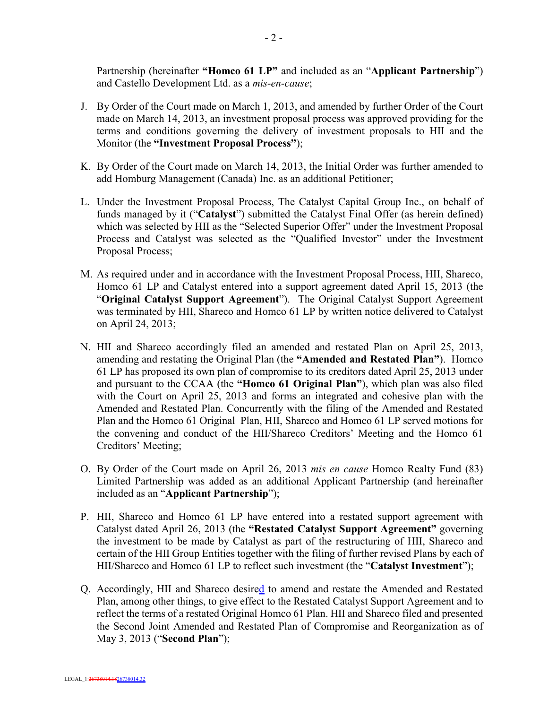Partnership (hereinafter **"Homco 61 LP"** and included as an "**Applicant Partnership**") and Castello Development Ltd. as a *mis-en-cause*;

- J. By Order of the Court made on March 1, 2013, and amended by further Order of the Court made on March 14, 2013, an investment proposal process was approved providing for the terms and conditions governing the delivery of investment proposals to HII and the Monitor (the **"Investment Proposal Process"**);
- K. By Order of the Court made on March 14, 2013, the Initial Order was further amended to add Homburg Management (Canada) Inc. as an additional Petitioner;
- L. Under the Investment Proposal Process, The Catalyst Capital Group Inc., on behalf of funds managed by it ("**Catalyst**") submitted the Catalyst Final Offer (as herein defined) which was selected by HII as the "Selected Superior Offer" under the Investment Proposal Process and Catalyst was selected as the "Qualified Investor" under the Investment Proposal Process;
- M. As required under and in accordance with the Investment Proposal Process, HII, Shareco, Homco 61 LP and Catalyst entered into a support agreement dated April 15, 2013 (the "**Original Catalyst Support Agreement**"). The Original Catalyst Support Agreement was terminated by HII, Shareco and Homco 61 LP by written notice delivered to Catalyst on April 24, 2013;
- N. HII and Shareco accordingly filed an amended and restated Plan on April 25, 2013, amending and restating the Original Plan (the **"Amended and Restated Plan"**). Homco 61 LP has proposed its own plan of compromise to its creditors dated April 25, 2013 under and pursuant to the CCAA (the **"Homco 61 Original Plan"**), which plan was also filed with the Court on April 25, 2013 and forms an integrated and cohesive plan with the Amended and Restated Plan. Concurrently with the filing of the Amended and Restated Plan and the Homco 61 Original Plan, HII, Shareco and Homco 61 LP served motions for the convening and conduct of the HII/Shareco Creditors' Meeting and the Homco 61 Creditors' Meeting;
- O. By Order of the Court made on April 26, 2013 *mis en cause* Homco Realty Fund (83) Limited Partnership was added as an additional Applicant Partnership (and hereinafter included as an "**Applicant Partnership**");
- P. HII, Shareco and Homco 61 LP have entered into a restated support agreement with Catalyst dated April 26, 2013 (the **"Restated Catalyst Support Agreement"** governing the investment to be made by Catalyst as part of the restructuring of HII, Shareco and certain of the HII Group Entities together with the filing of further revised Plans by each of HII/Shareco and Homco 61 LP to reflect such investment (the "**Catalyst Investment**");
- Q. Accordingly, HII and Shareco desired to amend and restate the Amended and Restated Plan, among other things, to give effect to the Restated Catalyst Support Agreement and to reflect the terms of a restated Original Homco 61 Plan. HII and Shareco filed and presented the Second Joint Amended and Restated Plan of Compromise and Reorganization as of May 3, 2013 ("**Second Plan**");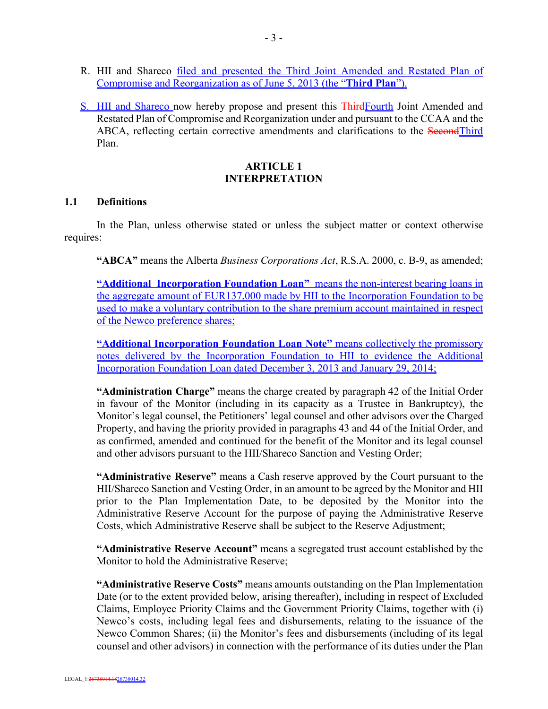- R. HII and Shareco filed and presented the Third Joint Amended and Restated Plan of Compromise and Reorganization as of June 5, 2013 (the "**Third Plan**").
- S. HII and Shareco now hereby propose and present this ThirdFourth Joint Amended and Restated Plan of Compromise and Reorganization under and pursuant to the CCAA and the ABCA, reflecting certain corrective amendments and clarifications to the SecondThird Plan.

### **ARTICLE 1 INTERPRETATION**

#### **1.1 Definitions**

In the Plan, unless otherwise stated or unless the subject matter or context otherwise requires:

**"ABCA"** means the Alberta *Business Corporations Act*, R.S.A. 2000, c. B-9, as amended;

**"Additional Incorporation Foundation Loan"** means the non-interest bearing loans in the aggregate amount of EUR137,000 made by HII to the Incorporation Foundation to be used to make a voluntary contribution to the share premium account maintained in respect of the Newco preference shares;

**"Additional Incorporation Foundation Loan Note"** means collectively the promissory notes delivered by the Incorporation Foundation to HII to evidence the Additional Incorporation Foundation Loan dated December 3, 2013 and January 29, 2014;

**"Administration Charge"** means the charge created by paragraph 42 of the Initial Order in favour of the Monitor (including in its capacity as a Trustee in Bankruptcy), the Monitor's legal counsel, the Petitioners' legal counsel and other advisors over the Charged Property, and having the priority provided in paragraphs 43 and 44 of the Initial Order, and as confirmed, amended and continued for the benefit of the Monitor and its legal counsel and other advisors pursuant to the HII/Shareco Sanction and Vesting Order;

**"Administrative Reserve"** means a Cash reserve approved by the Court pursuant to the HII/Shareco Sanction and Vesting Order, in an amount to be agreed by the Monitor and HII prior to the Plan Implementation Date, to be deposited by the Monitor into the Administrative Reserve Account for the purpose of paying the Administrative Reserve Costs, which Administrative Reserve shall be subject to the Reserve Adjustment;

**"Administrative Reserve Account"** means a segregated trust account established by the Monitor to hold the Administrative Reserve;

**"Administrative Reserve Costs"** means amounts outstanding on the Plan Implementation Date (or to the extent provided below, arising thereafter), including in respect of Excluded Claims, Employee Priority Claims and the Government Priority Claims, together with (i) Newco's costs, including legal fees and disbursements, relating to the issuance of the Newco Common Shares; (ii) the Monitor's fees and disbursements (including of its legal counsel and other advisors) in connection with the performance of its duties under the Plan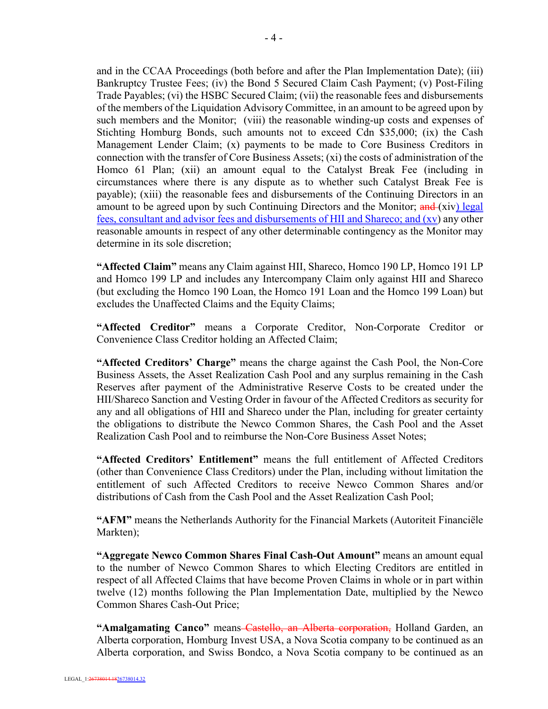and in the CCAA Proceedings (both before and after the Plan Implementation Date); (iii) Bankruptcy Trustee Fees; (iv) the Bond 5 Secured Claim Cash Payment; (v) Post-Filing Trade Payables; (vi) the HSBC Secured Claim; (vii) the reasonable fees and disbursements of the members of the Liquidation Advisory Committee, in an amount to be agreed upon by such members and the Monitor; (viii) the reasonable winding-up costs and expenses of Stichting Homburg Bonds, such amounts not to exceed Cdn \$35,000; (ix) the Cash Management Lender Claim; (x) payments to be made to Core Business Creditors in connection with the transfer of Core Business Assets; (xi) the costs of administration of the Homco 61 Plan; (xii) an amount equal to the Catalyst Break Fee (including in circumstances where there is any dispute as to whether such Catalyst Break Fee is payable); (xiii) the reasonable fees and disbursements of the Continuing Directors in an amount to be agreed upon by such Continuing Directors and the Monitor; and (xiv) legal fees, consultant and advisor fees and disbursements of HII and Shareco; and (xv) any other reasonable amounts in respect of any other determinable contingency as the Monitor may determine in its sole discretion;

**"Affected Claim"** means any Claim against HII, Shareco, Homco 190 LP, Homco 191 LP and Homco 199 LP and includes any Intercompany Claim only against HII and Shareco (but excluding the Homco 190 Loan, the Homco 191 Loan and the Homco 199 Loan) but excludes the Unaffected Claims and the Equity Claims;

**"Affected Creditor"** means a Corporate Creditor, Non-Corporate Creditor or Convenience Class Creditor holding an Affected Claim;

**"Affected Creditors' Charge"** means the charge against the Cash Pool, the Non-Core Business Assets, the Asset Realization Cash Pool and any surplus remaining in the Cash Reserves after payment of the Administrative Reserve Costs to be created under the HII/Shareco Sanction and Vesting Order in favour of the Affected Creditors as security for any and all obligations of HII and Shareco under the Plan, including for greater certainty the obligations to distribute the Newco Common Shares, the Cash Pool and the Asset Realization Cash Pool and to reimburse the Non-Core Business Asset Notes;

**"Affected Creditors' Entitlement"** means the full entitlement of Affected Creditors (other than Convenience Class Creditors) under the Plan, including without limitation the entitlement of such Affected Creditors to receive Newco Common Shares and/or distributions of Cash from the Cash Pool and the Asset Realization Cash Pool;

**"AFM"** means the Netherlands Authority for the Financial Markets (Autoriteit Financiële Markten);

**"Aggregate Newco Common Shares Final Cash-Out Amount"** means an amount equal to the number of Newco Common Shares to which Electing Creditors are entitled in respect of all Affected Claims that have become Proven Claims in whole or in part within twelve (12) months following the Plan Implementation Date, multiplied by the Newco Common Shares Cash-Out Price;

**"Amalgamating Canco"** means Castello, an Alberta corporation, Holland Garden, an Alberta corporation, Homburg Invest USA, a Nova Scotia company to be continued as an Alberta corporation, and Swiss Bondco, a Nova Scotia company to be continued as an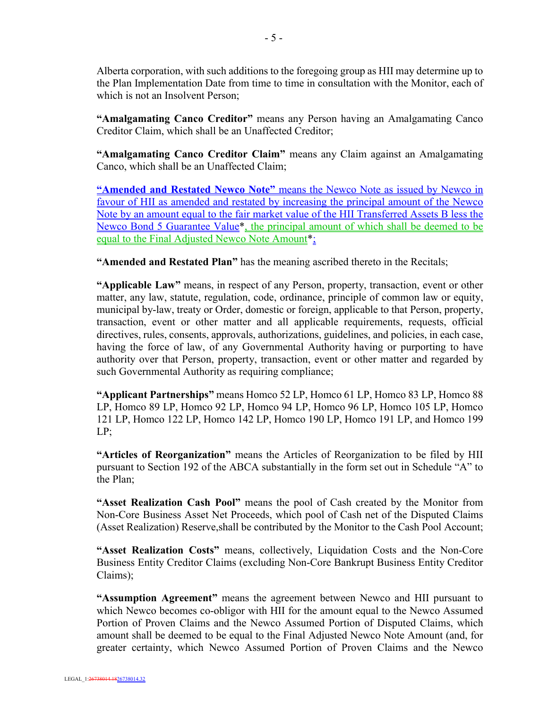Alberta corporation, with such additions to the foregoing group as HII may determine up to the Plan Implementation Date from time to time in consultation with the Monitor, each of which is not an Insolvent Person;

**"Amalgamating Canco Creditor"** means any Person having an Amalgamating Canco Creditor Claim, which shall be an Unaffected Creditor;

**"Amalgamating Canco Creditor Claim"** means any Claim against an Amalgamating Canco, which shall be an Unaffected Claim;

**"Amended and Restated Newco Note"** means the Newco Note as issued by Newco in favour of HII as amended and restated by increasing the principal amount of the Newco Note by an amount equal to the fair market value of the HII Transferred Assets B less the Newco Bond 5 Guarantee Value\*, the principal amount of which shall be deemed to be equal to the Final Adjusted Newco Note Amount\*;

**"Amended and Restated Plan"** has the meaning ascribed thereto in the Recitals;

**"Applicable Law"** means, in respect of any Person, property, transaction, event or other matter, any law, statute, regulation, code, ordinance, principle of common law or equity, municipal by-law, treaty or Order, domestic or foreign, applicable to that Person, property, transaction, event or other matter and all applicable requirements, requests, official directives, rules, consents, approvals, authorizations, guidelines, and policies, in each case, having the force of law, of any Governmental Authority having or purporting to have authority over that Person, property, transaction, event or other matter and regarded by such Governmental Authority as requiring compliance;

**"Applicant Partnerships"** means Homco 52 LP, Homco 61 LP, Homco 83 LP, Homco 88 LP, Homco 89 LP, Homco 92 LP, Homco 94 LP, Homco 96 LP, Homco 105 LP, Homco 121 LP, Homco 122 LP, Homco 142 LP, Homco 190 LP, Homco 191 LP, and Homco 199 LP;

**"Articles of Reorganization"** means the Articles of Reorganization to be filed by HII pursuant to Section 192 of the ABCA substantially in the form set out in Schedule "A" to the Plan;

**"Asset Realization Cash Pool"** means the pool of Cash created by the Monitor from Non-Core Business Asset Net Proceeds, which pool of Cash net of the Disputed Claims (Asset Realization) Reserve,shall be contributed by the Monitor to the Cash Pool Account;

**"Asset Realization Costs"** means, collectively, Liquidation Costs and the Non-Core Business Entity Creditor Claims (excluding Non-Core Bankrupt Business Entity Creditor Claims);

**"Assumption Agreement"** means the agreement between Newco and HII pursuant to which Newco becomes co-obligor with HII for the amount equal to the Newco Assumed Portion of Proven Claims and the Newco Assumed Portion of Disputed Claims, which amount shall be deemed to be equal to the Final Adjusted Newco Note Amount (and, for greater certainty, which Newco Assumed Portion of Proven Claims and the Newco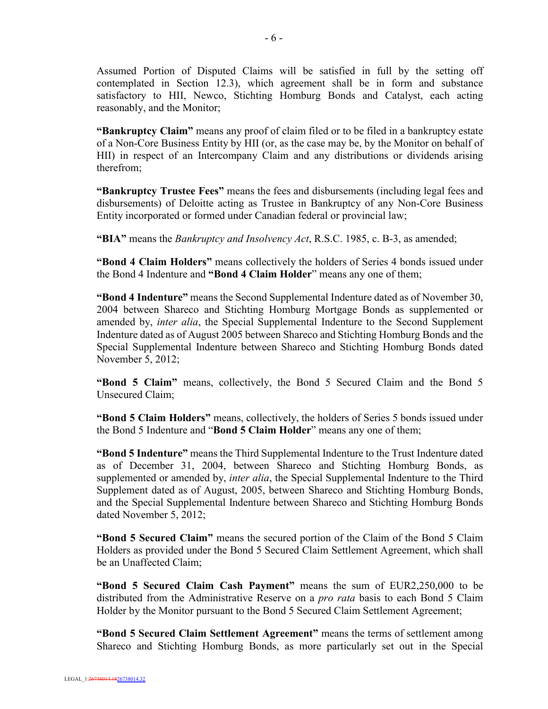Assumed Portion of Disputed Claims will be satisfied in full by the setting off contemplated in Section 12.3), which agreement shall be in form and substance satisfactory to HII, Newco, Stichting Homburg Bonds and Catalyst, each acting reasonably, and the Monitor;

**"Bankruptcy Claim"** means any proof of claim filed or to be filed in a bankruptcy estate of a Non-Core Business Entity by HII (or, as the case may be, by the Monitor on behalf of HII) in respect of an Intercompany Claim and any distributions or dividends arising therefrom;

**"Bankruptcy Trustee Fees"** means the fees and disbursements (including legal fees and disbursements) of Deloitte acting as Trustee in Bankruptcy of any Non-Core Business Entity incorporated or formed under Canadian federal or provincial law;

**"BIA"** means the *Bankruptcy and Insolvency Act*, R.S.C. 1985, c. B-3, as amended;

**"Bond 4 Claim Holders"** means collectively the holders of Series 4 bonds issued under the Bond 4 Indenture and **"Bond 4 Claim Holder**" means any one of them;

**"Bond 4 Indenture"** means the Second Supplemental Indenture dated as of November 30, 2004 between Shareco and Stichting Homburg Mortgage Bonds as supplemented or amended by, *inter alia*, the Special Supplemental Indenture to the Second Supplement Indenture dated as of August 2005 between Shareco and Stichting Homburg Bonds and the Special Supplemental Indenture between Shareco and Stichting Homburg Bonds dated November 5, 2012;

**"Bond 5 Claim"** means, collectively, the Bond 5 Secured Claim and the Bond 5 Unsecured Claim;

**"Bond 5 Claim Holders"** means, collectively, the holders of Series 5 bonds issued under the Bond 5 Indenture and "**Bond 5 Claim Holder**" means any one of them;

**"Bond 5 Indenture"** means the Third Supplemental Indenture to the Trust Indenture dated as of December 31, 2004, between Shareco and Stichting Homburg Bonds, as supplemented or amended by, *inter alia*, the Special Supplemental Indenture to the Third Supplement dated as of August, 2005, between Shareco and Stichting Homburg Bonds, and the Special Supplemental Indenture between Shareco and Stichting Homburg Bonds dated November 5, 2012;

**"Bond 5 Secured Claim"** means the secured portion of the Claim of the Bond 5 Claim Holders as provided under the Bond 5 Secured Claim Settlement Agreement, which shall be an Unaffected Claim;

**"Bond 5 Secured Claim Cash Payment"** means the sum of EUR2,250,000 to be distributed from the Administrative Reserve on a *pro rata* basis to each Bond 5 Claim Holder by the Monitor pursuant to the Bond 5 Secured Claim Settlement Agreement;

**"Bond 5 Secured Claim Settlement Agreement"** means the terms of settlement among Shareco and Stichting Homburg Bonds, as more particularly set out in the Special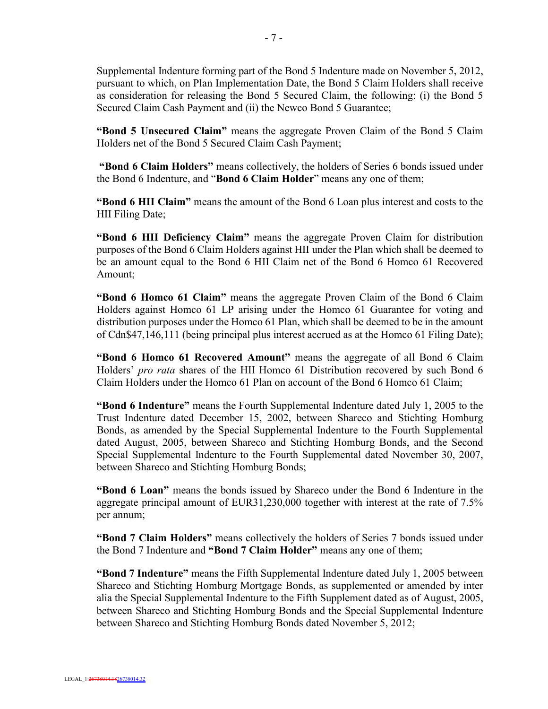Supplemental Indenture forming part of the Bond 5 Indenture made on November 5, 2012, pursuant to which, on Plan Implementation Date, the Bond 5 Claim Holders shall receive as consideration for releasing the Bond 5 Secured Claim, the following: (i) the Bond 5 Secured Claim Cash Payment and (ii) the Newco Bond 5 Guarantee;

**"Bond 5 Unsecured Claim"** means the aggregate Proven Claim of the Bond 5 Claim Holders net of the Bond 5 Secured Claim Cash Payment;

**"Bond 6 Claim Holders"** means collectively, the holders of Series 6 bonds issued under the Bond 6 Indenture, and "**Bond 6 Claim Holder**" means any one of them;

**"Bond 6 HII Claim"** means the amount of the Bond 6 Loan plus interest and costs to the HII Filing Date;

**"Bond 6 HII Deficiency Claim"** means the aggregate Proven Claim for distribution purposes of the Bond 6 Claim Holders against HII under the Plan which shall be deemed to be an amount equal to the Bond 6 HII Claim net of the Bond 6 Homco 61 Recovered Amount;

**"Bond 6 Homco 61 Claim"** means the aggregate Proven Claim of the Bond 6 Claim Holders against Homco 61 LP arising under the Homco 61 Guarantee for voting and distribution purposes under the Homco 61 Plan, which shall be deemed to be in the amount of Cdn\$47,146,111 (being principal plus interest accrued as at the Homco 61 Filing Date);

**"Bond 6 Homco 61 Recovered Amount"** means the aggregate of all Bond 6 Claim Holders' *pro rata* shares of the HII Homco 61 Distribution recovered by such Bond 6 Claim Holders under the Homco 61 Plan on account of the Bond 6 Homco 61 Claim;

**"Bond 6 Indenture"** means the Fourth Supplemental Indenture dated July 1, 2005 to the Trust Indenture dated December 15, 2002, between Shareco and Stichting Homburg Bonds, as amended by the Special Supplemental Indenture to the Fourth Supplemental dated August, 2005, between Shareco and Stichting Homburg Bonds, and the Second Special Supplemental Indenture to the Fourth Supplemental dated November 30, 2007, between Shareco and Stichting Homburg Bonds;

**"Bond 6 Loan"** means the bonds issued by Shareco under the Bond 6 Indenture in the aggregate principal amount of EUR31,230,000 together with interest at the rate of 7.5% per annum;

**"Bond 7 Claim Holders"** means collectively the holders of Series 7 bonds issued under the Bond 7 Indenture and **"Bond 7 Claim Holder"** means any one of them;

**"Bond 7 Indenture"** means the Fifth Supplemental Indenture dated July 1, 2005 between Shareco and Stichting Homburg Mortgage Bonds, as supplemented or amended by inter alia the Special Supplemental Indenture to the Fifth Supplement dated as of August, 2005, between Shareco and Stichting Homburg Bonds and the Special Supplemental Indenture between Shareco and Stichting Homburg Bonds dated November 5, 2012;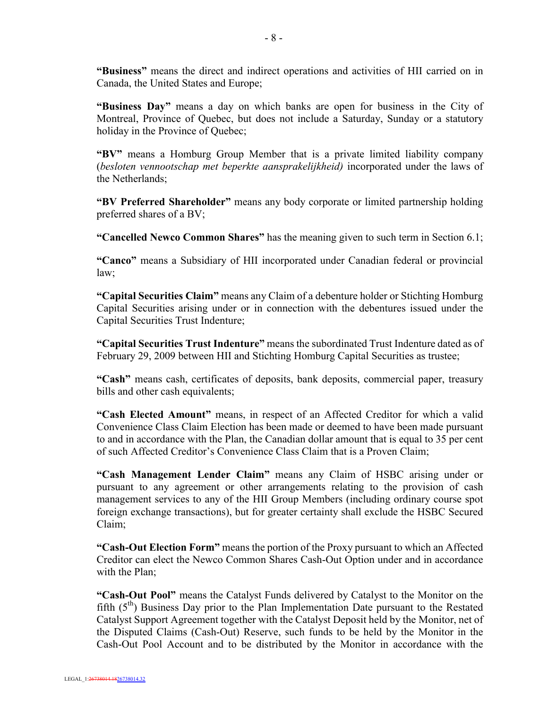**"Business"** means the direct and indirect operations and activities of HII carried on in Canada, the United States and Europe;

**"Business Day"** means a day on which banks are open for business in the City of Montreal, Province of Quebec, but does not include a Saturday, Sunday or a statutory holiday in the Province of Quebec;

**"BV"** means a Homburg Group Member that is a private limited liability company (*besloten vennootschap met beperkte aansprakelijkheid)* incorporated under the laws of the Netherlands;

**"BV Preferred Shareholder"** means any body corporate or limited partnership holding preferred shares of a BV;

**"Cancelled Newco Common Shares"** has the meaning given to such term in Section 6.1;

**"Canco"** means a Subsidiary of HII incorporated under Canadian federal or provincial law;

**"Capital Securities Claim"** means any Claim of a debenture holder or Stichting Homburg Capital Securities arising under or in connection with the debentures issued under the Capital Securities Trust Indenture;

**"Capital Securities Trust Indenture"** means the subordinated Trust Indenture dated as of February 29, 2009 between HII and Stichting Homburg Capital Securities as trustee;

**"Cash"** means cash, certificates of deposits, bank deposits, commercial paper, treasury bills and other cash equivalents;

**"Cash Elected Amount"** means, in respect of an Affected Creditor for which a valid Convenience Class Claim Election has been made or deemed to have been made pursuant to and in accordance with the Plan, the Canadian dollar amount that is equal to 35 per cent of such Affected Creditor's Convenience Class Claim that is a Proven Claim;

**"Cash Management Lender Claim"** means any Claim of HSBC arising under or pursuant to any agreement or other arrangements relating to the provision of cash management services to any of the HII Group Members (including ordinary course spot foreign exchange transactions), but for greater certainty shall exclude the HSBC Secured Claim;

**"Cash-Out Election Form"** means the portion of the Proxy pursuant to which an Affected Creditor can elect the Newco Common Shares Cash-Out Option under and in accordance with the Plan;

**"Cash-Out Pool"** means the Catalyst Funds delivered by Catalyst to the Monitor on the fifth  $(5<sup>th</sup>)$  Business Day prior to the Plan Implementation Date pursuant to the Restated Catalyst Support Agreement together with the Catalyst Deposit held by the Monitor, net of the Disputed Claims (Cash-Out) Reserve, such funds to be held by the Monitor in the Cash-Out Pool Account and to be distributed by the Monitor in accordance with the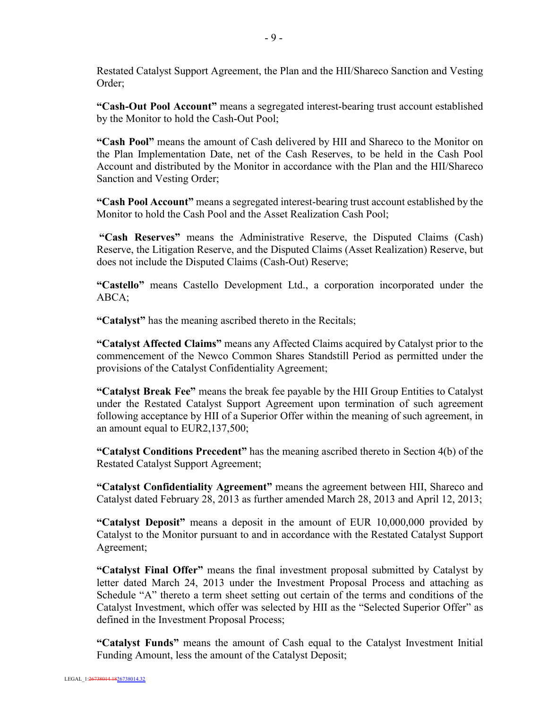Restated Catalyst Support Agreement, the Plan and the HII/Shareco Sanction and Vesting Order;

**"Cash-Out Pool Account"** means a segregated interest-bearing trust account established by the Monitor to hold the Cash-Out Pool;

**"Cash Pool"** means the amount of Cash delivered by HII and Shareco to the Monitor on the Plan Implementation Date, net of the Cash Reserves, to be held in the Cash Pool Account and distributed by the Monitor in accordance with the Plan and the HII/Shareco Sanction and Vesting Order;

**"Cash Pool Account"** means a segregated interest-bearing trust account established by the Monitor to hold the Cash Pool and the Asset Realization Cash Pool;

**"Cash Reserves"** means the Administrative Reserve, the Disputed Claims (Cash) Reserve, the Litigation Reserve, and the Disputed Claims (Asset Realization) Reserve, but does not include the Disputed Claims (Cash-Out) Reserve;

**"Castello"** means Castello Development Ltd., a corporation incorporated under the ABCA;

**"Catalyst"** has the meaning ascribed thereto in the Recitals;

**"Catalyst Affected Claims"** means any Affected Claims acquired by Catalyst prior to the commencement of the Newco Common Shares Standstill Period as permitted under the provisions of the Catalyst Confidentiality Agreement;

**"Catalyst Break Fee"** means the break fee payable by the HII Group Entities to Catalyst under the Restated Catalyst Support Agreement upon termination of such agreement following acceptance by HII of a Superior Offer within the meaning of such agreement, in an amount equal to EUR2,137,500;

**"Catalyst Conditions Precedent"** has the meaning ascribed thereto in Section 4(b) of the Restated Catalyst Support Agreement;

**"Catalyst Confidentiality Agreement"** means the agreement between HII, Shareco and Catalyst dated February 28, 2013 as further amended March 28, 2013 and April 12, 2013;

**"Catalyst Deposit"** means a deposit in the amount of EUR 10,000,000 provided by Catalyst to the Monitor pursuant to and in accordance with the Restated Catalyst Support Agreement;

**"Catalyst Final Offer"** means the final investment proposal submitted by Catalyst by letter dated March 24, 2013 under the Investment Proposal Process and attaching as Schedule "A" thereto a term sheet setting out certain of the terms and conditions of the Catalyst Investment, which offer was selected by HII as the "Selected Superior Offer" as defined in the Investment Proposal Process;

**"Catalyst Funds"** means the amount of Cash equal to the Catalyst Investment Initial Funding Amount, less the amount of the Catalyst Deposit;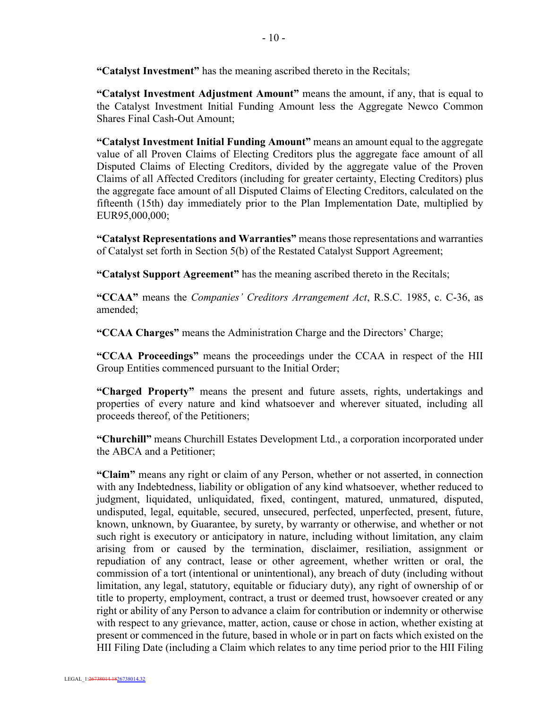**"Catalyst Investment"** has the meaning ascribed thereto in the Recitals;

**"Catalyst Investment Adjustment Amount"** means the amount, if any, that is equal to the Catalyst Investment Initial Funding Amount less the Aggregate Newco Common Shares Final Cash-Out Amount;

**"Catalyst Investment Initial Funding Amount"** means an amount equal to the aggregate value of all Proven Claims of Electing Creditors plus the aggregate face amount of all Disputed Claims of Electing Creditors, divided by the aggregate value of the Proven Claims of all Affected Creditors (including for greater certainty, Electing Creditors) plus the aggregate face amount of all Disputed Claims of Electing Creditors, calculated on the fifteenth (15th) day immediately prior to the Plan Implementation Date, multiplied by EUR95,000,000;

**"Catalyst Representations and Warranties"** means those representations and warranties of Catalyst set forth in Section 5(b) of the Restated Catalyst Support Agreement;

**"Catalyst Support Agreement"** has the meaning ascribed thereto in the Recitals;

**"CCAA"** means the *Companies' Creditors Arrangement Act*, R.S.C. 1985, c. C-36, as amended;

**"CCAA Charges"** means the Administration Charge and the Directors' Charge;

**"CCAA Proceedings"** means the proceedings under the CCAA in respect of the HII Group Entities commenced pursuant to the Initial Order;

**"Charged Property"** means the present and future assets, rights, undertakings and properties of every nature and kind whatsoever and wherever situated, including all proceeds thereof, of the Petitioners;

**"Churchill"** means Churchill Estates Development Ltd., a corporation incorporated under the ABCA and a Petitioner;

**"Claim"** means any right or claim of any Person, whether or not asserted, in connection with any Indebtedness, liability or obligation of any kind whatsoever, whether reduced to judgment, liquidated, unliquidated, fixed, contingent, matured, unmatured, disputed, undisputed, legal, equitable, secured, unsecured, perfected, unperfected, present, future, known, unknown, by Guarantee, by surety, by warranty or otherwise, and whether or not such right is executory or anticipatory in nature, including without limitation, any claim arising from or caused by the termination, disclaimer, resiliation, assignment or repudiation of any contract, lease or other agreement, whether written or oral, the commission of a tort (intentional or unintentional), any breach of duty (including without limitation, any legal, statutory, equitable or fiduciary duty), any right of ownership of or title to property, employment, contract, a trust or deemed trust, howsoever created or any right or ability of any Person to advance a claim for contribution or indemnity or otherwise with respect to any grievance, matter, action, cause or chose in action, whether existing at present or commenced in the future, based in whole or in part on facts which existed on the HII Filing Date (including a Claim which relates to any time period prior to the HII Filing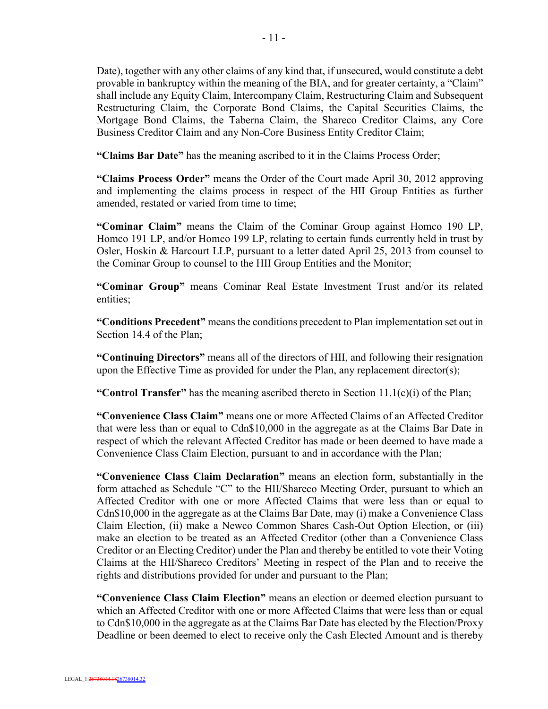Date), together with any other claims of any kind that, if unsecured, would constitute a debt provable in bankruptcy within the meaning of the BIA, and for greater certainty, a "Claim" shall include any Equity Claim, Intercompany Claim, Restructuring Claim and Subsequent Restructuring Claim, the Corporate Bond Claims, the Capital Securities Claims, the Mortgage Bond Claims, the Taberna Claim, the Shareco Creditor Claims, any Core Business Creditor Claim and any Non-Core Business Entity Creditor Claim;

**"Claims Bar Date"** has the meaning ascribed to it in the Claims Process Order;

**"Claims Process Order"** means the Order of the Court made April 30, 2012 approving and implementing the claims process in respect of the HII Group Entities as further amended, restated or varied from time to time;

**"Cominar Claim"** means the Claim of the Cominar Group against Homco 190 LP, Homco 191 LP, and/or Homco 199 LP, relating to certain funds currently held in trust by Osler, Hoskin & Harcourt LLP, pursuant to a letter dated April 25, 2013 from counsel to the Cominar Group to counsel to the HII Group Entities and the Monitor;

**"Cominar Group"** means Cominar Real Estate Investment Trust and/or its related entities;

**"Conditions Precedent"** means the conditions precedent to Plan implementation set out in Section 14.4 of the Plan;

**"Continuing Directors"** means all of the directors of HII, and following their resignation upon the Effective Time as provided for under the Plan, any replacement director(s);

**"Control Transfer"** has the meaning ascribed thereto in Section 11.1(c)(i) of the Plan;

**"Convenience Class Claim"** means one or more Affected Claims of an Affected Creditor that were less than or equal to Cdn\$10,000 in the aggregate as at the Claims Bar Date in respect of which the relevant Affected Creditor has made or been deemed to have made a Convenience Class Claim Election, pursuant to and in accordance with the Plan;

**"Convenience Class Claim Declaration"** means an election form, substantially in the form attached as Schedule "C" to the HII/Shareco Meeting Order, pursuant to which an Affected Creditor with one or more Affected Claims that were less than or equal to Cdn\$10,000 in the aggregate as at the Claims Bar Date, may (i) make a Convenience Class Claim Election, (ii) make a Newco Common Shares Cash-Out Option Election, or (iii) make an election to be treated as an Affected Creditor (other than a Convenience Class Creditor or an Electing Creditor) under the Plan and thereby be entitled to vote their Voting Claims at the HII/Shareco Creditors' Meeting in respect of the Plan and to receive the rights and distributions provided for under and pursuant to the Plan;

**"Convenience Class Claim Election"** means an election or deemed election pursuant to which an Affected Creditor with one or more Affected Claims that were less than or equal to Cdn\$10,000 in the aggregate as at the Claims Bar Date has elected by the Election/Proxy Deadline or been deemed to elect to receive only the Cash Elected Amount and is thereby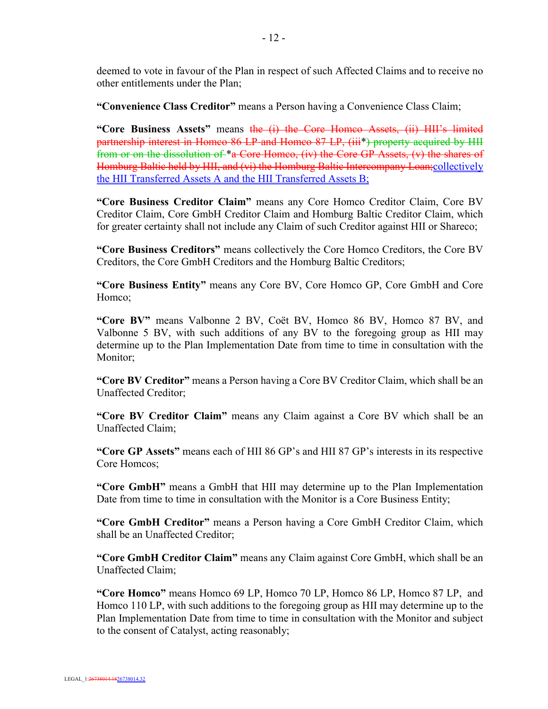deemed to vote in favour of the Plan in respect of such Affected Claims and to receive no other entitlements under the Plan;

**"Convenience Class Creditor"** means a Person having a Convenience Class Claim;

**"Core Business Assets"** means the (i) the Core Homco Assets, (ii) HII's limited partnership interest in Homco 86 LP and Homco 87 LP, (iii\*) property acquired by HII from or on the dissolution of \*a Core Homco, (iv) the Core GP Assets, (v) the shares of Homburg Baltic held by HII, and (vi) the Homburg Baltic Intercompany Loan;collectively the HII Transferred Assets A and the HII Transferred Assets B;

**"Core Business Creditor Claim"** means any Core Homco Creditor Claim, Core BV Creditor Claim, Core GmbH Creditor Claim and Homburg Baltic Creditor Claim, which for greater certainty shall not include any Claim of such Creditor against HII or Shareco;

**"Core Business Creditors"** means collectively the Core Homco Creditors, the Core BV Creditors, the Core GmbH Creditors and the Homburg Baltic Creditors;

**"Core Business Entity"** means any Core BV, Core Homco GP, Core GmbH and Core Homco;

**"Core BV"** means Valbonne 2 BV, Coët BV, Homco 86 BV, Homco 87 BV, and Valbonne 5 BV, with such additions of any BV to the foregoing group as HII may determine up to the Plan Implementation Date from time to time in consultation with the Monitor:

**"Core BV Creditor"** means a Person having a Core BV Creditor Claim, which shall be an Unaffected Creditor;

**"Core BV Creditor Claim"** means any Claim against a Core BV which shall be an Unaffected Claim;

**"Core GP Assets"** means each of HII 86 GP's and HII 87 GP's interests in its respective Core Homcos;

**"Core GmbH"** means a GmbH that HII may determine up to the Plan Implementation Date from time to time in consultation with the Monitor is a Core Business Entity;

**"Core GmbH Creditor"** means a Person having a Core GmbH Creditor Claim, which shall be an Unaffected Creditor;

**"Core GmbH Creditor Claim"** means any Claim against Core GmbH, which shall be an Unaffected Claim;

**"Core Homco"** means Homco 69 LP, Homco 70 LP, Homco 86 LP, Homco 87 LP, and Homco 110 LP, with such additions to the foregoing group as HII may determine up to the Plan Implementation Date from time to time in consultation with the Monitor and subject to the consent of Catalyst, acting reasonably;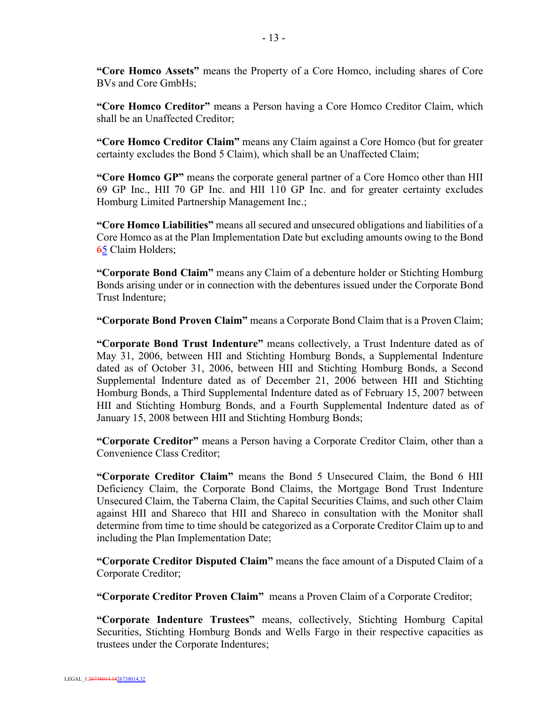**"Core Homco Assets"** means the Property of a Core Homco, including shares of Core BVs and Core GmbHs;

**"Core Homco Creditor"** means a Person having a Core Homco Creditor Claim, which shall be an Unaffected Creditor;

**"Core Homco Creditor Claim"** means any Claim against a Core Homco (but for greater certainty excludes the Bond 5 Claim), which shall be an Unaffected Claim;

**"Core Homco GP"** means the corporate general partner of a Core Homco other than HII 69 GP Inc., HII 70 GP Inc. and HII 110 GP Inc. and for greater certainty excludes Homburg Limited Partnership Management Inc.;

**"Core Homco Liabilities"** means all secured and unsecured obligations and liabilities of a Core Homco as at the Plan Implementation Date but excluding amounts owing to the Bond 65 Claim Holders;

**"Corporate Bond Claim"** means any Claim of a debenture holder or Stichting Homburg Bonds arising under or in connection with the debentures issued under the Corporate Bond Trust Indenture;

**"Corporate Bond Proven Claim"** means a Corporate Bond Claim that is a Proven Claim;

**"Corporate Bond Trust Indenture"** means collectively, a Trust Indenture dated as of May 31, 2006, between HII and Stichting Homburg Bonds, a Supplemental Indenture dated as of October 31, 2006, between HII and Stichting Homburg Bonds, a Second Supplemental Indenture dated as of December 21, 2006 between HII and Stichting Homburg Bonds, a Third Supplemental Indenture dated as of February 15, 2007 between HII and Stichting Homburg Bonds, and a Fourth Supplemental Indenture dated as of January 15, 2008 between HII and Stichting Homburg Bonds;

**"Corporate Creditor"** means a Person having a Corporate Creditor Claim, other than a Convenience Class Creditor;

**"Corporate Creditor Claim"** means the Bond 5 Unsecured Claim, the Bond 6 HII Deficiency Claim, the Corporate Bond Claims, the Mortgage Bond Trust Indenture Unsecured Claim, the Taberna Claim, the Capital Securities Claims, and such other Claim against HII and Shareco that HII and Shareco in consultation with the Monitor shall determine from time to time should be categorized as a Corporate Creditor Claim up to and including the Plan Implementation Date;

**"Corporate Creditor Disputed Claim"** means the face amount of a Disputed Claim of a Corporate Creditor;

**"Corporate Creditor Proven Claim"** means a Proven Claim of a Corporate Creditor;

**"Corporate Indenture Trustees"** means, collectively, Stichting Homburg Capital Securities, Stichting Homburg Bonds and Wells Fargo in their respective capacities as trustees under the Corporate Indentures;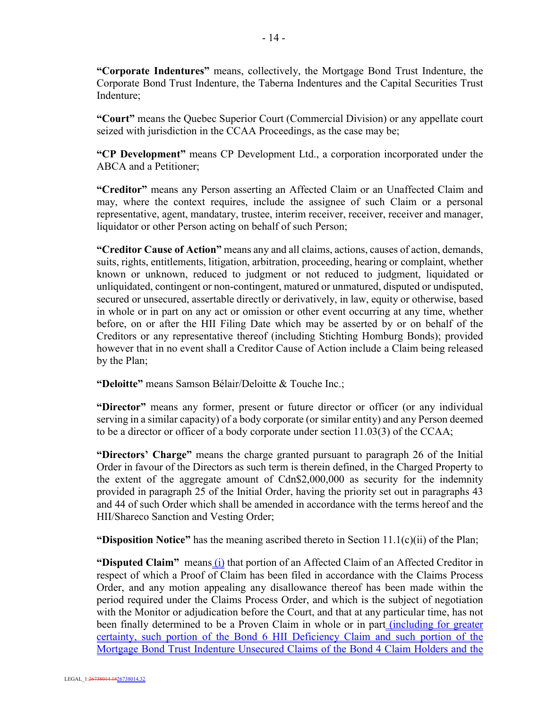**"Corporate Indentures"** means, collectively, the Mortgage Bond Trust Indenture, the Corporate Bond Trust Indenture, the Taberna Indentures and the Capital Securities Trust Indenture;

**"Court"** means the Quebec Superior Court (Commercial Division) or any appellate court seized with jurisdiction in the CCAA Proceedings, as the case may be;

**"CP Development"** means CP Development Ltd., a corporation incorporated under the ABCA and a Petitioner;

**"Creditor"** means any Person asserting an Affected Claim or an Unaffected Claim and may, where the context requires, include the assignee of such Claim or a personal representative, agent, mandatary, trustee, interim receiver, receiver, receiver and manager, liquidator or other Person acting on behalf of such Person;

**"Creditor Cause of Action"** means any and all claims, actions, causes of action, demands, suits, rights, entitlements, litigation, arbitration, proceeding, hearing or complaint, whether known or unknown, reduced to judgment or not reduced to judgment, liquidated or unliquidated, contingent or non-contingent, matured or unmatured, disputed or undisputed, secured or unsecured, assertable directly or derivatively, in law, equity or otherwise, based in whole or in part on any act or omission or other event occurring at any time, whether before, on or after the HII Filing Date which may be asserted by or on behalf of the Creditors or any representative thereof (including Stichting Homburg Bonds); provided however that in no event shall a Creditor Cause of Action include a Claim being released by the Plan;

**"Deloitte"** means Samson Bélair/Deloitte & Touche Inc.;

**"Director"** means any former, present or future director or officer (or any individual serving in a similar capacity) of a body corporate (or similar entity) and any Person deemed to be a director or officer of a body corporate under section 11.03(3) of the CCAA;

**"Directors' Charge"** means the charge granted pursuant to paragraph 26 of the Initial Order in favour of the Directors as such term is therein defined, in the Charged Property to the extent of the aggregate amount of Cdn\$2,000,000 as security for the indemnity provided in paragraph 25 of the Initial Order, having the priority set out in paragraphs 43 and 44 of such Order which shall be amended in accordance with the terms hereof and the HII/Shareco Sanction and Vesting Order;

**"Disposition Notice"** has the meaning ascribed thereto in Section 11.1(c)(ii) of the Plan;

"Disputed Claim" means (i) that portion of an Affected Claim of an Affected Creditor in respect of which a Proof of Claim has been filed in accordance with the Claims Process Order, and any motion appealing any disallowance thereof has been made within the period required under the Claims Process Order, and which is the subject of negotiation with the Monitor or adjudication before the Court, and that at any particular time, has not been finally determined to be a Proven Claim in whole or in part *(including for greater)* certainty, such portion of the Bond 6 HII Deficiency Claim and such portion of the Mortgage Bond Trust Indenture Unsecured Claims of the Bond 4 Claim Holders and the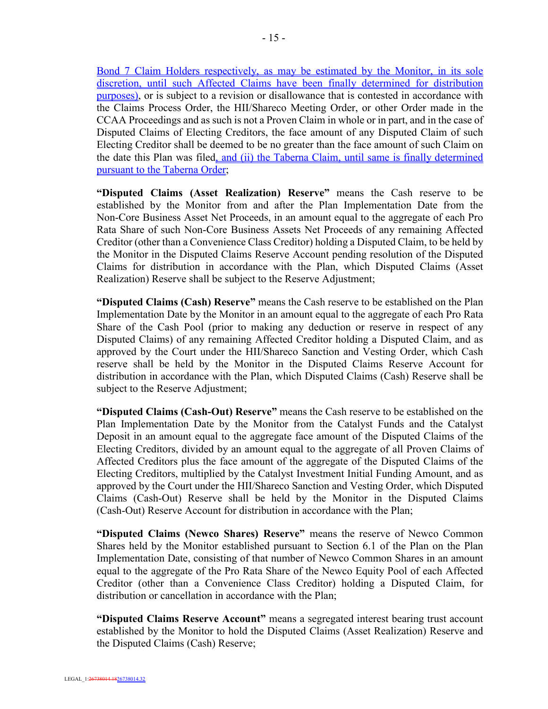Bond 7 Claim Holders respectively, as may be estimated by the Monitor, in its sole discretion, until such Affected Claims have been finally determined for distribution purposes), or is subject to a revision or disallowance that is contested in accordance with the Claims Process Order, the HII/Shareco Meeting Order, or other Order made in the CCAA Proceedings and as such is not a Proven Claim in whole or in part, and in the case of Disputed Claims of Electing Creditors, the face amount of any Disputed Claim of such Electing Creditor shall be deemed to be no greater than the face amount of such Claim on the date this Plan was filed, and (ii) the Taberna Claim, until same is finally determined pursuant to the Taberna Order;

**"Disputed Claims (Asset Realization) Reserve"** means the Cash reserve to be established by the Monitor from and after the Plan Implementation Date from the Non-Core Business Asset Net Proceeds, in an amount equal to the aggregate of each Pro Rata Share of such Non-Core Business Assets Net Proceeds of any remaining Affected Creditor (other than a Convenience Class Creditor) holding a Disputed Claim, to be held by the Monitor in the Disputed Claims Reserve Account pending resolution of the Disputed Claims for distribution in accordance with the Plan, which Disputed Claims (Asset Realization) Reserve shall be subject to the Reserve Adjustment;

**"Disputed Claims (Cash) Reserve"** means the Cash reserve to be established on the Plan Implementation Date by the Monitor in an amount equal to the aggregate of each Pro Rata Share of the Cash Pool (prior to making any deduction or reserve in respect of any Disputed Claims) of any remaining Affected Creditor holding a Disputed Claim, and as approved by the Court under the HII/Shareco Sanction and Vesting Order, which Cash reserve shall be held by the Monitor in the Disputed Claims Reserve Account for distribution in accordance with the Plan, which Disputed Claims (Cash) Reserve shall be subject to the Reserve Adjustment;

**"Disputed Claims (Cash-Out) Reserve"** means the Cash reserve to be established on the Plan Implementation Date by the Monitor from the Catalyst Funds and the Catalyst Deposit in an amount equal to the aggregate face amount of the Disputed Claims of the Electing Creditors, divided by an amount equal to the aggregate of all Proven Claims of Affected Creditors plus the face amount of the aggregate of the Disputed Claims of the Electing Creditors, multiplied by the Catalyst Investment Initial Funding Amount, and as approved by the Court under the HII/Shareco Sanction and Vesting Order, which Disputed Claims (Cash-Out) Reserve shall be held by the Monitor in the Disputed Claims (Cash-Out) Reserve Account for distribution in accordance with the Plan;

**"Disputed Claims (Newco Shares) Reserve"** means the reserve of Newco Common Shares held by the Monitor established pursuant to Section 6.1 of the Plan on the Plan Implementation Date, consisting of that number of Newco Common Shares in an amount equal to the aggregate of the Pro Rata Share of the Newco Equity Pool of each Affected Creditor (other than a Convenience Class Creditor) holding a Disputed Claim, for distribution or cancellation in accordance with the Plan;

**"Disputed Claims Reserve Account"** means a segregated interest bearing trust account established by the Monitor to hold the Disputed Claims (Asset Realization) Reserve and the Disputed Claims (Cash) Reserve;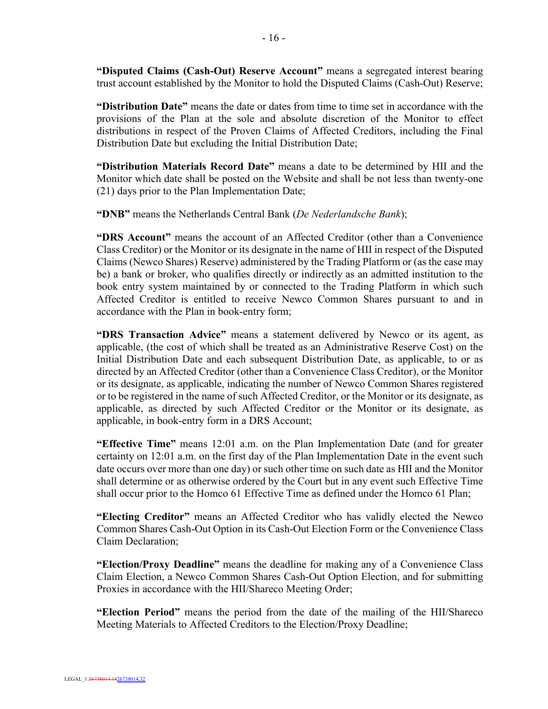**"Disputed Claims (Cash-Out) Reserve Account"** means a segregated interest bearing trust account established by the Monitor to hold the Disputed Claims (Cash-Out) Reserve;

**"Distribution Date"** means the date or dates from time to time set in accordance with the provisions of the Plan at the sole and absolute discretion of the Monitor to effect distributions in respect of the Proven Claims of Affected Creditors, including the Final Distribution Date but excluding the Initial Distribution Date;

**"Distribution Materials Record Date"** means a date to be determined by HII and the Monitor which date shall be posted on the Website and shall be not less than twenty-one (21) days prior to the Plan Implementation Date;

**"DNB"** means the Netherlands Central Bank (*De Nederlandsche Bank*);

**"DRS Account"** means the account of an Affected Creditor (other than a Convenience Class Creditor) or the Monitor or its designate in the name of HII in respect of the Disputed Claims (Newco Shares) Reserve) administered by the Trading Platform or (as the case may be) a bank or broker, who qualifies directly or indirectly as an admitted institution to the book entry system maintained by or connected to the Trading Platform in which such Affected Creditor is entitled to receive Newco Common Shares pursuant to and in accordance with the Plan in book-entry form;

**"DRS Transaction Advice"** means a statement delivered by Newco or its agent, as applicable, (the cost of which shall be treated as an Administrative Reserve Cost) on the Initial Distribution Date and each subsequent Distribution Date, as applicable, to or as directed by an Affected Creditor (other than a Convenience Class Creditor), or the Monitor or its designate, as applicable, indicating the number of Newco Common Shares registered or to be registered in the name of such Affected Creditor, or the Monitor or its designate, as applicable, as directed by such Affected Creditor or the Monitor or its designate, as applicable, in book-entry form in a DRS Account;

**"Effective Time"** means 12:01 a.m. on the Plan Implementation Date (and for greater certainty on 12:01 a.m. on the first day of the Plan Implementation Date in the event such date occurs over more than one day) or such other time on such date as HII and the Monitor shall determine or as otherwise ordered by the Court but in any event such Effective Time shall occur prior to the Homco 61 Effective Time as defined under the Homco 61 Plan;

**"Electing Creditor"** means an Affected Creditor who has validly elected the Newco Common Shares Cash-Out Option in its Cash-Out Election Form or the Convenience Class Claim Declaration;

**"Election/Proxy Deadline"** means the deadline for making any of a Convenience Class Claim Election, a Newco Common Shares Cash-Out Option Election, and for submitting Proxies in accordance with the HII/Shareco Meeting Order;

**"Election Period"** means the period from the date of the mailing of the HII/Shareco Meeting Materials to Affected Creditors to the Election/Proxy Deadline;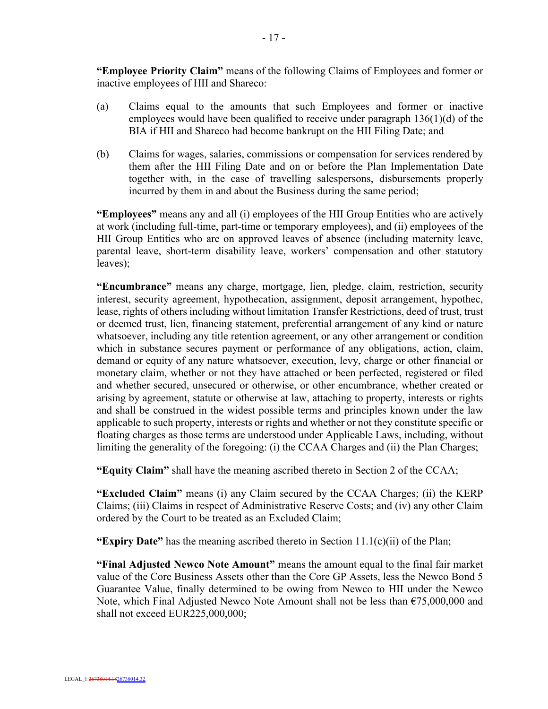**"Employee Priority Claim"** means of the following Claims of Employees and former or inactive employees of HII and Shareco:

- (a) Claims equal to the amounts that such Employees and former or inactive employees would have been qualified to receive under paragraph 136(1)(d) of the BIA if HII and Shareco had become bankrupt on the HII Filing Date; and
- (b) Claims for wages, salaries, commissions or compensation for services rendered by them after the HII Filing Date and on or before the Plan Implementation Date together with, in the case of travelling salespersons, disbursements properly incurred by them in and about the Business during the same period;

**"Employees"** means any and all (i) employees of the HII Group Entities who are actively at work (including full-time, part-time or temporary employees), and (ii) employees of the HII Group Entities who are on approved leaves of absence (including maternity leave, parental leave, short-term disability leave, workers' compensation and other statutory leaves);

**"Encumbrance"** means any charge, mortgage, lien, pledge, claim, restriction, security interest, security agreement, hypothecation, assignment, deposit arrangement, hypothec, lease, rights of others including without limitation Transfer Restrictions, deed of trust, trust or deemed trust, lien, financing statement, preferential arrangement of any kind or nature whatsoever, including any title retention agreement, or any other arrangement or condition which in substance secures payment or performance of any obligations, action, claim, demand or equity of any nature whatsoever, execution, levy, charge or other financial or monetary claim, whether or not they have attached or been perfected, registered or filed and whether secured, unsecured or otherwise, or other encumbrance, whether created or arising by agreement, statute or otherwise at law, attaching to property, interests or rights and shall be construed in the widest possible terms and principles known under the law applicable to such property, interests or rights and whether or not they constitute specific or floating charges as those terms are understood under Applicable Laws, including, without limiting the generality of the foregoing: (i) the CCAA Charges and (ii) the Plan Charges;

**"Equity Claim"** shall have the meaning ascribed thereto in Section 2 of the CCAA;

**"Excluded Claim"** means (i) any Claim secured by the CCAA Charges; (ii) the KERP Claims; (iii) Claims in respect of Administrative Reserve Costs; and (iv) any other Claim ordered by the Court to be treated as an Excluded Claim;

**"Expiry Date"** has the meaning ascribed thereto in Section 11.1(c)(ii) of the Plan;

**"Final Adjusted Newco Note Amount"** means the amount equal to the final fair market value of the Core Business Assets other than the Core GP Assets, less the Newco Bond 5 Guarantee Value, finally determined to be owing from Newco to HII under the Newco Note, which Final Adjusted Newco Note Amount shall not be less than €75,000,000 and shall not exceed EUR225,000,000;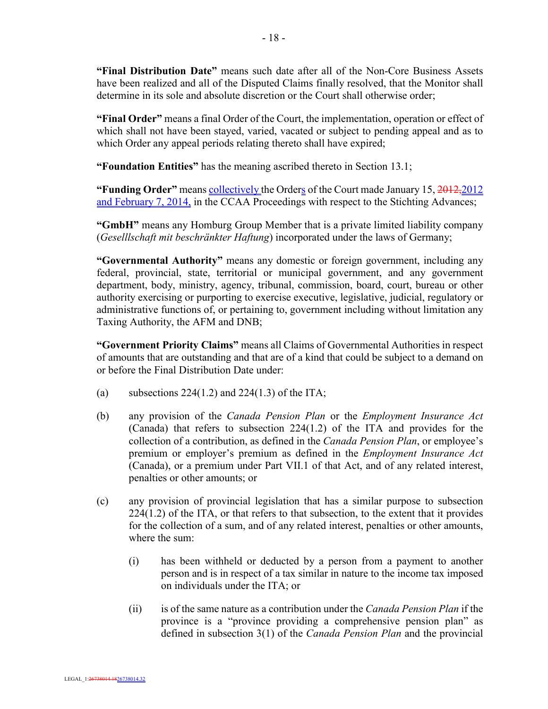**"Final Distribution Date"** means such date after all of the Non-Core Business Assets have been realized and all of the Disputed Claims finally resolved, that the Monitor shall determine in its sole and absolute discretion or the Court shall otherwise order;

**"Final Order"** means a final Order of the Court, the implementation, operation or effect of which shall not have been stayed, varied, vacated or subject to pending appeal and as to which Order any appeal periods relating thereto shall have expired;

**"Foundation Entities"** has the meaning ascribed thereto in Section 13.1;

**"Funding Order"** means collectively the Orders of the Court made January 15, 2012,2012 and February 7, 2014, in the CCAA Proceedings with respect to the Stichting Advances;

**"GmbH"** means any Homburg Group Member that is a private limited liability company (*Geselllschaft mit beschränkter Haftung*) incorporated under the laws of Germany;

**"Governmental Authority"** means any domestic or foreign government, including any federal, provincial, state, territorial or municipal government, and any government department, body, ministry, agency, tribunal, commission, board, court, bureau or other authority exercising or purporting to exercise executive, legislative, judicial, regulatory or administrative functions of, or pertaining to, government including without limitation any Taxing Authority, the AFM and DNB;

**"Government Priority Claims"** means all Claims of Governmental Authorities in respect of amounts that are outstanding and that are of a kind that could be subject to a demand on or before the Final Distribution Date under:

- (a) subsections  $224(1.2)$  and  $224(1.3)$  of the ITA;
- (b) any provision of the *Canada Pension Plan* or the *Employment Insurance Act* (Canada) that refers to subsection 224(1.2) of the ITA and provides for the collection of a contribution, as defined in the *Canada Pension Plan*, or employee's premium or employer's premium as defined in the *Employment Insurance Act*  (Canada), or a premium under Part VII.1 of that Act, and of any related interest, penalties or other amounts; or
- (c) any provision of provincial legislation that has a similar purpose to subsection 224(1.2) of the ITA, or that refers to that subsection, to the extent that it provides for the collection of a sum, and of any related interest, penalties or other amounts, where the sum:
	- (i) has been withheld or deducted by a person from a payment to another person and is in respect of a tax similar in nature to the income tax imposed on individuals under the ITA; or
	- (ii) is of the same nature as a contribution under the *Canada Pension Plan* if the province is a "province providing a comprehensive pension plan" as defined in subsection 3(1) of the *Canada Pension Plan* and the provincial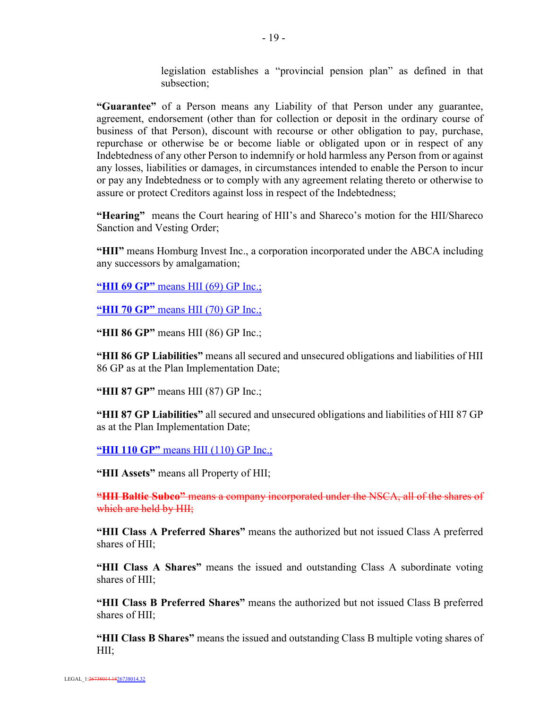legislation establishes a "provincial pension plan" as defined in that subsection;

**"Guarantee"** of a Person means any Liability of that Person under any guarantee, agreement, endorsement (other than for collection or deposit in the ordinary course of business of that Person), discount with recourse or other obligation to pay, purchase, repurchase or otherwise be or become liable or obligated upon or in respect of any Indebtedness of any other Person to indemnify or hold harmless any Person from or against any losses, liabilities or damages, in circumstances intended to enable the Person to incur or pay any Indebtedness or to comply with any agreement relating thereto or otherwise to assure or protect Creditors against loss in respect of the Indebtedness;

**"Hearing"** means the Court hearing of HII's and Shareco's motion for the HII/Shareco Sanction and Vesting Order;

**"HII"** means Homburg Invest Inc., a corporation incorporated under the ABCA including any successors by amalgamation;

**"HII 69 GP"** means HII (69) GP Inc.;

**"HII 70 GP"** means HII (70) GP Inc.;

**"HII 86 GP"** means HII (86) GP Inc.;

**"HII 86 GP Liabilities"** means all secured and unsecured obligations and liabilities of HII 86 GP as at the Plan Implementation Date;

**"HII 87 GP"** means HII (87) GP Inc.;

**"HII 87 GP Liabilities"** all secured and unsecured obligations and liabilities of HII 87 GP as at the Plan Implementation Date;

**"HII 110 GP"** means HII (110) GP Inc.;

**"HII Assets"** means all Property of HII;

**"HII Baltic Subco"** means a company incorporated under the NSCA, all of the shares of which are held by HII;

**"HII Class A Preferred Shares"** means the authorized but not issued Class A preferred shares of HII;

**"HII Class A Shares"** means the issued and outstanding Class A subordinate voting shares of HII;

**"HII Class B Preferred Shares"** means the authorized but not issued Class B preferred shares of HII;

**"HII Class B Shares"** means the issued and outstanding Class B multiple voting shares of HII;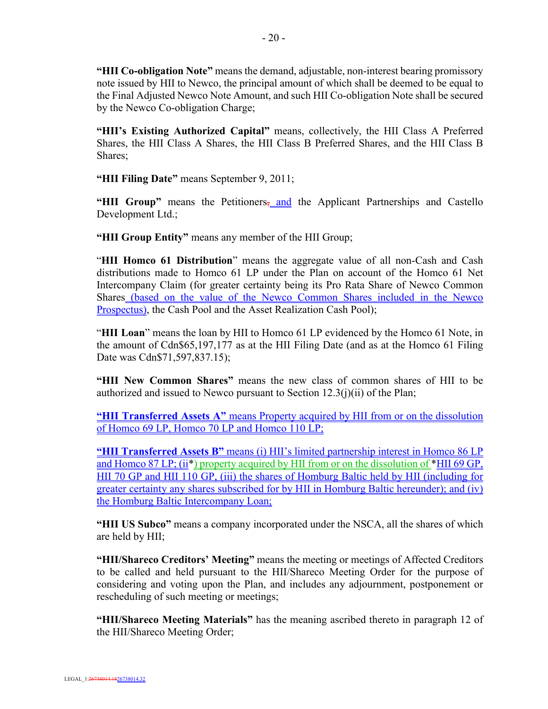**"HII Co-obligation Note"** means the demand, adjustable, non-interest bearing promissory note issued by HII to Newco, the principal amount of which shall be deemed to be equal to the Final Adjusted Newco Note Amount, and such HII Co-obligation Note shall be secured by the Newco Co-obligation Charge;

**"HII's Existing Authorized Capital"** means, collectively, the HII Class A Preferred Shares, the HII Class A Shares, the HII Class B Preferred Shares, and the HII Class B Shares;

**"HII Filing Date"** means September 9, 2011;

"HII Group" means the Petitioners, and the Applicant Partnerships and Castello Development Ltd.;

**"HII Group Entity"** means any member of the HII Group;

"**HII Homco 61 Distribution**" means the aggregate value of all non-Cash and Cash distributions made to Homco 61 LP under the Plan on account of the Homco 61 Net Intercompany Claim (for greater certainty being its Pro Rata Share of Newco Common Shares (based on the value of the Newco Common Shares included in the Newco Prospectus), the Cash Pool and the Asset Realization Cash Pool);

"**HII Loan**" means the loan by HII to Homco 61 LP evidenced by the Homco 61 Note, in the amount of Cdn\$65,197,177 as at the HII Filing Date (and as at the Homco 61 Filing Date was Cdn\$71,597,837.15);

**"HII New Common Shares"** means the new class of common shares of HII to be authorized and issued to Newco pursuant to Section  $12.3(j)(ii)$  of the Plan;

**"HII Transferred Assets A"** means Property acquired by HII from or on the dissolution of Homco 69 LP, Homco 70 LP and Homco 110 LP;

**"HII Transferred Assets B"** means (i) HII's limited partnership interest in Homco 86 LP and Homco 87 LP; (ii<sup>\*</sup>) property acquired by HII from or on the dissolution of <sup>\*</sup>HII 69 GP, HII 70 GP and HII 110 GP, (iii) the shares of Homburg Baltic held by HII (including for greater certainty any shares subscribed for by HII in Homburg Baltic hereunder); and (iv) the Homburg Baltic Intercompany Loan;

**"HII US Subco"** means a company incorporated under the NSCA, all the shares of which are held by HII;

**"HII/Shareco Creditors' Meeting"** means the meeting or meetings of Affected Creditors to be called and held pursuant to the HII/Shareco Meeting Order for the purpose of considering and voting upon the Plan, and includes any adjournment, postponement or rescheduling of such meeting or meetings;

**"HII/Shareco Meeting Materials"** has the meaning ascribed thereto in paragraph 12 of the HII/Shareco Meeting Order;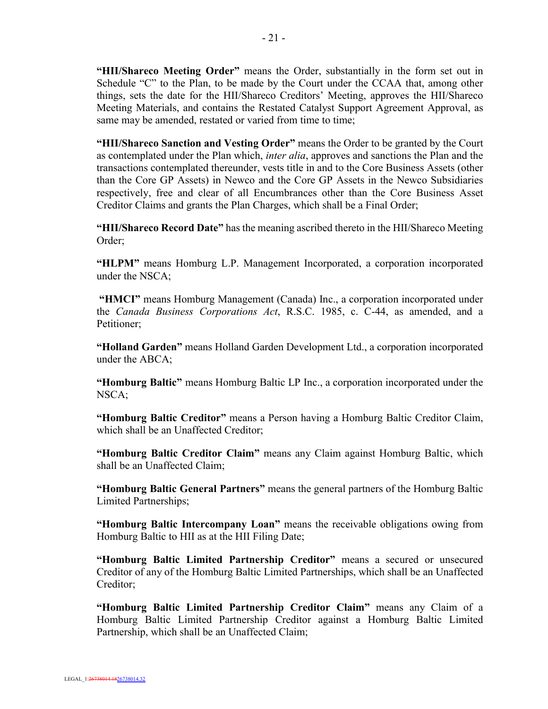**"HII/Shareco Meeting Order"** means the Order, substantially in the form set out in Schedule "C" to the Plan, to be made by the Court under the CCAA that, among other things, sets the date for the HII/Shareco Creditors' Meeting, approves the HII/Shareco Meeting Materials, and contains the Restated Catalyst Support Agreement Approval, as same may be amended, restated or varied from time to time;

**"HII/Shareco Sanction and Vesting Order"** means the Order to be granted by the Court as contemplated under the Plan which, *inter alia*, approves and sanctions the Plan and the transactions contemplated thereunder, vests title in and to the Core Business Assets (other than the Core GP Assets) in Newco and the Core GP Assets in the Newco Subsidiaries respectively, free and clear of all Encumbrances other than the Core Business Asset Creditor Claims and grants the Plan Charges, which shall be a Final Order;

**"HII/Shareco Record Date"** has the meaning ascribed thereto in the HII/Shareco Meeting Order;

**"HLPM"** means Homburg L.P. Management Incorporated, a corporation incorporated under the NSCA;

**"HMCI"** means Homburg Management (Canada) Inc., a corporation incorporated under the *Canada Business Corporations Act*, R.S.C. 1985, c. C-44, as amended, and a Petitioner;

**"Holland Garden"** means Holland Garden Development Ltd., a corporation incorporated under the ABCA;

**"Homburg Baltic"** means Homburg Baltic LP Inc., a corporation incorporated under the NSCA;

**"Homburg Baltic Creditor"** means a Person having a Homburg Baltic Creditor Claim, which shall be an Unaffected Creditor;

**"Homburg Baltic Creditor Claim"** means any Claim against Homburg Baltic, which shall be an Unaffected Claim;

**"Homburg Baltic General Partners"** means the general partners of the Homburg Baltic Limited Partnerships;

**"Homburg Baltic Intercompany Loan"** means the receivable obligations owing from Homburg Baltic to HII as at the HII Filing Date;

**"Homburg Baltic Limited Partnership Creditor"** means a secured or unsecured Creditor of any of the Homburg Baltic Limited Partnerships, which shall be an Unaffected Creditor;

**"Homburg Baltic Limited Partnership Creditor Claim"** means any Claim of a Homburg Baltic Limited Partnership Creditor against a Homburg Baltic Limited Partnership, which shall be an Unaffected Claim;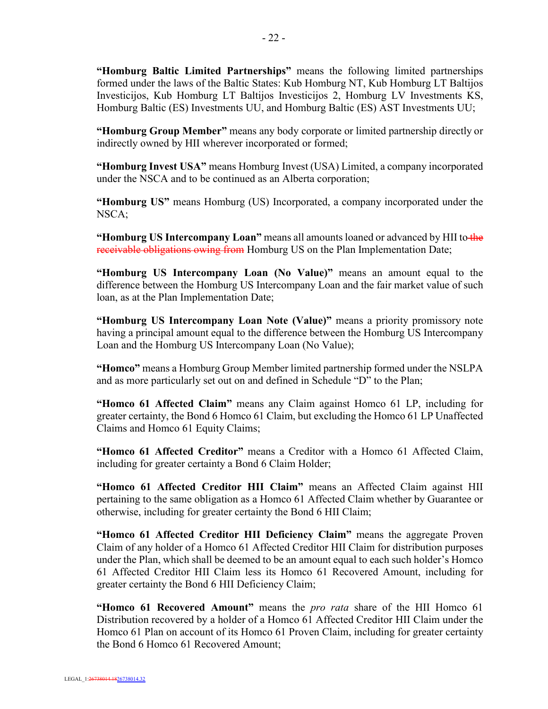**"Homburg Baltic Limited Partnerships"** means the following limited partnerships formed under the laws of the Baltic States: Kub Homburg NT, Kub Homburg LT Baltijos Investicijos, Kub Homburg LT Baltijos Investicijos 2, Homburg LV Investments KS, Homburg Baltic (ES) Investments UU, and Homburg Baltic (ES) AST Investments UU;

**"Homburg Group Member"** means any body corporate or limited partnership directly or indirectly owned by HII wherever incorporated or formed;

**"Homburg Invest USA"** means Homburg Invest (USA) Limited, a company incorporated under the NSCA and to be continued as an Alberta corporation;

**"Homburg US"** means Homburg (US) Incorporated, a company incorporated under the NSCA;

**"Homburg US Intercompany Loan"** means all amounts loaned or advanced by HII to the receivable obligations owing from Homburg US on the Plan Implementation Date;

**"Homburg US Intercompany Loan (No Value)"** means an amount equal to the difference between the Homburg US Intercompany Loan and the fair market value of such loan, as at the Plan Implementation Date;

**"Homburg US Intercompany Loan Note (Value)"** means a priority promissory note having a principal amount equal to the difference between the Homburg US Intercompany Loan and the Homburg US Intercompany Loan (No Value);

**"Homco"** means a Homburg Group Member limited partnership formed under the NSLPA and as more particularly set out on and defined in Schedule "D" to the Plan;

**"Homco 61 Affected Claim"** means any Claim against Homco 61 LP, including for greater certainty, the Bond 6 Homco 61 Claim, but excluding the Homco 61 LP Unaffected Claims and Homco 61 Equity Claims;

**"Homco 61 Affected Creditor"** means a Creditor with a Homco 61 Affected Claim, including for greater certainty a Bond 6 Claim Holder;

**"Homco 61 Affected Creditor HII Claim"** means an Affected Claim against HII pertaining to the same obligation as a Homco 61 Affected Claim whether by Guarantee or otherwise, including for greater certainty the Bond 6 HII Claim;

**"Homco 61 Affected Creditor HII Deficiency Claim"** means the aggregate Proven Claim of any holder of a Homco 61 Affected Creditor HII Claim for distribution purposes under the Plan, which shall be deemed to be an amount equal to each such holder's Homco 61 Affected Creditor HII Claim less its Homco 61 Recovered Amount, including for greater certainty the Bond 6 HII Deficiency Claim;

**"Homco 61 Recovered Amount"** means the *pro rata* share of the HII Homco 61 Distribution recovered by a holder of a Homco 61 Affected Creditor HII Claim under the Homco 61 Plan on account of its Homco 61 Proven Claim, including for greater certainty the Bond 6 Homco 61 Recovered Amount;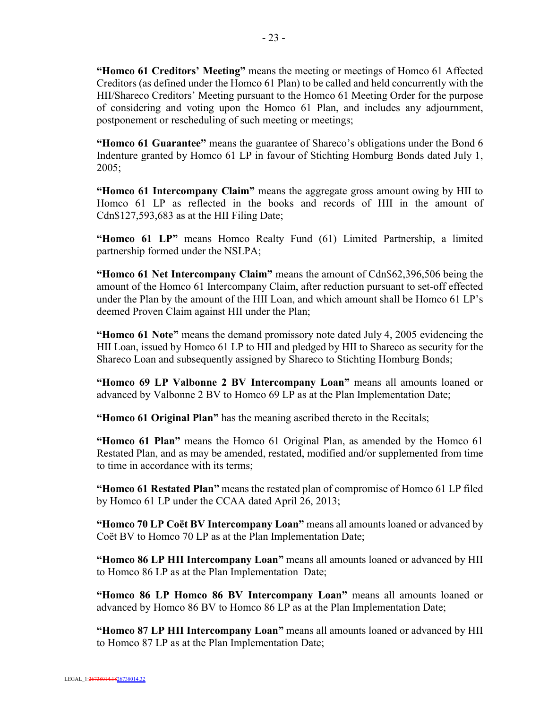**"Homco 61 Creditors' Meeting"** means the meeting or meetings of Homco 61 Affected Creditors (as defined under the Homco 61 Plan) to be called and held concurrently with the HII/Shareco Creditors' Meeting pursuant to the Homco 61 Meeting Order for the purpose of considering and voting upon the Homco 61 Plan, and includes any adjournment, postponement or rescheduling of such meeting or meetings;

**"Homco 61 Guarantee"** means the guarantee of Shareco's obligations under the Bond 6 Indenture granted by Homco 61 LP in favour of Stichting Homburg Bonds dated July 1, 2005;

**"Homco 61 Intercompany Claim"** means the aggregate gross amount owing by HII to Homco 61 LP as reflected in the books and records of HII in the amount of Cdn\$127,593,683 as at the HII Filing Date;

**"Homco 61 LP"** means Homco Realty Fund (61) Limited Partnership, a limited partnership formed under the NSLPA;

**"Homco 61 Net Intercompany Claim"** means the amount of Cdn\$62,396,506 being the amount of the Homco 61 Intercompany Claim, after reduction pursuant to set-off effected under the Plan by the amount of the HII Loan, and which amount shall be Homco 61 LP's deemed Proven Claim against HII under the Plan;

**"Homco 61 Note"** means the demand promissory note dated July 4, 2005 evidencing the HII Loan, issued by Homco 61 LP to HII and pledged by HII to Shareco as security for the Shareco Loan and subsequently assigned by Shareco to Stichting Homburg Bonds;

**"Homco 69 LP Valbonne 2 BV Intercompany Loan"** means all amounts loaned or advanced by Valbonne 2 BV to Homco 69 LP as at the Plan Implementation Date;

**"Homco 61 Original Plan"** has the meaning ascribed thereto in the Recitals;

**"Homco 61 Plan"** means the Homco 61 Original Plan, as amended by the Homco 61 Restated Plan, and as may be amended, restated, modified and/or supplemented from time to time in accordance with its terms;

**"Homco 61 Restated Plan"** means the restated plan of compromise of Homco 61 LP filed by Homco 61 LP under the CCAA dated April 26, 2013;

**"Homco 70 LP Coët BV Intercompany Loan"** means all amounts loaned or advanced by Coët BV to Homco 70 LP as at the Plan Implementation Date;

**"Homco 86 LP HII Intercompany Loan"** means all amounts loaned or advanced by HII to Homco 86 LP as at the Plan Implementation Date;

**"Homco 86 LP Homco 86 BV Intercompany Loan"** means all amounts loaned or advanced by Homco 86 BV to Homco 86 LP as at the Plan Implementation Date;

**"Homco 87 LP HII Intercompany Loan"** means all amounts loaned or advanced by HII to Homco 87 LP as at the Plan Implementation Date;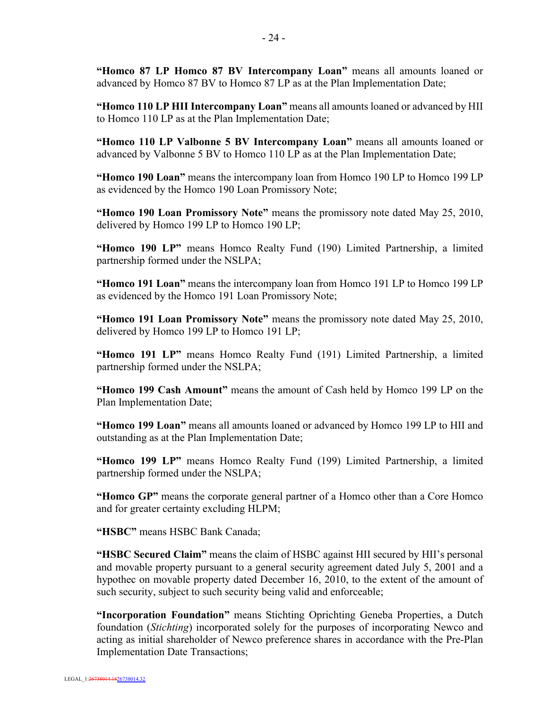**"Homco 87 LP Homco 87 BV Intercompany Loan"** means all amounts loaned or advanced by Homco 87 BV to Homco 87 LP as at the Plan Implementation Date;

**"Homco 110 LP HII Intercompany Loan"** means all amounts loaned or advanced by HII to Homco 110 LP as at the Plan Implementation Date;

**"Homco 110 LP Valbonne 5 BV Intercompany Loan"** means all amounts loaned or advanced by Valbonne 5 BV to Homco 110 LP as at the Plan Implementation Date;

**"Homco 190 Loan"** means the intercompany loan from Homco 190 LP to Homco 199 LP as evidenced by the Homco 190 Loan Promissory Note;

**"Homco 190 Loan Promissory Note"** means the promissory note dated May 25, 2010, delivered by Homco 199 LP to Homco 190 LP;

**"Homco 190 LP"** means Homco Realty Fund (190) Limited Partnership, a limited partnership formed under the NSLPA;

**"Homco 191 Loan"** means the intercompany loan from Homco 191 LP to Homco 199 LP as evidenced by the Homco 191 Loan Promissory Note;

**"Homco 191 Loan Promissory Note"** means the promissory note dated May 25, 2010, delivered by Homco 199 LP to Homco 191 LP;

**"Homco 191 LP"** means Homco Realty Fund (191) Limited Partnership, a limited partnership formed under the NSLPA;

**"Homco 199 Cash Amount"** means the amount of Cash held by Homco 199 LP on the Plan Implementation Date;

**"Homco 199 Loan"** means all amounts loaned or advanced by Homco 199 LP to HII and outstanding as at the Plan Implementation Date;

**"Homco 199 LP"** means Homco Realty Fund (199) Limited Partnership, a limited partnership formed under the NSLPA;

**"Homco GP"** means the corporate general partner of a Homco other than a Core Homco and for greater certainty excluding HLPM;

**"HSBC"** means HSBC Bank Canada;

**"HSBC Secured Claim"** means the claim of HSBC against HII secured by HII's personal and movable property pursuant to a general security agreement dated July 5, 2001 and a hypothec on movable property dated December 16, 2010, to the extent of the amount of such security, subject to such security being valid and enforceable;

**"Incorporation Foundation"** means Stichting Oprichting Geneba Properties, a Dutch foundation (*Stichting*) incorporated solely for the purposes of incorporating Newco and acting as initial shareholder of Newco preference shares in accordance with the Pre-Plan Implementation Date Transactions;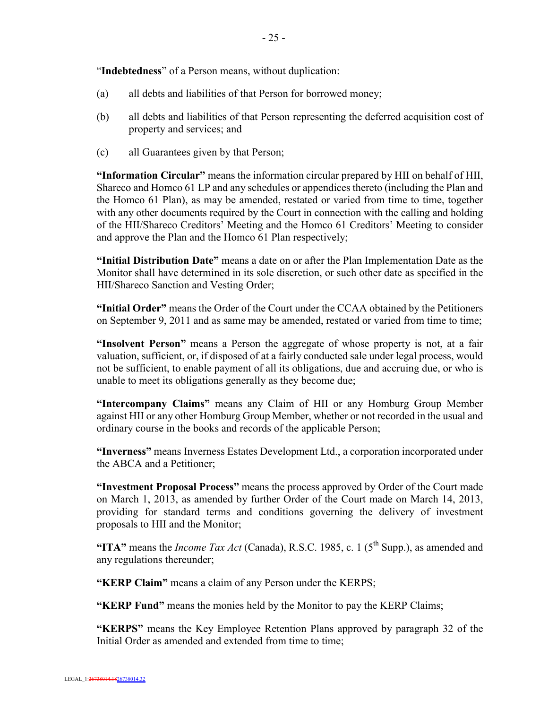"**Indebtedness**" of a Person means, without duplication:

- (a) all debts and liabilities of that Person for borrowed money;
- (b) all debts and liabilities of that Person representing the deferred acquisition cost of property and services; and
- (c) all Guarantees given by that Person;

**"Information Circular"** means the information circular prepared by HII on behalf of HII, Shareco and Homco 61 LP and any schedules or appendices thereto (including the Plan and the Homco 61 Plan), as may be amended, restated or varied from time to time, together with any other documents required by the Court in connection with the calling and holding of the HII/Shareco Creditors' Meeting and the Homco 61 Creditors' Meeting to consider and approve the Plan and the Homco 61 Plan respectively;

**"Initial Distribution Date"** means a date on or after the Plan Implementation Date as the Monitor shall have determined in its sole discretion, or such other date as specified in the HII/Shareco Sanction and Vesting Order;

**"Initial Order"** means the Order of the Court under the CCAA obtained by the Petitioners on September 9, 2011 and as same may be amended, restated or varied from time to time;

**"Insolvent Person"** means a Person the aggregate of whose property is not, at a fair valuation, sufficient, or, if disposed of at a fairly conducted sale under legal process, would not be sufficient, to enable payment of all its obligations, due and accruing due, or who is unable to meet its obligations generally as they become due;

**"Intercompany Claims"** means any Claim of HII or any Homburg Group Member against HII or any other Homburg Group Member, whether or not recorded in the usual and ordinary course in the books and records of the applicable Person;

**"Inverness"** means Inverness Estates Development Ltd., a corporation incorporated under the ABCA and a Petitioner;

**"Investment Proposal Process"** means the process approved by Order of the Court made on March 1, 2013, as amended by further Order of the Court made on March 14, 2013, providing for standard terms and conditions governing the delivery of investment proposals to HII and the Monitor;

**"ITA"** means the *Income Tax Act* (Canada), R.S.C. 1985, c. 1 (5<sup>th</sup> Supp.), as amended and any regulations thereunder;

**"KERP Claim"** means a claim of any Person under the KERPS;

**"KERP Fund"** means the monies held by the Monitor to pay the KERP Claims;

**"KERPS"** means the Key Employee Retention Plans approved by paragraph 32 of the Initial Order as amended and extended from time to time: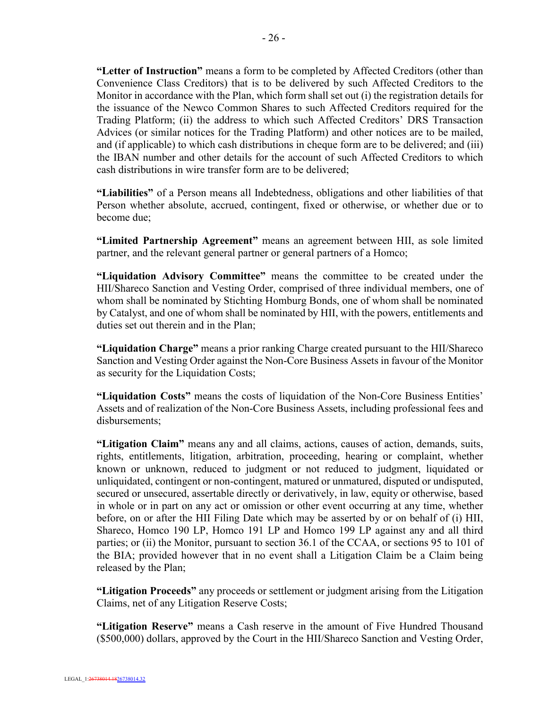**"Letter of Instruction"** means a form to be completed by Affected Creditors (other than Convenience Class Creditors) that is to be delivered by such Affected Creditors to the Monitor in accordance with the Plan, which form shall set out (i) the registration details for the issuance of the Newco Common Shares to such Affected Creditors required for the Trading Platform; (ii) the address to which such Affected Creditors' DRS Transaction Advices (or similar notices for the Trading Platform) and other notices are to be mailed, and (if applicable) to which cash distributions in cheque form are to be delivered; and (iii) the IBAN number and other details for the account of such Affected Creditors to which cash distributions in wire transfer form are to be delivered;

**"Liabilities"** of a Person means all Indebtedness, obligations and other liabilities of that Person whether absolute, accrued, contingent, fixed or otherwise, or whether due or to become due;

**"Limited Partnership Agreement"** means an agreement between HII, as sole limited partner, and the relevant general partner or general partners of a Homco;

**"Liquidation Advisory Committee"** means the committee to be created under the HII/Shareco Sanction and Vesting Order, comprised of three individual members, one of whom shall be nominated by Stichting Homburg Bonds, one of whom shall be nominated by Catalyst, and one of whom shall be nominated by HII, with the powers, entitlements and duties set out therein and in the Plan;

**"Liquidation Charge"** means a prior ranking Charge created pursuant to the HII/Shareco Sanction and Vesting Order against the Non-Core Business Assets in favour of the Monitor as security for the Liquidation Costs;

**"Liquidation Costs"** means the costs of liquidation of the Non-Core Business Entities' Assets and of realization of the Non-Core Business Assets, including professional fees and disbursements;

**"Litigation Claim"** means any and all claims, actions, causes of action, demands, suits, rights, entitlements, litigation, arbitration, proceeding, hearing or complaint, whether known or unknown, reduced to judgment or not reduced to judgment, liquidated or unliquidated, contingent or non-contingent, matured or unmatured, disputed or undisputed, secured or unsecured, assertable directly or derivatively, in law, equity or otherwise, based in whole or in part on any act or omission or other event occurring at any time, whether before, on or after the HII Filing Date which may be asserted by or on behalf of (i) HII, Shareco, Homco 190 LP, Homco 191 LP and Homco 199 LP against any and all third parties; or (ii) the Monitor, pursuant to section 36.1 of the CCAA, or sections 95 to 101 of the BIA; provided however that in no event shall a Litigation Claim be a Claim being released by the Plan;

**"Litigation Proceeds"** any proceeds or settlement or judgment arising from the Litigation Claims, net of any Litigation Reserve Costs;

**"Litigation Reserve"** means a Cash reserve in the amount of Five Hundred Thousand (\$500,000) dollars, approved by the Court in the HII/Shareco Sanction and Vesting Order,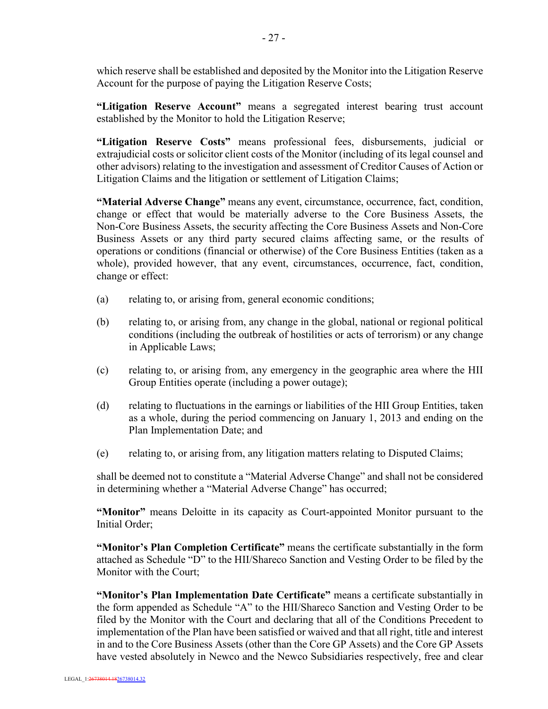which reserve shall be established and deposited by the Monitor into the Litigation Reserve Account for the purpose of paying the Litigation Reserve Costs;

**"Litigation Reserve Account"** means a segregated interest bearing trust account established by the Monitor to hold the Litigation Reserve;

**"Litigation Reserve Costs"** means professional fees, disbursements, judicial or extrajudicial costs or solicitor client costs of the Monitor (including of its legal counsel and other advisors) relating to the investigation and assessment of Creditor Causes of Action or Litigation Claims and the litigation or settlement of Litigation Claims;

**"Material Adverse Change"** means any event, circumstance, occurrence, fact, condition, change or effect that would be materially adverse to the Core Business Assets, the Non-Core Business Assets, the security affecting the Core Business Assets and Non-Core Business Assets or any third party secured claims affecting same, or the results of operations or conditions (financial or otherwise) of the Core Business Entities (taken as a whole), provided however, that any event, circumstances, occurrence, fact, condition, change or effect:

- (a) relating to, or arising from, general economic conditions;
- (b) relating to, or arising from, any change in the global, national or regional political conditions (including the outbreak of hostilities or acts of terrorism) or any change in Applicable Laws;
- (c) relating to, or arising from, any emergency in the geographic area where the HII Group Entities operate (including a power outage);
- (d) relating to fluctuations in the earnings or liabilities of the HII Group Entities, taken as a whole, during the period commencing on January 1, 2013 and ending on the Plan Implementation Date; and
- (e) relating to, or arising from, any litigation matters relating to Disputed Claims;

shall be deemed not to constitute a "Material Adverse Change" and shall not be considered in determining whether a "Material Adverse Change" has occurred;

**"Monitor"** means Deloitte in its capacity as Court-appointed Monitor pursuant to the Initial Order;

**"Monitor's Plan Completion Certificate"** means the certificate substantially in the form attached as Schedule "D" to the HII/Shareco Sanction and Vesting Order to be filed by the Monitor with the Court;

**"Monitor's Plan Implementation Date Certificate"** means a certificate substantially in the form appended as Schedule "A" to the HII/Shareco Sanction and Vesting Order to be filed by the Monitor with the Court and declaring that all of the Conditions Precedent to implementation of the Plan have been satisfied or waived and that all right, title and interest in and to the Core Business Assets (other than the Core GP Assets) and the Core GP Assets have vested absolutely in Newco and the Newco Subsidiaries respectively, free and clear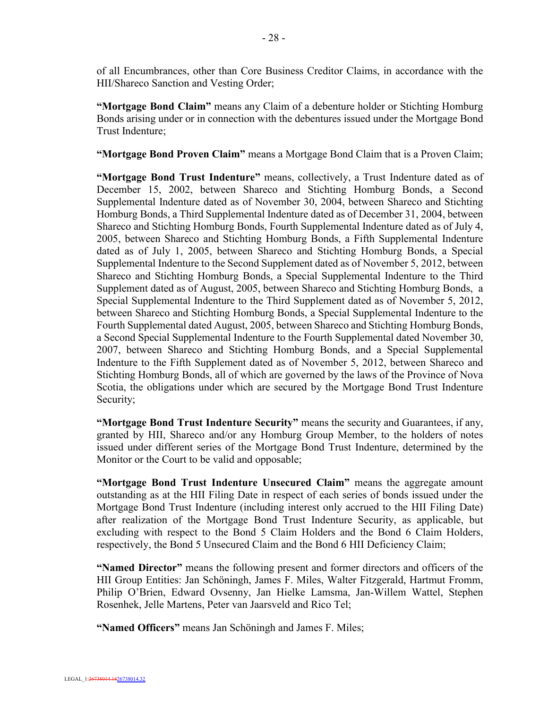of all Encumbrances, other than Core Business Creditor Claims, in accordance with the HII/Shareco Sanction and Vesting Order;

**"Mortgage Bond Claim"** means any Claim of a debenture holder or Stichting Homburg Bonds arising under or in connection with the debentures issued under the Mortgage Bond Trust Indenture;

**"Mortgage Bond Proven Claim"** means a Mortgage Bond Claim that is a Proven Claim;

**"Mortgage Bond Trust Indenture"** means, collectively, a Trust Indenture dated as of December 15, 2002, between Shareco and Stichting Homburg Bonds, a Second Supplemental Indenture dated as of November 30, 2004, between Shareco and Stichting Homburg Bonds, a Third Supplemental Indenture dated as of December 31, 2004, between Shareco and Stichting Homburg Bonds, Fourth Supplemental Indenture dated as of July 4, 2005, between Shareco and Stichting Homburg Bonds, a Fifth Supplemental Indenture dated as of July 1, 2005, between Shareco and Stichting Homburg Bonds, a Special Supplemental Indenture to the Second Supplement dated as of November 5, 2012, between Shareco and Stichting Homburg Bonds, a Special Supplemental Indenture to the Third Supplement dated as of August, 2005, between Shareco and Stichting Homburg Bonds, a Special Supplemental Indenture to the Third Supplement dated as of November 5, 2012, between Shareco and Stichting Homburg Bonds, a Special Supplemental Indenture to the Fourth Supplemental dated August, 2005, between Shareco and Stichting Homburg Bonds, a Second Special Supplemental Indenture to the Fourth Supplemental dated November 30, 2007, between Shareco and Stichting Homburg Bonds, and a Special Supplemental Indenture to the Fifth Supplement dated as of November 5, 2012, between Shareco and Stichting Homburg Bonds, all of which are governed by the laws of the Province of Nova Scotia, the obligations under which are secured by the Mortgage Bond Trust Indenture Security;

**"Mortgage Bond Trust Indenture Security"** means the security and Guarantees, if any, granted by HII, Shareco and/or any Homburg Group Member, to the holders of notes issued under different series of the Mortgage Bond Trust Indenture, determined by the Monitor or the Court to be valid and opposable;

**"Mortgage Bond Trust Indenture Unsecured Claim"** means the aggregate amount outstanding as at the HII Filing Date in respect of each series of bonds issued under the Mortgage Bond Trust Indenture (including interest only accrued to the HII Filing Date) after realization of the Mortgage Bond Trust Indenture Security, as applicable, but excluding with respect to the Bond 5 Claim Holders and the Bond 6 Claim Holders, respectively, the Bond 5 Unsecured Claim and the Bond 6 HII Deficiency Claim;

**"Named Director"** means the following present and former directors and officers of the HII Group Entities: Jan Schöningh, James F. Miles, Walter Fitzgerald, Hartmut Fromm, Philip O'Brien, Edward Ovsenny, Jan Hielke Lamsma, Jan-Willem Wattel, Stephen Rosenhek, Jelle Martens, Peter van Jaarsveld and Rico Tel;

**"Named Officers"** means Jan Schöningh and James F. Miles;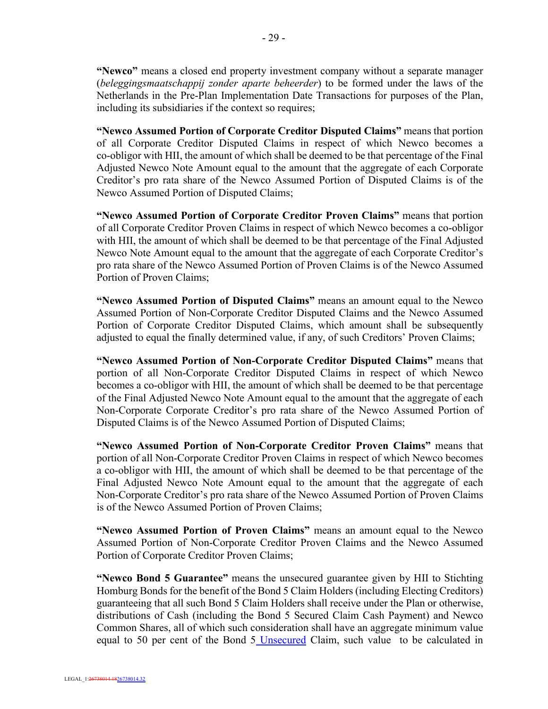**"Newco"** means a closed end property investment company without a separate manager (*beleggingsmaatschappij zonder aparte beheerder*) to be formed under the laws of the Netherlands in the Pre-Plan Implementation Date Transactions for purposes of the Plan, including its subsidiaries if the context so requires;

**"Newco Assumed Portion of Corporate Creditor Disputed Claims"** means that portion of all Corporate Creditor Disputed Claims in respect of which Newco becomes a co-obligor with HII, the amount of which shall be deemed to be that percentage of the Final Adjusted Newco Note Amount equal to the amount that the aggregate of each Corporate Creditor's pro rata share of the Newco Assumed Portion of Disputed Claims is of the Newco Assumed Portion of Disputed Claims;

**"Newco Assumed Portion of Corporate Creditor Proven Claims"** means that portion of all Corporate Creditor Proven Claims in respect of which Newco becomes a co-obligor with HII, the amount of which shall be deemed to be that percentage of the Final Adjusted Newco Note Amount equal to the amount that the aggregate of each Corporate Creditor's pro rata share of the Newco Assumed Portion of Proven Claims is of the Newco Assumed Portion of Proven Claims;

**"Newco Assumed Portion of Disputed Claims"** means an amount equal to the Newco Assumed Portion of Non-Corporate Creditor Disputed Claims and the Newco Assumed Portion of Corporate Creditor Disputed Claims, which amount shall be subsequently adjusted to equal the finally determined value, if any, of such Creditors' Proven Claims;

**"Newco Assumed Portion of Non-Corporate Creditor Disputed Claims"** means that portion of all Non-Corporate Creditor Disputed Claims in respect of which Newco becomes a co-obligor with HII, the amount of which shall be deemed to be that percentage of the Final Adjusted Newco Note Amount equal to the amount that the aggregate of each Non-Corporate Corporate Creditor's pro rata share of the Newco Assumed Portion of Disputed Claims is of the Newco Assumed Portion of Disputed Claims;

**"Newco Assumed Portion of Non-Corporate Creditor Proven Claims"** means that portion of all Non-Corporate Creditor Proven Claims in respect of which Newco becomes a co-obligor with HII, the amount of which shall be deemed to be that percentage of the Final Adjusted Newco Note Amount equal to the amount that the aggregate of each Non-Corporate Creditor's pro rata share of the Newco Assumed Portion of Proven Claims is of the Newco Assumed Portion of Proven Claims;

**"Newco Assumed Portion of Proven Claims"** means an amount equal to the Newco Assumed Portion of Non-Corporate Creditor Proven Claims and the Newco Assumed Portion of Corporate Creditor Proven Claims;

**"Newco Bond 5 Guarantee"** means the unsecured guarantee given by HII to Stichting Homburg Bonds for the benefit of the Bond 5 Claim Holders (including Electing Creditors) guaranteeing that all such Bond 5 Claim Holders shall receive under the Plan or otherwise, distributions of Cash (including the Bond 5 Secured Claim Cash Payment) and Newco Common Shares, all of which such consideration shall have an aggregate minimum value equal to 50 per cent of the Bond 5 Unsecured Claim, such value to be calculated in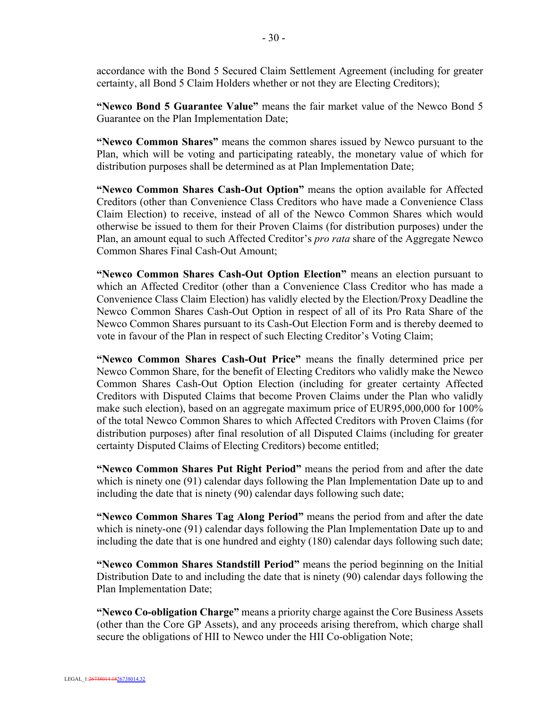accordance with the Bond 5 Secured Claim Settlement Agreement (including for greater certainty, all Bond 5 Claim Holders whether or not they are Electing Creditors);

**"Newco Bond 5 Guarantee Value"** means the fair market value of the Newco Bond 5 Guarantee on the Plan Implementation Date;

**"Newco Common Shares"** means the common shares issued by Newco pursuant to the Plan, which will be voting and participating rateably, the monetary value of which for distribution purposes shall be determined as at Plan Implementation Date;

**"Newco Common Shares Cash-Out Option"** means the option available for Affected Creditors (other than Convenience Class Creditors who have made a Convenience Class Claim Election) to receive, instead of all of the Newco Common Shares which would otherwise be issued to them for their Proven Claims (for distribution purposes) under the Plan, an amount equal to such Affected Creditor's *pro rata* share of the Aggregate Newco Common Shares Final Cash-Out Amount;

**"Newco Common Shares Cash-Out Option Election"** means an election pursuant to which an Affected Creditor (other than a Convenience Class Creditor who has made a Convenience Class Claim Election) has validly elected by the Election/Proxy Deadline the Newco Common Shares Cash-Out Option in respect of all of its Pro Rata Share of the Newco Common Shares pursuant to its Cash-Out Election Form and is thereby deemed to vote in favour of the Plan in respect of such Electing Creditor's Voting Claim;

**"Newco Common Shares Cash-Out Price"** means the finally determined price per Newco Common Share, for the benefit of Electing Creditors who validly make the Newco Common Shares Cash-Out Option Election (including for greater certainty Affected Creditors with Disputed Claims that become Proven Claims under the Plan who validly make such election), based on an aggregate maximum price of EUR95,000,000 for 100% of the total Newco Common Shares to which Affected Creditors with Proven Claims (for distribution purposes) after final resolution of all Disputed Claims (including for greater certainty Disputed Claims of Electing Creditors) become entitled;

**"Newco Common Shares Put Right Period"** means the period from and after the date which is ninety one (91) calendar days following the Plan Implementation Date up to and including the date that is ninety (90) calendar days following such date;

**"Newco Common Shares Tag Along Period"** means the period from and after the date which is ninety-one (91) calendar days following the Plan Implementation Date up to and including the date that is one hundred and eighty (180) calendar days following such date;

**"Newco Common Shares Standstill Period"** means the period beginning on the Initial Distribution Date to and including the date that is ninety (90) calendar days following the Plan Implementation Date;

**"Newco Co-obligation Charge"** means a priority charge against the Core Business Assets (other than the Core GP Assets), and any proceeds arising therefrom, which charge shall secure the obligations of HII to Newco under the HII Co-obligation Note;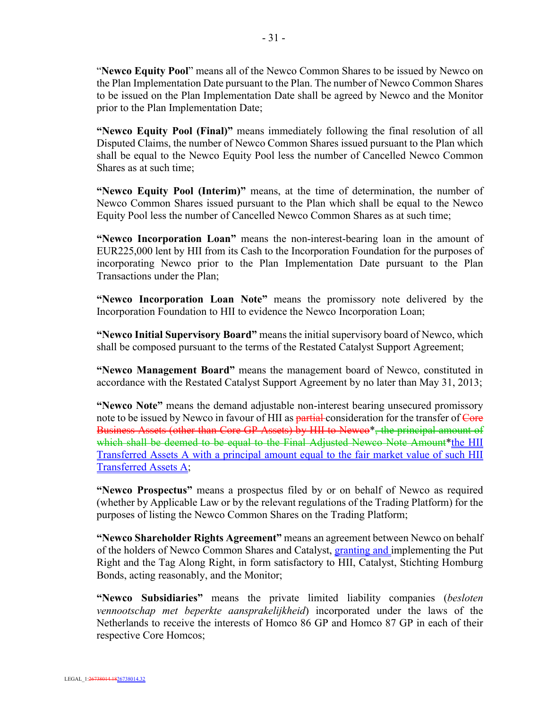"**Newco Equity Pool**" means all of the Newco Common Shares to be issued by Newco on the Plan Implementation Date pursuant to the Plan. The number of Newco Common Shares to be issued on the Plan Implementation Date shall be agreed by Newco and the Monitor prior to the Plan Implementation Date;

**"Newco Equity Pool (Final)"** means immediately following the final resolution of all Disputed Claims, the number of Newco Common Shares issued pursuant to the Plan which shall be equal to the Newco Equity Pool less the number of Cancelled Newco Common Shares as at such time;

**"Newco Equity Pool (Interim)"** means, at the time of determination, the number of Newco Common Shares issued pursuant to the Plan which shall be equal to the Newco Equity Pool less the number of Cancelled Newco Common Shares as at such time;

**"Newco Incorporation Loan"** means the non-interest-bearing loan in the amount of EUR225,000 lent by HII from its Cash to the Incorporation Foundation for the purposes of incorporating Newco prior to the Plan Implementation Date pursuant to the Plan Transactions under the Plan;

**"Newco Incorporation Loan Note"** means the promissory note delivered by the Incorporation Foundation to HII to evidence the Newco Incorporation Loan;

**"Newco Initial Supervisory Board"** means the initial supervisory board of Newco, which shall be composed pursuant to the terms of the Restated Catalyst Support Agreement;

**"Newco Management Board"** means the management board of Newco, constituted in accordance with the Restated Catalyst Support Agreement by no later than May 31, 2013;

**"Newco Note"** means the demand adjustable non-interest bearing unsecured promissory note to be issued by Newco in favour of HII as **partial** consideration for the transfer of Core Business Assets (other than Core GP Assets) by HII to Newco\*, the principal amount of which shall be deemed to be equal to the Final Adjusted Newco Note Amount\*the HII Transferred Assets A with a principal amount equal to the fair market value of such HII Transferred Assets A;

**"Newco Prospectus"** means a prospectus filed by or on behalf of Newco as required (whether by Applicable Law or by the relevant regulations of the Trading Platform) for the purposes of listing the Newco Common Shares on the Trading Platform;

**"Newco Shareholder Rights Agreement"** means an agreement between Newco on behalf of the holders of Newco Common Shares and Catalyst, granting and implementing the Put Right and the Tag Along Right, in form satisfactory to HII, Catalyst, Stichting Homburg Bonds, acting reasonably, and the Monitor;

**"Newco Subsidiaries"** means the private limited liability companies (*besloten vennootschap met beperkte aansprakelijkheid*) incorporated under the laws of the Netherlands to receive the interests of Homco 86 GP and Homco 87 GP in each of their respective Core Homcos;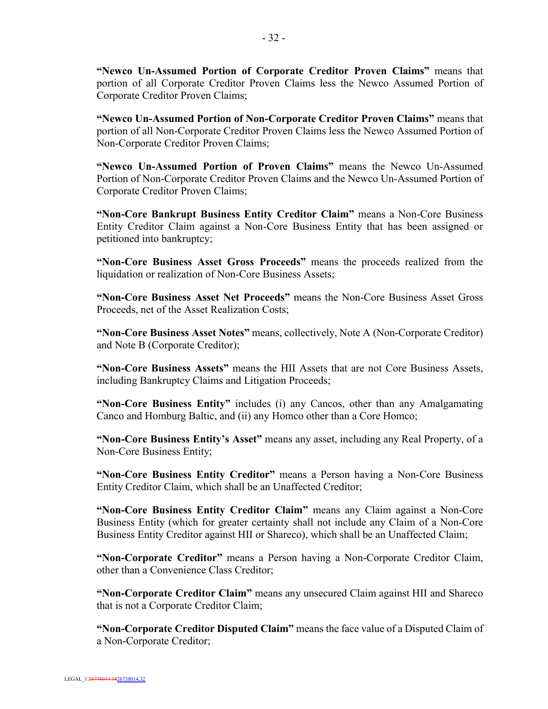**"Newco Un-Assumed Portion of Corporate Creditor Proven Claims"** means that portion of all Corporate Creditor Proven Claims less the Newco Assumed Portion of Corporate Creditor Proven Claims;

**"Newco Un-Assumed Portion of Non-Corporate Creditor Proven Claims"** means that portion of all Non-Corporate Creditor Proven Claims less the Newco Assumed Portion of Non-Corporate Creditor Proven Claims;

**"Newco Un-Assumed Portion of Proven Claims"** means the Newco Un-Assumed Portion of Non-Corporate Creditor Proven Claims and the Newco Un-Assumed Portion of Corporate Creditor Proven Claims;

**"Non-Core Bankrupt Business Entity Creditor Claim"** means a Non-Core Business Entity Creditor Claim against a Non-Core Business Entity that has been assigned or petitioned into bankruptcy;

**"Non-Core Business Asset Gross Proceeds"** means the proceeds realized from the liquidation or realization of Non-Core Business Assets;

**"Non-Core Business Asset Net Proceeds"** means the Non-Core Business Asset Gross Proceeds, net of the Asset Realization Costs;

**"Non-Core Business Asset Notes"** means, collectively, Note A (Non-Corporate Creditor) and Note B (Corporate Creditor);

**"Non-Core Business Assets"** means the HII Assets that are not Core Business Assets, including Bankruptcy Claims and Litigation Proceeds;

**"Non-Core Business Entity"** includes (i) any Cancos, other than any Amalgamating Canco and Homburg Baltic, and (ii) any Homco other than a Core Homco;

**"Non-Core Business Entity's Asset"** means any asset, including any Real Property, of a Non-Core Business Entity;

**"Non-Core Business Entity Creditor"** means a Person having a Non-Core Business Entity Creditor Claim, which shall be an Unaffected Creditor;

**"Non-Core Business Entity Creditor Claim"** means any Claim against a Non-Core Business Entity (which for greater certainty shall not include any Claim of a Non-Core Business Entity Creditor against HII or Shareco), which shall be an Unaffected Claim;

**"Non-Corporate Creditor"** means a Person having a Non-Corporate Creditor Claim, other than a Convenience Class Creditor;

**"Non-Corporate Creditor Claim"** means any unsecured Claim against HII and Shareco that is not a Corporate Creditor Claim;

**"Non-Corporate Creditor Disputed Claim"** means the face value of a Disputed Claim of a Non-Corporate Creditor;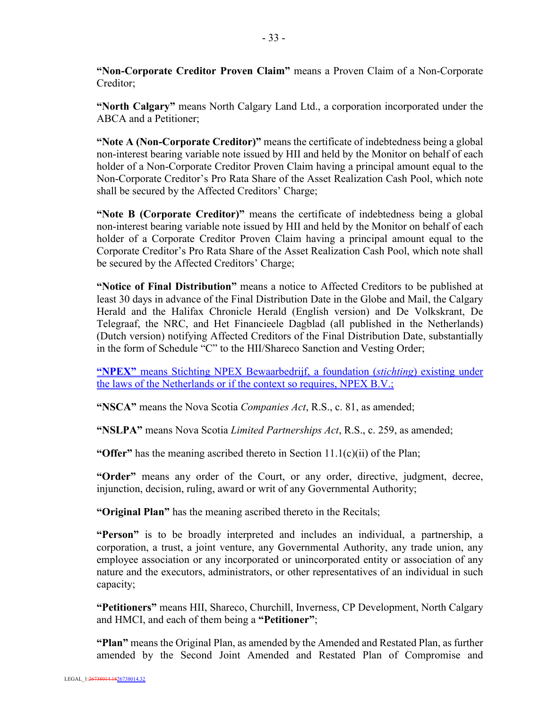**"Non-Corporate Creditor Proven Claim"** means a Proven Claim of a Non-Corporate Creditor;

**"North Calgary"** means North Calgary Land Ltd., a corporation incorporated under the ABCA and a Petitioner;

**"Note A (Non-Corporate Creditor)"** means the certificate of indebtedness being a global non-interest bearing variable note issued by HII and held by the Monitor on behalf of each holder of a Non-Corporate Creditor Proven Claim having a principal amount equal to the Non-Corporate Creditor's Pro Rata Share of the Asset Realization Cash Pool, which note shall be secured by the Affected Creditors' Charge;

**"Note B (Corporate Creditor)"** means the certificate of indebtedness being a global non-interest bearing variable note issued by HII and held by the Monitor on behalf of each holder of a Corporate Creditor Proven Claim having a principal amount equal to the Corporate Creditor's Pro Rata Share of the Asset Realization Cash Pool, which note shall be secured by the Affected Creditors' Charge;

**"Notice of Final Distribution"** means a notice to Affected Creditors to be published at least 30 days in advance of the Final Distribution Date in the Globe and Mail, the Calgary Herald and the Halifax Chronicle Herald (English version) and De Volkskrant, De Telegraaf, the NRC, and Het Financieele Dagblad (all published in the Netherlands) (Dutch version) notifying Affected Creditors of the Final Distribution Date, substantially in the form of Schedule "C" to the HII/Shareco Sanction and Vesting Order;

**"NPEX"** means Stichting NPEX Bewaarbedrijf, a foundation (*stichting*) existing under the laws of the Netherlands or if the context so requires, NPEX B.V.;

**"NSCA"** means the Nova Scotia *Companies Act*, R.S., c. 81, as amended;

**"NSLPA"** means Nova Scotia *Limited Partnerships Act*, R.S., c. 259, as amended;

**"Offer"** has the meaning ascribed thereto in Section 11.1(c)(ii) of the Plan;

**"Order"** means any order of the Court, or any order, directive, judgment, decree, injunction, decision, ruling, award or writ of any Governmental Authority;

**"Original Plan"** has the meaning ascribed thereto in the Recitals;

**"Person"** is to be broadly interpreted and includes an individual, a partnership, a corporation, a trust, a joint venture, any Governmental Authority, any trade union, any employee association or any incorporated or unincorporated entity or association of any nature and the executors, administrators, or other representatives of an individual in such capacity;

**"Petitioners"** means HII, Shareco, Churchill, Inverness, CP Development, North Calgary and HMCI, and each of them being a **"Petitioner"**;

**"Plan"** means the Original Plan, as amended by the Amended and Restated Plan, as further amended by the Second Joint Amended and Restated Plan of Compromise and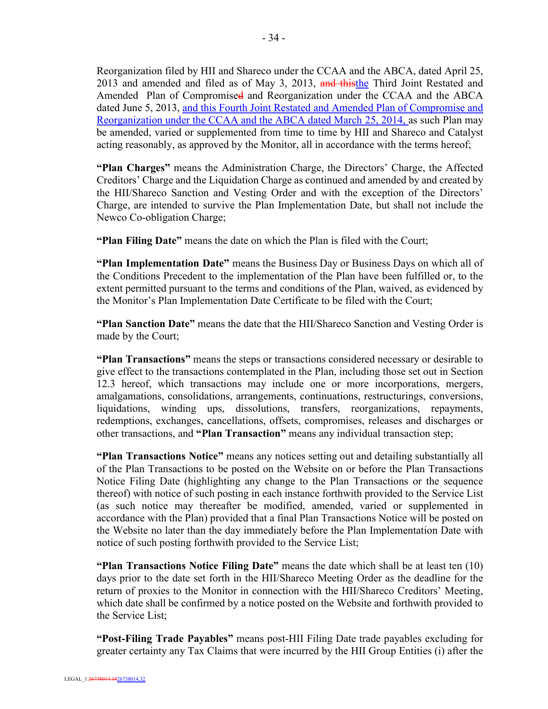Reorganization filed by HII and Shareco under the CCAA and the ABCA, dated April 25, 2013 and amended and filed as of May 3, 2013, and thisthe Third Joint Restated and Amended Plan of Compromised and Reorganization under the CCAA and the ABCA dated June 5, 2013, and this Fourth Joint Restated and Amended Plan of Compromise and Reorganization under the CCAA and the ABCA dated March 25, 2014, as such Plan may be amended, varied or supplemented from time to time by HII and Shareco and Catalyst acting reasonably, as approved by the Monitor, all in accordance with the terms hereof;

**"Plan Charges"** means the Administration Charge, the Directors' Charge, the Affected Creditors' Charge and the Liquidation Charge as continued and amended by and created by the HII/Shareco Sanction and Vesting Order and with the exception of the Directors' Charge, are intended to survive the Plan Implementation Date, but shall not include the Newco Co-obligation Charge;

**"Plan Filing Date"** means the date on which the Plan is filed with the Court;

**"Plan Implementation Date"** means the Business Day or Business Days on which all of the Conditions Precedent to the implementation of the Plan have been fulfilled or, to the extent permitted pursuant to the terms and conditions of the Plan, waived, as evidenced by the Monitor's Plan Implementation Date Certificate to be filed with the Court;

**"Plan Sanction Date"** means the date that the HII/Shareco Sanction and Vesting Order is made by the Court;

**"Plan Transactions"** means the steps or transactions considered necessary or desirable to give effect to the transactions contemplated in the Plan, including those set out in Section 12.3 hereof, which transactions may include one or more incorporations, mergers, amalgamations, consolidations, arrangements, continuations, restructurings, conversions, liquidations, winding ups, dissolutions, transfers, reorganizations, repayments, redemptions, exchanges, cancellations, offsets, compromises, releases and discharges or other transactions, and **"Plan Transaction"** means any individual transaction step;

**"Plan Transactions Notice"** means any notices setting out and detailing substantially all of the Plan Transactions to be posted on the Website on or before the Plan Transactions Notice Filing Date (highlighting any change to the Plan Transactions or the sequence thereof) with notice of such posting in each instance forthwith provided to the Service List (as such notice may thereafter be modified, amended, varied or supplemented in accordance with the Plan) provided that a final Plan Transactions Notice will be posted on the Website no later than the day immediately before the Plan Implementation Date with notice of such posting forthwith provided to the Service List;

**"Plan Transactions Notice Filing Date"** means the date which shall be at least ten (10) days prior to the date set forth in the HII/Shareco Meeting Order as the deadline for the return of proxies to the Monitor in connection with the HII/Shareco Creditors' Meeting, which date shall be confirmed by a notice posted on the Website and forthwith provided to the Service List;

**"Post-Filing Trade Payables"** means post-HII Filing Date trade payables excluding for greater certainty any Tax Claims that were incurred by the HII Group Entities (i) after the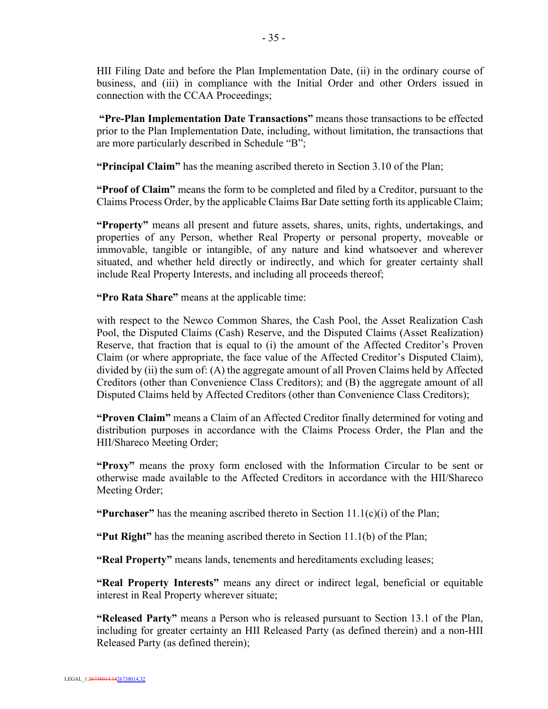HII Filing Date and before the Plan Implementation Date, (ii) in the ordinary course of business, and (iii) in compliance with the Initial Order and other Orders issued in connection with the CCAA Proceedings;

**"Pre-Plan Implementation Date Transactions"** means those transactions to be effected prior to the Plan Implementation Date, including, without limitation, the transactions that are more particularly described in Schedule "B";

**"Principal Claim"** has the meaning ascribed thereto in Section 3.10 of the Plan;

**"Proof of Claim"** means the form to be completed and filed by a Creditor, pursuant to the Claims Process Order, by the applicable Claims Bar Date setting forth its applicable Claim;

**"Property"** means all present and future assets, shares, units, rights, undertakings, and properties of any Person, whether Real Property or personal property, moveable or immovable, tangible or intangible, of any nature and kind whatsoever and wherever situated, and whether held directly or indirectly, and which for greater certainty shall include Real Property Interests, and including all proceeds thereof;

**"Pro Rata Share"** means at the applicable time:

with respect to the Newco Common Shares, the Cash Pool, the Asset Realization Cash Pool, the Disputed Claims (Cash) Reserve, and the Disputed Claims (Asset Realization) Reserve, that fraction that is equal to (i) the amount of the Affected Creditor's Proven Claim (or where appropriate, the face value of the Affected Creditor's Disputed Claim), divided by (ii) the sum of: (A) the aggregate amount of all Proven Claims held by Affected Creditors (other than Convenience Class Creditors); and (B) the aggregate amount of all Disputed Claims held by Affected Creditors (other than Convenience Class Creditors);

**"Proven Claim"** means a Claim of an Affected Creditor finally determined for voting and distribution purposes in accordance with the Claims Process Order, the Plan and the HII/Shareco Meeting Order;

**"Proxy"** means the proxy form enclosed with the Information Circular to be sent or otherwise made available to the Affected Creditors in accordance with the HII/Shareco Meeting Order;

**"Purchaser"** has the meaning ascribed thereto in Section  $11.1(c)(i)$  of the Plan;

**"Put Right"** has the meaning ascribed thereto in Section 11.1(b) of the Plan;

**"Real Property"** means lands, tenements and hereditaments excluding leases;

**"Real Property Interests"** means any direct or indirect legal, beneficial or equitable interest in Real Property wherever situate;

**"Released Party"** means a Person who is released pursuant to Section 13.1 of the Plan, including for greater certainty an HII Released Party (as defined therein) and a non-HII Released Party (as defined therein);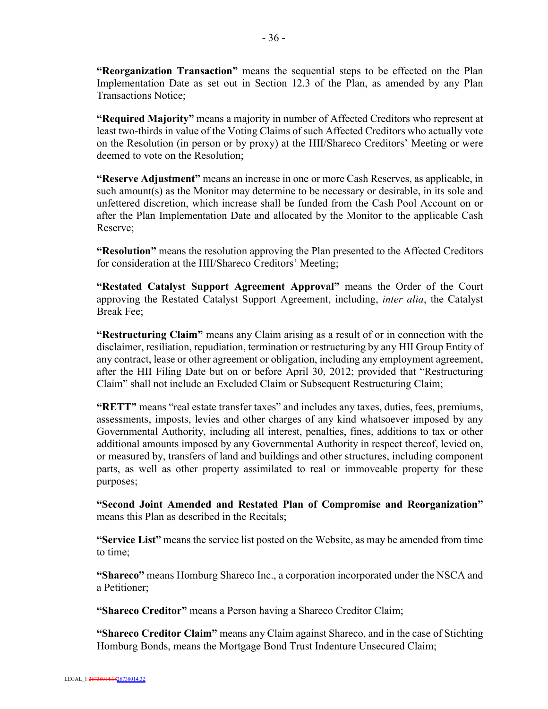**"Reorganization Transaction"** means the sequential steps to be effected on the Plan Implementation Date as set out in Section 12.3 of the Plan, as amended by any Plan Transactions Notice;

**"Required Majority"** means a majority in number of Affected Creditors who represent at least two-thirds in value of the Voting Claims of such Affected Creditors who actually vote on the Resolution (in person or by proxy) at the HII/Shareco Creditors' Meeting or were deemed to vote on the Resolution;

**"Reserve Adjustment"** means an increase in one or more Cash Reserves, as applicable, in such amount(s) as the Monitor may determine to be necessary or desirable, in its sole and unfettered discretion, which increase shall be funded from the Cash Pool Account on or after the Plan Implementation Date and allocated by the Monitor to the applicable Cash Reserve;

**"Resolution"** means the resolution approving the Plan presented to the Affected Creditors for consideration at the HII/Shareco Creditors' Meeting;

**"Restated Catalyst Support Agreement Approval"** means the Order of the Court approving the Restated Catalyst Support Agreement, including, *inter alia*, the Catalyst Break Fee;

**"Restructuring Claim"** means any Claim arising as a result of or in connection with the disclaimer, resiliation, repudiation, termination or restructuring by any HII Group Entity of any contract, lease or other agreement or obligation, including any employment agreement, after the HII Filing Date but on or before April 30, 2012; provided that "Restructuring Claim" shall not include an Excluded Claim or Subsequent Restructuring Claim;

**"RETT"** means "real estate transfer taxes" and includes any taxes, duties, fees, premiums, assessments, imposts, levies and other charges of any kind whatsoever imposed by any Governmental Authority, including all interest, penalties, fines, additions to tax or other additional amounts imposed by any Governmental Authority in respect thereof, levied on, or measured by, transfers of land and buildings and other structures, including component parts, as well as other property assimilated to real or immoveable property for these purposes;

**"Second Joint Amended and Restated Plan of Compromise and Reorganization"**  means this Plan as described in the Recitals;

**"Service List"** means the service list posted on the Website, as may be amended from time to time;

**"Shareco"** means Homburg Shareco Inc., a corporation incorporated under the NSCA and a Petitioner;

**"Shareco Creditor"** means a Person having a Shareco Creditor Claim;

**"Shareco Creditor Claim"** means any Claim against Shareco, and in the case of Stichting Homburg Bonds, means the Mortgage Bond Trust Indenture Unsecured Claim;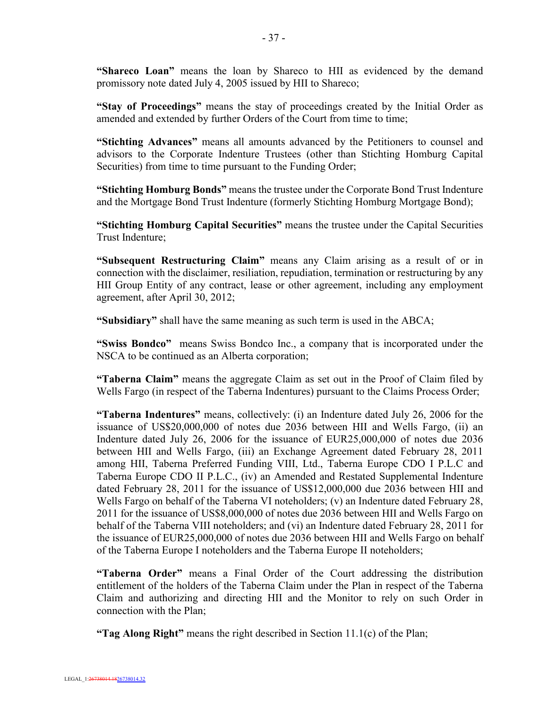**"Shareco Loan"** means the loan by Shareco to HII as evidenced by the demand promissory note dated July 4, 2005 issued by HII to Shareco;

**"Stay of Proceedings"** means the stay of proceedings created by the Initial Order as amended and extended by further Orders of the Court from time to time;

**"Stichting Advances"** means all amounts advanced by the Petitioners to counsel and advisors to the Corporate Indenture Trustees (other than Stichting Homburg Capital Securities) from time to time pursuant to the Funding Order;

**"Stichting Homburg Bonds"** means the trustee under the Corporate Bond Trust Indenture and the Mortgage Bond Trust Indenture (formerly Stichting Homburg Mortgage Bond);

**"Stichting Homburg Capital Securities"** means the trustee under the Capital Securities Trust Indenture;

**"Subsequent Restructuring Claim"** means any Claim arising as a result of or in connection with the disclaimer, resiliation, repudiation, termination or restructuring by any HII Group Entity of any contract, lease or other agreement, including any employment agreement, after April 30, 2012;

**"Subsidiary"** shall have the same meaning as such term is used in the ABCA;

**"Swiss Bondco"** means Swiss Bondco Inc., a company that is incorporated under the NSCA to be continued as an Alberta corporation;

**"Taberna Claim"** means the aggregate Claim as set out in the Proof of Claim filed by Wells Fargo (in respect of the Taberna Indentures) pursuant to the Claims Process Order;

**"Taberna Indentures"** means, collectively: (i) an Indenture dated July 26, 2006 for the issuance of US\$20,000,000 of notes due 2036 between HII and Wells Fargo, (ii) an Indenture dated July 26, 2006 for the issuance of EUR25,000,000 of notes due 2036 between HII and Wells Fargo, (iii) an Exchange Agreement dated February 28, 2011 among HII, Taberna Preferred Funding VIII, Ltd., Taberna Europe CDO I P.L.C and Taberna Europe CDO II P.L.C., (iv) an Amended and Restated Supplemental Indenture dated February 28, 2011 for the issuance of US\$12,000,000 due 2036 between HII and Wells Fargo on behalf of the Taberna VI noteholders; (v) an Indenture dated February 28, 2011 for the issuance of US\$8,000,000 of notes due 2036 between HII and Wells Fargo on behalf of the Taberna VIII noteholders; and (vi) an Indenture dated February 28, 2011 for the issuance of EUR25,000,000 of notes due 2036 between HII and Wells Fargo on behalf of the Taberna Europe I noteholders and the Taberna Europe II noteholders;

**"Taberna Order"** means a Final Order of the Court addressing the distribution entitlement of the holders of the Taberna Claim under the Plan in respect of the Taberna Claim and authorizing and directing HII and the Monitor to rely on such Order in connection with the Plan;

**"Tag Along Right"** means the right described in Section 11.1(c) of the Plan;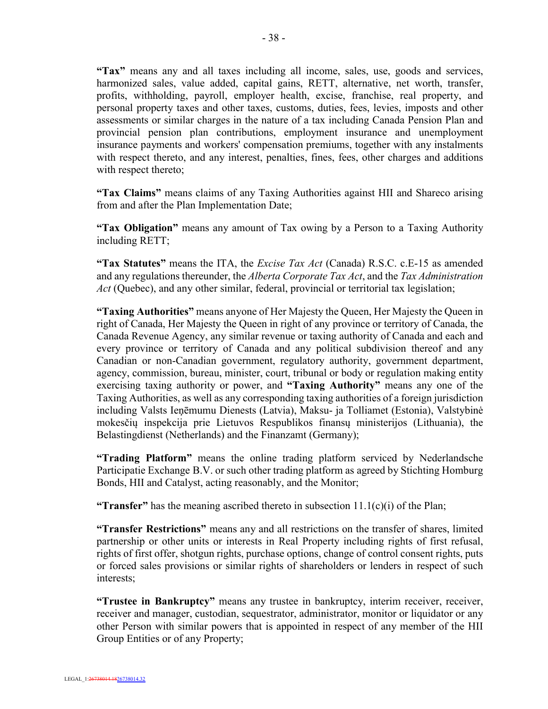**"Tax"** means any and all taxes including all income, sales, use, goods and services, harmonized sales, value added, capital gains, RETT, alternative, net worth, transfer, profits, withholding, payroll, employer health, excise, franchise, real property, and personal property taxes and other taxes, customs, duties, fees, levies, imposts and other assessments or similar charges in the nature of a tax including Canada Pension Plan and provincial pension plan contributions, employment insurance and unemployment insurance payments and workers' compensation premiums, together with any instalments with respect thereto, and any interest, penalties, fines, fees, other charges and additions with respect thereto;

**"Tax Claims"** means claims of any Taxing Authorities against HII and Shareco arising from and after the Plan Implementation Date;

**"Tax Obligation"** means any amount of Tax owing by a Person to a Taxing Authority including RETT;

**"Tax Statutes"** means the ITA, the *Excise Tax Act* (Canada) R.S.C. c.E-15 as amended and any regulations thereunder, the *Alberta Corporate Tax Act*, and the *Tax Administration Act* (Quebec), and any other similar, federal, provincial or territorial tax legislation;

**"Taxing Authorities"** means anyone of Her Majesty the Queen, Her Majesty the Queen in right of Canada, Her Majesty the Queen in right of any province or territory of Canada, the Canada Revenue Agency, any similar revenue or taxing authority of Canada and each and every province or territory of Canada and any political subdivision thereof and any Canadian or non-Canadian government, regulatory authority, government department, agency, commission, bureau, minister, court, tribunal or body or regulation making entity exercising taxing authority or power, and **"Taxing Authority"** means any one of the Taxing Authorities, as well as any corresponding taxing authorities of a foreign jurisdiction including Valsts Ieņēmumu Dienests (Latvia), Maksu- ja Tolliamet (Estonia), Valstybinė mokesčių inspekcija prie Lietuvos Respublikos finansų ministerijos (Lithuania), the Belastingdienst (Netherlands) and the Finanzamt (Germany);

**"Trading Platform"** means the online trading platform serviced by Nederlandsche Participatie Exchange B.V. or such other trading platform as agreed by Stichting Homburg Bonds, HII and Catalyst, acting reasonably, and the Monitor;

**"Transfer"** has the meaning ascribed thereto in subsection 11.1(c)(i) of the Plan;

**"Transfer Restrictions"** means any and all restrictions on the transfer of shares, limited partnership or other units or interests in Real Property including rights of first refusal, rights of first offer, shotgun rights, purchase options, change of control consent rights, puts or forced sales provisions or similar rights of shareholders or lenders in respect of such interests;

**"Trustee in Bankruptcy"** means any trustee in bankruptcy, interim receiver, receiver, receiver and manager, custodian, sequestrator, administrator, monitor or liquidator or any other Person with similar powers that is appointed in respect of any member of the HII Group Entities or of any Property;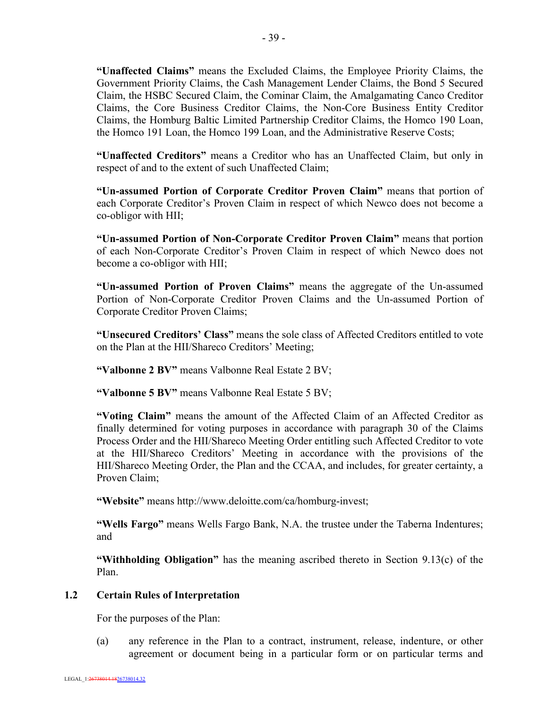**"Unaffected Claims"** means the Excluded Claims, the Employee Priority Claims, the Government Priority Claims, the Cash Management Lender Claims, the Bond 5 Secured Claim, the HSBC Secured Claim, the Cominar Claim, the Amalgamating Canco Creditor Claims, the Core Business Creditor Claims, the Non-Core Business Entity Creditor Claims, the Homburg Baltic Limited Partnership Creditor Claims, the Homco 190 Loan, the Homco 191 Loan, the Homco 199 Loan, and the Administrative Reserve Costs;

**"Unaffected Creditors"** means a Creditor who has an Unaffected Claim, but only in respect of and to the extent of such Unaffected Claim;

**"Un-assumed Portion of Corporate Creditor Proven Claim"** means that portion of each Corporate Creditor's Proven Claim in respect of which Newco does not become a co-obligor with HII;

**"Un-assumed Portion of Non-Corporate Creditor Proven Claim"** means that portion of each Non-Corporate Creditor's Proven Claim in respect of which Newco does not become a co-obligor with HII;

**"Un-assumed Portion of Proven Claims"** means the aggregate of the Un-assumed Portion of Non-Corporate Creditor Proven Claims and the Un-assumed Portion of Corporate Creditor Proven Claims;

**"Unsecured Creditors' Class"** means the sole class of Affected Creditors entitled to vote on the Plan at the HII/Shareco Creditors' Meeting;

**"Valbonne 2 BV"** means Valbonne Real Estate 2 BV;

**"Valbonne 5 BV"** means Valbonne Real Estate 5 BV;

**"Voting Claim"** means the amount of the Affected Claim of an Affected Creditor as finally determined for voting purposes in accordance with paragraph 30 of the Claims Process Order and the HII/Shareco Meeting Order entitling such Affected Creditor to vote at the HII/Shareco Creditors' Meeting in accordance with the provisions of the HII/Shareco Meeting Order, the Plan and the CCAA, and includes, for greater certainty, a Proven Claim;

**"Website"** means http://www.deloitte.com/ca/homburg-invest;

**"Wells Fargo"** means Wells Fargo Bank, N.A. the trustee under the Taberna Indentures; and

**"Withholding Obligation"** has the meaning ascribed thereto in Section 9.13(c) of the Plan.

#### **1.2 Certain Rules of Interpretation**

For the purposes of the Plan:

(a) any reference in the Plan to a contract, instrument, release, indenture, or other agreement or document being in a particular form or on particular terms and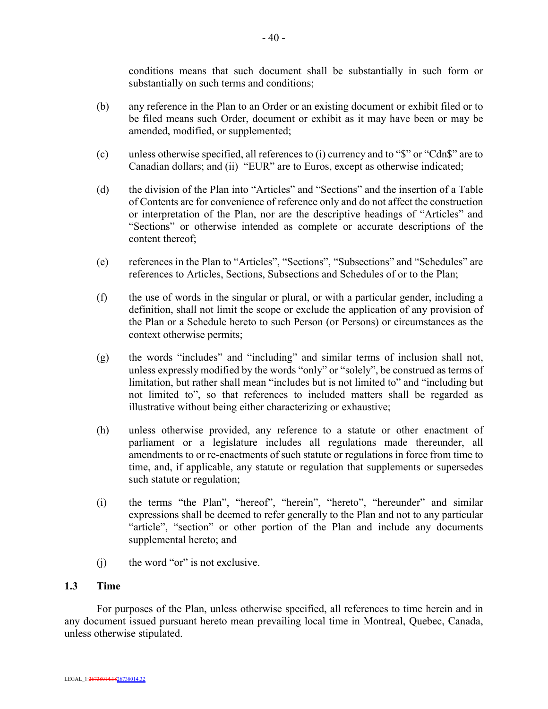conditions means that such document shall be substantially in such form or substantially on such terms and conditions;

- (b) any reference in the Plan to an Order or an existing document or exhibit filed or to be filed means such Order, document or exhibit as it may have been or may be amended, modified, or supplemented;
- (c) unless otherwise specified, all references to (i) currency and to "\$" or "Cdn\$" are to Canadian dollars; and (ii) "EUR" are to Euros, except as otherwise indicated;
- (d) the division of the Plan into "Articles" and "Sections" and the insertion of a Table of Contents are for convenience of reference only and do not affect the construction or interpretation of the Plan, nor are the descriptive headings of "Articles" and "Sections" or otherwise intended as complete or accurate descriptions of the content thereof;
- (e) references in the Plan to "Articles", "Sections", "Subsections" and "Schedules" are references to Articles, Sections, Subsections and Schedules of or to the Plan;
- (f) the use of words in the singular or plural, or with a particular gender, including a definition, shall not limit the scope or exclude the application of any provision of the Plan or a Schedule hereto to such Person (or Persons) or circumstances as the context otherwise permits;
- (g) the words "includes" and "including" and similar terms of inclusion shall not, unless expressly modified by the words "only" or "solely", be construed as terms of limitation, but rather shall mean "includes but is not limited to" and "including but not limited to", so that references to included matters shall be regarded as illustrative without being either characterizing or exhaustive;
- (h) unless otherwise provided, any reference to a statute or other enactment of parliament or a legislature includes all regulations made thereunder, all amendments to or re-enactments of such statute or regulations in force from time to time, and, if applicable, any statute or regulation that supplements or supersedes such statute or regulation;
- (i) the terms "the Plan", "hereof", "herein", "hereto", "hereunder" and similar expressions shall be deemed to refer generally to the Plan and not to any particular "article", "section" or other portion of the Plan and include any documents supplemental hereto; and
- (i) the word "or" is not exclusive.

### **1.3 Time**

For purposes of the Plan, unless otherwise specified, all references to time herein and in any document issued pursuant hereto mean prevailing local time in Montreal, Quebec, Canada, unless otherwise stipulated.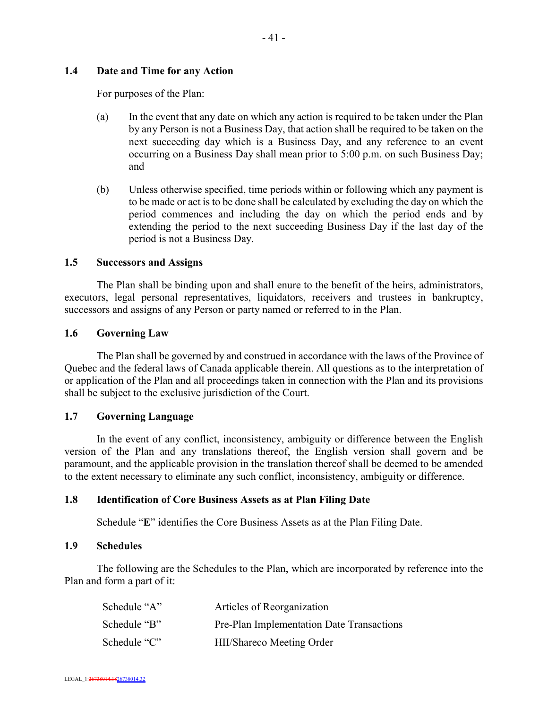### **1.4 Date and Time for any Action**

For purposes of the Plan:

- (a) In the event that any date on which any action is required to be taken under the Plan by any Person is not a Business Day, that action shall be required to be taken on the next succeeding day which is a Business Day, and any reference to an event occurring on a Business Day shall mean prior to 5:00 p.m. on such Business Day; and
- (b) Unless otherwise specified, time periods within or following which any payment is to be made or act is to be done shall be calculated by excluding the day on which the period commences and including the day on which the period ends and by extending the period to the next succeeding Business Day if the last day of the period is not a Business Day.

### **1.5 Successors and Assigns**

The Plan shall be binding upon and shall enure to the benefit of the heirs, administrators, executors, legal personal representatives, liquidators, receivers and trustees in bankruptcy, successors and assigns of any Person or party named or referred to in the Plan.

### **1.6 Governing Law**

The Plan shall be governed by and construed in accordance with the laws of the Province of Quebec and the federal laws of Canada applicable therein. All questions as to the interpretation of or application of the Plan and all proceedings taken in connection with the Plan and its provisions shall be subject to the exclusive jurisdiction of the Court.

### **1.7 Governing Language**

In the event of any conflict, inconsistency, ambiguity or difference between the English version of the Plan and any translations thereof, the English version shall govern and be paramount, and the applicable provision in the translation thereof shall be deemed to be amended to the extent necessary to eliminate any such conflict, inconsistency, ambiguity or difference.

### **1.8 Identification of Core Business Assets as at Plan Filing Date**

Schedule "**E**" identifies the Core Business Assets as at the Plan Filing Date.

#### **1.9 Schedules**

The following are the Schedules to the Plan, which are incorporated by reference into the Plan and form a part of it:

| Schedule "A" | Articles of Reorganization                |
|--------------|-------------------------------------------|
| Schedule "B" | Pre-Plan Implementation Date Transactions |
| Schedule "C" | HII/Shareco Meeting Order                 |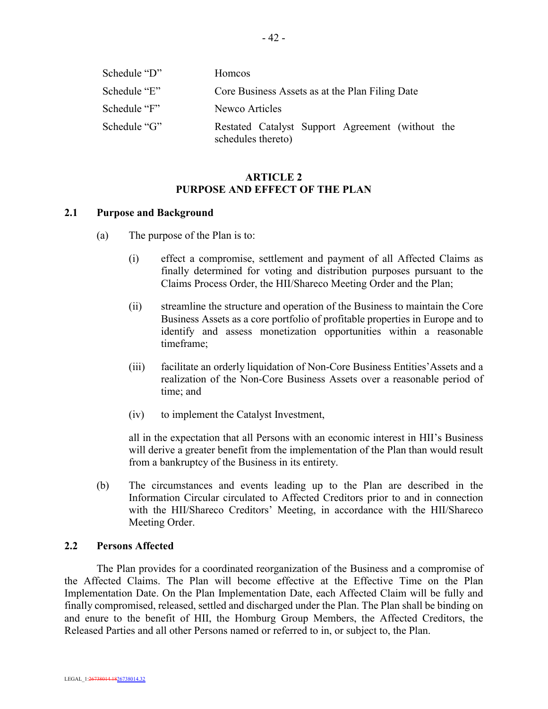| Schedule "D" | <b>Homcos</b>                                                          |
|--------------|------------------------------------------------------------------------|
| Schedule "E" | Core Business Assets as at the Plan Filing Date                        |
| Schedule "F" | Newco Articles                                                         |
| Schedule "G" | Restated Catalyst Support Agreement (without the<br>schedules thereto) |

### **ARTICLE 2 PURPOSE AND EFFECT OF THE PLAN**

#### **2.1 Purpose and Background**

- (a) The purpose of the Plan is to:
	- (i) effect a compromise, settlement and payment of all Affected Claims as finally determined for voting and distribution purposes pursuant to the Claims Process Order, the HII/Shareco Meeting Order and the Plan;
	- (ii) streamline the structure and operation of the Business to maintain the Core Business Assets as a core portfolio of profitable properties in Europe and to identify and assess monetization opportunities within a reasonable timeframe;
	- (iii) facilitate an orderly liquidation of Non-Core Business Entities'Assets and a realization of the Non-Core Business Assets over a reasonable period of time; and
	- (iv) to implement the Catalyst Investment,

all in the expectation that all Persons with an economic interest in HII's Business will derive a greater benefit from the implementation of the Plan than would result from a bankruptcy of the Business in its entirety.

(b) The circumstances and events leading up to the Plan are described in the Information Circular circulated to Affected Creditors prior to and in connection with the HII/Shareco Creditors' Meeting, in accordance with the HII/Shareco Meeting Order.

#### **2.2 Persons Affected**

The Plan provides for a coordinated reorganization of the Business and a compromise of the Affected Claims. The Plan will become effective at the Effective Time on the Plan Implementation Date. On the Plan Implementation Date, each Affected Claim will be fully and finally compromised, released, settled and discharged under the Plan. The Plan shall be binding on and enure to the benefit of HII, the Homburg Group Members, the Affected Creditors, the Released Parties and all other Persons named or referred to in, or subject to, the Plan.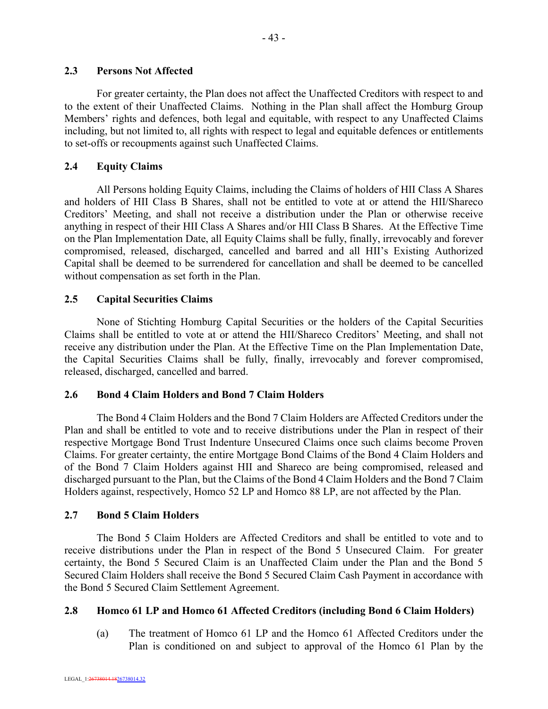For greater certainty, the Plan does not affect the Unaffected Creditors with respect to and to the extent of their Unaffected Claims. Nothing in the Plan shall affect the Homburg Group Members' rights and defences, both legal and equitable, with respect to any Unaffected Claims including, but not limited to, all rights with respect to legal and equitable defences or entitlements to set-offs or recoupments against such Unaffected Claims.

# **2.4 Equity Claims**

All Persons holding Equity Claims, including the Claims of holders of HII Class A Shares and holders of HII Class B Shares, shall not be entitled to vote at or attend the HII/Shareco Creditors' Meeting, and shall not receive a distribution under the Plan or otherwise receive anything in respect of their HII Class A Shares and/or HII Class B Shares. At the Effective Time on the Plan Implementation Date, all Equity Claims shall be fully, finally, irrevocably and forever compromised, released, discharged, cancelled and barred and all HII's Existing Authorized Capital shall be deemed to be surrendered for cancellation and shall be deemed to be cancelled without compensation as set forth in the Plan.

# **2.5 Capital Securities Claims**

None of Stichting Homburg Capital Securities or the holders of the Capital Securities Claims shall be entitled to vote at or attend the HII/Shareco Creditors' Meeting, and shall not receive any distribution under the Plan. At the Effective Time on the Plan Implementation Date, the Capital Securities Claims shall be fully, finally, irrevocably and forever compromised, released, discharged, cancelled and barred.

## **2.6 Bond 4 Claim Holders and Bond 7 Claim Holders**

The Bond 4 Claim Holders and the Bond 7 Claim Holders are Affected Creditors under the Plan and shall be entitled to vote and to receive distributions under the Plan in respect of their respective Mortgage Bond Trust Indenture Unsecured Claims once such claims become Proven Claims. For greater certainty, the entire Mortgage Bond Claims of the Bond 4 Claim Holders and of the Bond 7 Claim Holders against HII and Shareco are being compromised, released and discharged pursuant to the Plan, but the Claims of the Bond 4 Claim Holders and the Bond 7 Claim Holders against, respectively, Homco 52 LP and Homco 88 LP, are not affected by the Plan.

## **2.7 Bond 5 Claim Holders**

The Bond 5 Claim Holders are Affected Creditors and shall be entitled to vote and to receive distributions under the Plan in respect of the Bond 5 Unsecured Claim. For greater certainty, the Bond 5 Secured Claim is an Unaffected Claim under the Plan and the Bond 5 Secured Claim Holders shall receive the Bond 5 Secured Claim Cash Payment in accordance with the Bond 5 Secured Claim Settlement Agreement.

## **2.8 Homco 61 LP and Homco 61 Affected Creditors (including Bond 6 Claim Holders)**

(a) The treatment of Homco 61 LP and the Homco 61 Affected Creditors under the Plan is conditioned on and subject to approval of the Homco 61 Plan by the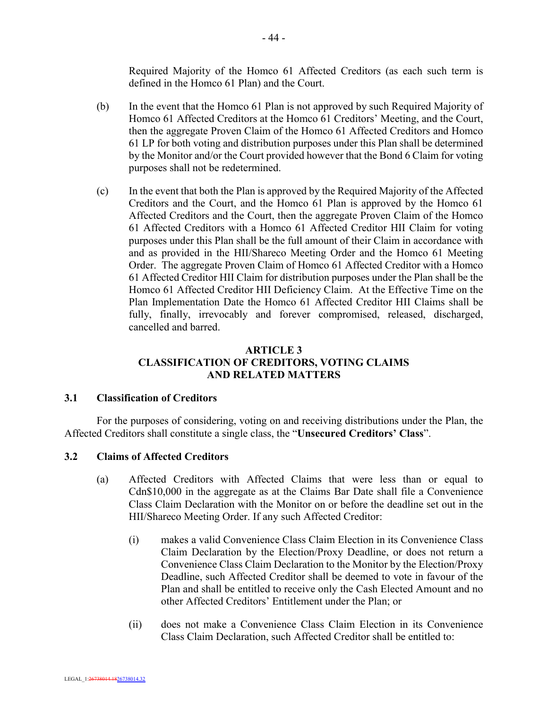Required Majority of the Homco 61 Affected Creditors (as each such term is defined in the Homco 61 Plan) and the Court.

- (b) In the event that the Homco 61 Plan is not approved by such Required Majority of Homco 61 Affected Creditors at the Homco 61 Creditors' Meeting, and the Court, then the aggregate Proven Claim of the Homco 61 Affected Creditors and Homco 61 LP for both voting and distribution purposes under this Plan shall be determined by the Monitor and/or the Court provided however that the Bond 6 Claim for voting purposes shall not be redetermined.
- (c) In the event that both the Plan is approved by the Required Majority of the Affected Creditors and the Court, and the Homco 61 Plan is approved by the Homco 61 Affected Creditors and the Court, then the aggregate Proven Claim of the Homco 61 Affected Creditors with a Homco 61 Affected Creditor HII Claim for voting purposes under this Plan shall be the full amount of their Claim in accordance with and as provided in the HII/Shareco Meeting Order and the Homco 61 Meeting Order. The aggregate Proven Claim of Homco 61 Affected Creditor with a Homco 61 Affected Creditor HII Claim for distribution purposes under the Plan shall be the Homco 61 Affected Creditor HII Deficiency Claim. At the Effective Time on the Plan Implementation Date the Homco 61 Affected Creditor HII Claims shall be fully, finally, irrevocably and forever compromised, released, discharged, cancelled and barred.

## **ARTICLE 3 CLASSIFICATION OF CREDITORS, VOTING CLAIMS AND RELATED MATTERS**

### **3.1 Classification of Creditors**

For the purposes of considering, voting on and receiving distributions under the Plan, the Affected Creditors shall constitute a single class, the "**Unsecured Creditors' Class**".

## **3.2 Claims of Affected Creditors**

- (a) Affected Creditors with Affected Claims that were less than or equal to Cdn\$10,000 in the aggregate as at the Claims Bar Date shall file a Convenience Class Claim Declaration with the Monitor on or before the deadline set out in the HII/Shareco Meeting Order. If any such Affected Creditor:
	- (i) makes a valid Convenience Class Claim Election in its Convenience Class Claim Declaration by the Election/Proxy Deadline, or does not return a Convenience Class Claim Declaration to the Monitor by the Election/Proxy Deadline, such Affected Creditor shall be deemed to vote in favour of the Plan and shall be entitled to receive only the Cash Elected Amount and no other Affected Creditors' Entitlement under the Plan; or
	- (ii) does not make a Convenience Class Claim Election in its Convenience Class Claim Declaration, such Affected Creditor shall be entitled to: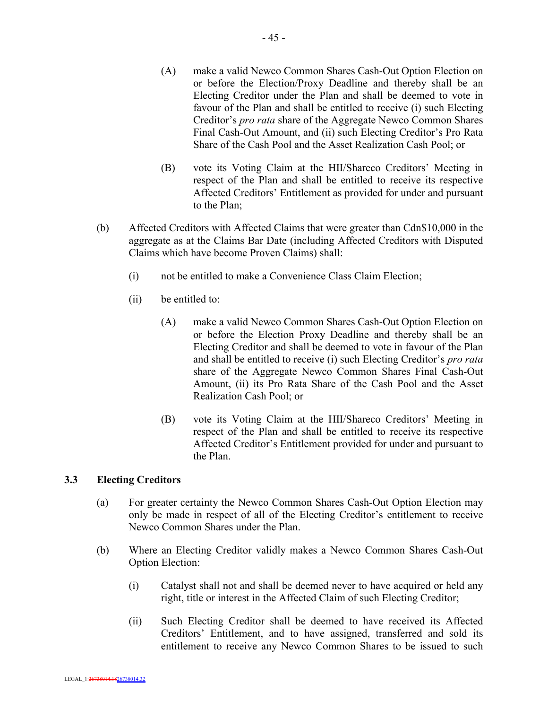- 45 -

- (A) make a valid Newco Common Shares Cash-Out Option Election on or before the Election/Proxy Deadline and thereby shall be an Electing Creditor under the Plan and shall be deemed to vote in favour of the Plan and shall be entitled to receive (i) such Electing Creditor's *pro rata* share of the Aggregate Newco Common Shares Final Cash-Out Amount, and (ii) such Electing Creditor's Pro Rata Share of the Cash Pool and the Asset Realization Cash Pool; or
- (B) vote its Voting Claim at the HII/Shareco Creditors' Meeting in respect of the Plan and shall be entitled to receive its respective Affected Creditors' Entitlement as provided for under and pursuant to the Plan;
- (b) Affected Creditors with Affected Claims that were greater than Cdn\$10,000 in the aggregate as at the Claims Bar Date (including Affected Creditors with Disputed Claims which have become Proven Claims) shall:
	- (i) not be entitled to make a Convenience Class Claim Election;
	- (ii) be entitled to:
		- (A) make a valid Newco Common Shares Cash-Out Option Election on or before the Election Proxy Deadline and thereby shall be an Electing Creditor and shall be deemed to vote in favour of the Plan and shall be entitled to receive (i) such Electing Creditor's *pro rata* share of the Aggregate Newco Common Shares Final Cash-Out Amount, (ii) its Pro Rata Share of the Cash Pool and the Asset Realization Cash Pool; or
		- (B) vote its Voting Claim at the HII/Shareco Creditors' Meeting in respect of the Plan and shall be entitled to receive its respective Affected Creditor's Entitlement provided for under and pursuant to the Plan.

## **3.3 Electing Creditors**

- (a) For greater certainty the Newco Common Shares Cash-Out Option Election may only be made in respect of all of the Electing Creditor's entitlement to receive Newco Common Shares under the Plan.
- (b) Where an Electing Creditor validly makes a Newco Common Shares Cash-Out Option Election:
	- (i) Catalyst shall not and shall be deemed never to have acquired or held any right, title or interest in the Affected Claim of such Electing Creditor;
	- (ii) Such Electing Creditor shall be deemed to have received its Affected Creditors' Entitlement, and to have assigned, transferred and sold its entitlement to receive any Newco Common Shares to be issued to such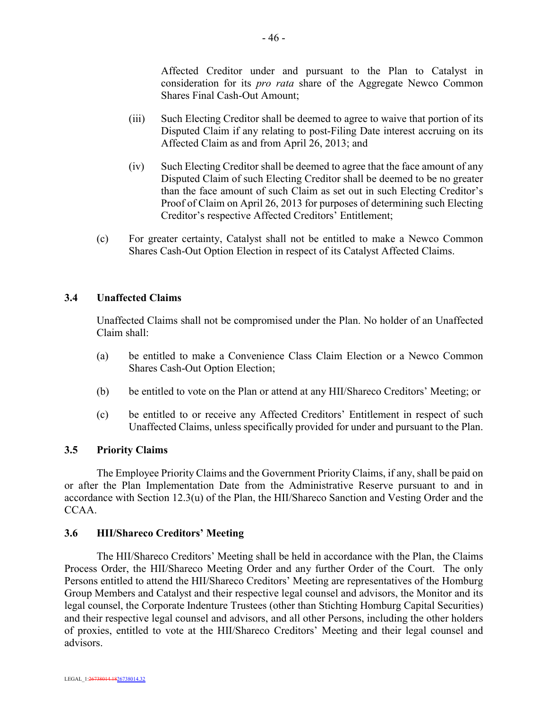Affected Creditor under and pursuant to the Plan to Catalyst in consideration for its *pro rata* share of the Aggregate Newco Common Shares Final Cash-Out Amount;

- (iii) Such Electing Creditor shall be deemed to agree to waive that portion of its Disputed Claim if any relating to post-Filing Date interest accruing on its Affected Claim as and from April 26, 2013; and
- (iv) Such Electing Creditor shall be deemed to agree that the face amount of any Disputed Claim of such Electing Creditor shall be deemed to be no greater than the face amount of such Claim as set out in such Electing Creditor's Proof of Claim on April 26, 2013 for purposes of determining such Electing Creditor's respective Affected Creditors' Entitlement;
- (c) For greater certainty, Catalyst shall not be entitled to make a Newco Common Shares Cash-Out Option Election in respect of its Catalyst Affected Claims.

### **3.4 Unaffected Claims**

Unaffected Claims shall not be compromised under the Plan. No holder of an Unaffected Claim shall:

- (a) be entitled to make a Convenience Class Claim Election or a Newco Common Shares Cash-Out Option Election;
- (b) be entitled to vote on the Plan or attend at any HII/Shareco Creditors' Meeting; or
- (c) be entitled to or receive any Affected Creditors' Entitlement in respect of such Unaffected Claims, unless specifically provided for under and pursuant to the Plan.

### **3.5 Priority Claims**

The Employee Priority Claims and the Government Priority Claims, if any, shall be paid on or after the Plan Implementation Date from the Administrative Reserve pursuant to and in accordance with Section 12.3(u) of the Plan, the HII/Shareco Sanction and Vesting Order and the CCAA.

#### **3.6 HII/Shareco Creditors' Meeting**

The HII/Shareco Creditors' Meeting shall be held in accordance with the Plan, the Claims Process Order, the HII/Shareco Meeting Order and any further Order of the Court. The only Persons entitled to attend the HII/Shareco Creditors' Meeting are representatives of the Homburg Group Members and Catalyst and their respective legal counsel and advisors, the Monitor and its legal counsel, the Corporate Indenture Trustees (other than Stichting Homburg Capital Securities) and their respective legal counsel and advisors, and all other Persons, including the other holders of proxies, entitled to vote at the HII/Shareco Creditors' Meeting and their legal counsel and advisors.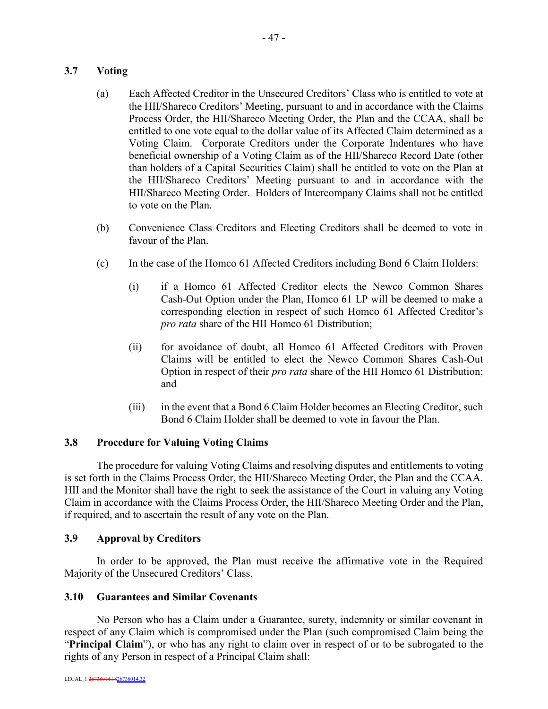## **3.7 Voting**

- (a) Each Affected Creditor in the Unsecured Creditors' Class who is entitled to vote at the HII/Shareco Creditors' Meeting, pursuant to and in accordance with the Claims Process Order, the HII/Shareco Meeting Order, the Plan and the CCAA, shall be entitled to one vote equal to the dollar value of its Affected Claim determined as a Voting Claim. Corporate Creditors under the Corporate Indentures who have beneficial ownership of a Voting Claim as of the HII/Shareco Record Date (other than holders of a Capital Securities Claim) shall be entitled to vote on the Plan at the HII/Shareco Creditors' Meeting pursuant to and in accordance with the HII/Shareco Meeting Order. Holders of Intercompany Claims shall not be entitled to vote on the Plan.
- (b) Convenience Class Creditors and Electing Creditors shall be deemed to vote in favour of the Plan.
- (c) In the case of the Homco 61 Affected Creditors including Bond 6 Claim Holders:
	- (i) if a Homco 61 Affected Creditor elects the Newco Common Shares Cash-Out Option under the Plan, Homco 61 LP will be deemed to make a corresponding election in respect of such Homco 61 Affected Creditor's *pro rata* share of the HII Homco 61 Distribution;
	- (ii) for avoidance of doubt, all Homco 61 Affected Creditors with Proven Claims will be entitled to elect the Newco Common Shares Cash-Out Option in respect of their *pro rata* share of the HII Homco 61 Distribution; and
	- (iii) in the event that a Bond 6 Claim Holder becomes an Electing Creditor, such Bond 6 Claim Holder shall be deemed to vote in favour the Plan.

### **3.8 Procedure for Valuing Voting Claims**

The procedure for valuing Voting Claims and resolving disputes and entitlements to voting is set forth in the Claims Process Order, the HII/Shareco Meeting Order, the Plan and the CCAA. HII and the Monitor shall have the right to seek the assistance of the Court in valuing any Voting Claim in accordance with the Claims Process Order, the HII/Shareco Meeting Order and the Plan, if required, and to ascertain the result of any vote on the Plan.

### **3.9 Approval by Creditors**

In order to be approved, the Plan must receive the affirmative vote in the Required Majority of the Unsecured Creditors' Class.

### **3.10 Guarantees and Similar Covenants**

No Person who has a Claim under a Guarantee, surety, indemnity or similar covenant in respect of any Claim which is compromised under the Plan (such compromised Claim being the "**Principal Claim**"), or who has any right to claim over in respect of or to be subrogated to the rights of any Person in respect of a Principal Claim shall: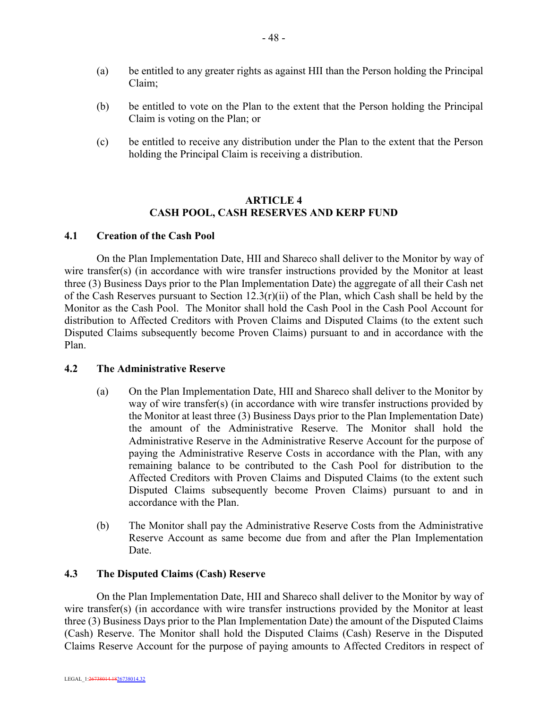- (a) be entitled to any greater rights as against HII than the Person holding the Principal Claim;
- (b) be entitled to vote on the Plan to the extent that the Person holding the Principal Claim is voting on the Plan; or
- (c) be entitled to receive any distribution under the Plan to the extent that the Person holding the Principal Claim is receiving a distribution.

### **ARTICLE 4 CASH POOL, CASH RESERVES AND KERP FUND**

### **4.1 Creation of the Cash Pool**

On the Plan Implementation Date, HII and Shareco shall deliver to the Monitor by way of wire transfer(s) (in accordance with wire transfer instructions provided by the Monitor at least three (3) Business Days prior to the Plan Implementation Date) the aggregate of all their Cash net of the Cash Reserves pursuant to Section 12.3(r)(ii) of the Plan, which Cash shall be held by the Monitor as the Cash Pool. The Monitor shall hold the Cash Pool in the Cash Pool Account for distribution to Affected Creditors with Proven Claims and Disputed Claims (to the extent such Disputed Claims subsequently become Proven Claims) pursuant to and in accordance with the Plan.

## **4.2 The Administrative Reserve**

- (a) On the Plan Implementation Date, HII and Shareco shall deliver to the Monitor by way of wire transfer(s) (in accordance with wire transfer instructions provided by the Monitor at least three (3) Business Days prior to the Plan Implementation Date) the amount of the Administrative Reserve. The Monitor shall hold the Administrative Reserve in the Administrative Reserve Account for the purpose of paying the Administrative Reserve Costs in accordance with the Plan, with any remaining balance to be contributed to the Cash Pool for distribution to the Affected Creditors with Proven Claims and Disputed Claims (to the extent such Disputed Claims subsequently become Proven Claims) pursuant to and in accordance with the Plan.
- (b) The Monitor shall pay the Administrative Reserve Costs from the Administrative Reserve Account as same become due from and after the Plan Implementation Date.

### **4.3 The Disputed Claims (Cash) Reserve**

On the Plan Implementation Date, HII and Shareco shall deliver to the Monitor by way of wire transfer(s) (in accordance with wire transfer instructions provided by the Monitor at least three (3) Business Days prior to the Plan Implementation Date) the amount of the Disputed Claims (Cash) Reserve. The Monitor shall hold the Disputed Claims (Cash) Reserve in the Disputed Claims Reserve Account for the purpose of paying amounts to Affected Creditors in respect of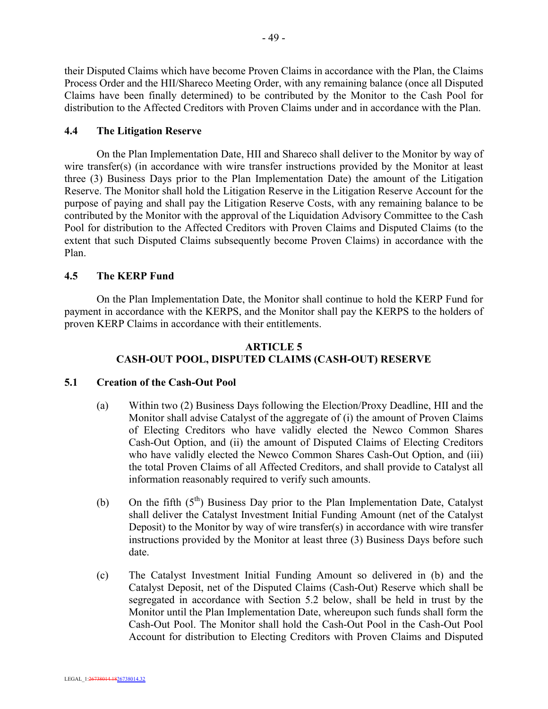their Disputed Claims which have become Proven Claims in accordance with the Plan, the Claims Process Order and the HII/Shareco Meeting Order, with any remaining balance (once all Disputed Claims have been finally determined) to be contributed by the Monitor to the Cash Pool for distribution to the Affected Creditors with Proven Claims under and in accordance with the Plan.

### **4.4 The Litigation Reserve**

On the Plan Implementation Date, HII and Shareco shall deliver to the Monitor by way of wire transfer(s) (in accordance with wire transfer instructions provided by the Monitor at least three (3) Business Days prior to the Plan Implementation Date) the amount of the Litigation Reserve. The Monitor shall hold the Litigation Reserve in the Litigation Reserve Account for the purpose of paying and shall pay the Litigation Reserve Costs, with any remaining balance to be contributed by the Monitor with the approval of the Liquidation Advisory Committee to the Cash Pool for distribution to the Affected Creditors with Proven Claims and Disputed Claims (to the extent that such Disputed Claims subsequently become Proven Claims) in accordance with the Plan.

### **4.5 The KERP Fund**

On the Plan Implementation Date, the Monitor shall continue to hold the KERP Fund for payment in accordance with the KERPS, and the Monitor shall pay the KERPS to the holders of proven KERP Claims in accordance with their entitlements.

### **ARTICLE 5 CASH-OUT POOL, DISPUTED CLAIMS (CASH-OUT) RESERVE**

#### **5.1 Creation of the Cash-Out Pool**

- (a) Within two (2) Business Days following the Election/Proxy Deadline, HII and the Monitor shall advise Catalyst of the aggregate of (i) the amount of Proven Claims of Electing Creditors who have validly elected the Newco Common Shares Cash-Out Option, and (ii) the amount of Disputed Claims of Electing Creditors who have validly elected the Newco Common Shares Cash-Out Option, and (iii) the total Proven Claims of all Affected Creditors, and shall provide to Catalyst all information reasonably required to verify such amounts.
- (b) On the fifth  $(5<sup>th</sup>)$  Business Day prior to the Plan Implementation Date, Catalyst shall deliver the Catalyst Investment Initial Funding Amount (net of the Catalyst Deposit) to the Monitor by way of wire transfer(s) in accordance with wire transfer instructions provided by the Monitor at least three (3) Business Days before such date.
- (c) The Catalyst Investment Initial Funding Amount so delivered in (b) and the Catalyst Deposit, net of the Disputed Claims (Cash-Out) Reserve which shall be segregated in accordance with Section 5.2 below, shall be held in trust by the Monitor until the Plan Implementation Date, whereupon such funds shall form the Cash-Out Pool. The Monitor shall hold the Cash-Out Pool in the Cash-Out Pool Account for distribution to Electing Creditors with Proven Claims and Disputed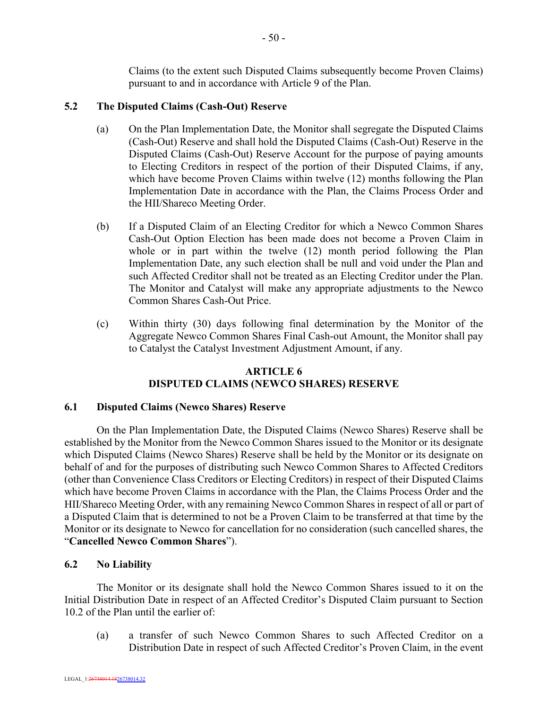Claims (to the extent such Disputed Claims subsequently become Proven Claims) pursuant to and in accordance with Article 9 of the Plan.

### **5.2 The Disputed Claims (Cash-Out) Reserve**

- (a) On the Plan Implementation Date, the Monitor shall segregate the Disputed Claims (Cash-Out) Reserve and shall hold the Disputed Claims (Cash-Out) Reserve in the Disputed Claims (Cash-Out) Reserve Account for the purpose of paying amounts to Electing Creditors in respect of the portion of their Disputed Claims, if any, which have become Proven Claims within twelve (12) months following the Plan Implementation Date in accordance with the Plan, the Claims Process Order and the HII/Shareco Meeting Order.
- (b) If a Disputed Claim of an Electing Creditor for which a Newco Common Shares Cash-Out Option Election has been made does not become a Proven Claim in whole or in part within the twelve (12) month period following the Plan Implementation Date, any such election shall be null and void under the Plan and such Affected Creditor shall not be treated as an Electing Creditor under the Plan. The Monitor and Catalyst will make any appropriate adjustments to the Newco Common Shares Cash-Out Price.
- (c) Within thirty (30) days following final determination by the Monitor of the Aggregate Newco Common Shares Final Cash-out Amount, the Monitor shall pay to Catalyst the Catalyst Investment Adjustment Amount, if any.

### **ARTICLE 6 DISPUTED CLAIMS (NEWCO SHARES) RESERVE**

### **6.1 Disputed Claims (Newco Shares) Reserve**

On the Plan Implementation Date, the Disputed Claims (Newco Shares) Reserve shall be established by the Monitor from the Newco Common Shares issued to the Monitor or its designate which Disputed Claims (Newco Shares) Reserve shall be held by the Monitor or its designate on behalf of and for the purposes of distributing such Newco Common Shares to Affected Creditors (other than Convenience Class Creditors or Electing Creditors) in respect of their Disputed Claims which have become Proven Claims in accordance with the Plan, the Claims Process Order and the HII/Shareco Meeting Order, with any remaining Newco Common Shares in respect of all or part of a Disputed Claim that is determined to not be a Proven Claim to be transferred at that time by the Monitor or its designate to Newco for cancellation for no consideration (such cancelled shares, the "**Cancelled Newco Common Shares**").

### **6.2 No Liability**

The Monitor or its designate shall hold the Newco Common Shares issued to it on the Initial Distribution Date in respect of an Affected Creditor's Disputed Claim pursuant to Section 10.2 of the Plan until the earlier of:

(a) a transfer of such Newco Common Shares to such Affected Creditor on a Distribution Date in respect of such Affected Creditor's Proven Claim, in the event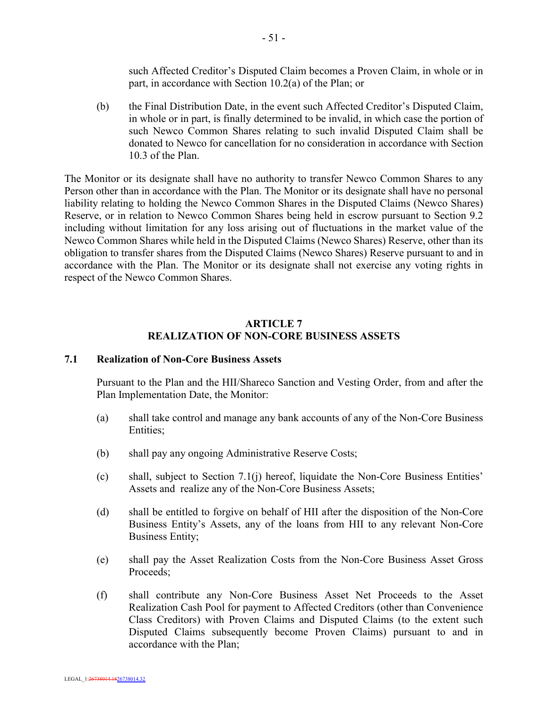such Affected Creditor's Disputed Claim becomes a Proven Claim, in whole or in part, in accordance with Section 10.2(a) of the Plan; or

(b) the Final Distribution Date, in the event such Affected Creditor's Disputed Claim, in whole or in part, is finally determined to be invalid, in which case the portion of such Newco Common Shares relating to such invalid Disputed Claim shall be donated to Newco for cancellation for no consideration in accordance with Section 10.3 of the Plan.

The Monitor or its designate shall have no authority to transfer Newco Common Shares to any Person other than in accordance with the Plan. The Monitor or its designate shall have no personal liability relating to holding the Newco Common Shares in the Disputed Claims (Newco Shares) Reserve, or in relation to Newco Common Shares being held in escrow pursuant to Section 9.2 including without limitation for any loss arising out of fluctuations in the market value of the Newco Common Shares while held in the Disputed Claims (Newco Shares) Reserve, other than its obligation to transfer shares from the Disputed Claims (Newco Shares) Reserve pursuant to and in accordance with the Plan. The Monitor or its designate shall not exercise any voting rights in respect of the Newco Common Shares.

### **ARTICLE 7 REALIZATION OF NON-CORE BUSINESS ASSETS**

### **7.1 Realization of Non-Core Business Assets**

Pursuant to the Plan and the HII/Shareco Sanction and Vesting Order, from and after the Plan Implementation Date, the Monitor:

- (a) shall take control and manage any bank accounts of any of the Non-Core Business Entities;
- (b) shall pay any ongoing Administrative Reserve Costs;
- (c) shall, subject to Section 7.1(j) hereof, liquidate the Non-Core Business Entities' Assets and realize any of the Non-Core Business Assets;
- (d) shall be entitled to forgive on behalf of HII after the disposition of the Non-Core Business Entity's Assets, any of the loans from HII to any relevant Non-Core Business Entity;
- (e) shall pay the Asset Realization Costs from the Non-Core Business Asset Gross Proceeds;
- (f) shall contribute any Non-Core Business Asset Net Proceeds to the Asset Realization Cash Pool for payment to Affected Creditors (other than Convenience Class Creditors) with Proven Claims and Disputed Claims (to the extent such Disputed Claims subsequently become Proven Claims) pursuant to and in accordance with the Plan;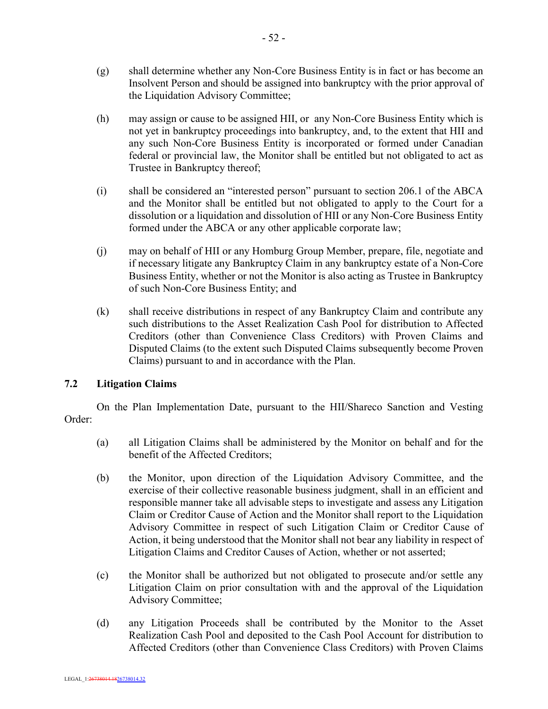- (g) shall determine whether any Non-Core Business Entity is in fact or has become an Insolvent Person and should be assigned into bankruptcy with the prior approval of the Liquidation Advisory Committee;
- (h) may assign or cause to be assigned HII, or any Non-Core Business Entity which is not yet in bankruptcy proceedings into bankruptcy, and, to the extent that HII and any such Non-Core Business Entity is incorporated or formed under Canadian federal or provincial law, the Monitor shall be entitled but not obligated to act as Trustee in Bankruptcy thereof;
- (i) shall be considered an "interested person" pursuant to section 206.1 of the ABCA and the Monitor shall be entitled but not obligated to apply to the Court for a dissolution or a liquidation and dissolution of HII or any Non-Core Business Entity formed under the ABCA or any other applicable corporate law;
- (j) may on behalf of HII or any Homburg Group Member, prepare, file, negotiate and if necessary litigate any Bankruptcy Claim in any bankruptcy estate of a Non-Core Business Entity, whether or not the Monitor is also acting as Trustee in Bankruptcy of such Non-Core Business Entity; and
- (k) shall receive distributions in respect of any Bankruptcy Claim and contribute any such distributions to the Asset Realization Cash Pool for distribution to Affected Creditors (other than Convenience Class Creditors) with Proven Claims and Disputed Claims (to the extent such Disputed Claims subsequently become Proven Claims) pursuant to and in accordance with the Plan.

## **7.2 Litigation Claims**

On the Plan Implementation Date, pursuant to the HII/Shareco Sanction and Vesting Order:

- (a) all Litigation Claims shall be administered by the Monitor on behalf and for the benefit of the Affected Creditors;
- (b) the Monitor, upon direction of the Liquidation Advisory Committee, and the exercise of their collective reasonable business judgment, shall in an efficient and responsible manner take all advisable steps to investigate and assess any Litigation Claim or Creditor Cause of Action and the Monitor shall report to the Liquidation Advisory Committee in respect of such Litigation Claim or Creditor Cause of Action, it being understood that the Monitor shall not bear any liability in respect of Litigation Claims and Creditor Causes of Action, whether or not asserted;
- (c) the Monitor shall be authorized but not obligated to prosecute and/or settle any Litigation Claim on prior consultation with and the approval of the Liquidation Advisory Committee;
- (d) any Litigation Proceeds shall be contributed by the Monitor to the Asset Realization Cash Pool and deposited to the Cash Pool Account for distribution to Affected Creditors (other than Convenience Class Creditors) with Proven Claims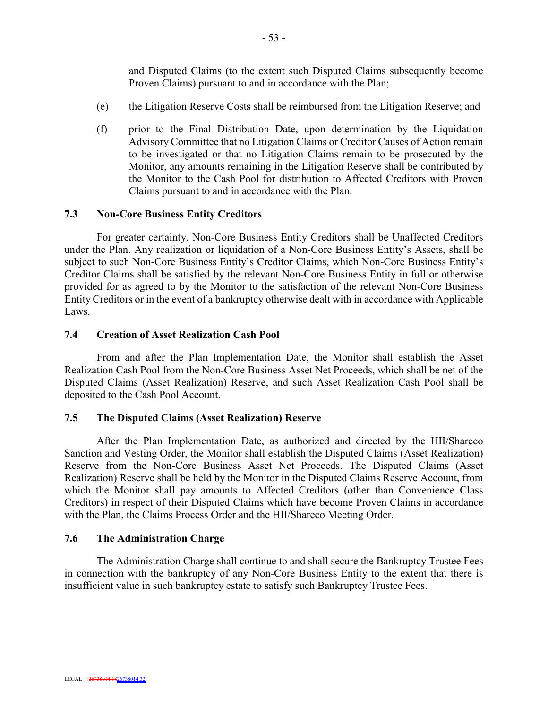and Disputed Claims (to the extent such Disputed Claims subsequently become Proven Claims) pursuant to and in accordance with the Plan;

- (e) the Litigation Reserve Costs shall be reimbursed from the Litigation Reserve; and
- (f) prior to the Final Distribution Date, upon determination by the Liquidation Advisory Committee that no Litigation Claims or Creditor Causes of Action remain to be investigated or that no Litigation Claims remain to be prosecuted by the Monitor, any amounts remaining in the Litigation Reserve shall be contributed by the Monitor to the Cash Pool for distribution to Affected Creditors with Proven Claims pursuant to and in accordance with the Plan.

### **7.3 Non-Core Business Entity Creditors**

For greater certainty, Non-Core Business Entity Creditors shall be Unaffected Creditors under the Plan. Any realization or liquidation of a Non-Core Business Entity's Assets, shall be subject to such Non-Core Business Entity's Creditor Claims, which Non-Core Business Entity's Creditor Claims shall be satisfied by the relevant Non-Core Business Entity in full or otherwise provided for as agreed to by the Monitor to the satisfaction of the relevant Non-Core Business Entity Creditors or in the event of a bankruptcy otherwise dealt with in accordance with Applicable Laws.

### **7.4 Creation of Asset Realization Cash Pool**

From and after the Plan Implementation Date, the Monitor shall establish the Asset Realization Cash Pool from the Non-Core Business Asset Net Proceeds, which shall be net of the Disputed Claims (Asset Realization) Reserve, and such Asset Realization Cash Pool shall be deposited to the Cash Pool Account.

### **7.5 The Disputed Claims (Asset Realization) Reserve**

After the Plan Implementation Date, as authorized and directed by the HII/Shareco Sanction and Vesting Order, the Monitor shall establish the Disputed Claims (Asset Realization) Reserve from the Non-Core Business Asset Net Proceeds. The Disputed Claims (Asset Realization) Reserve shall be held by the Monitor in the Disputed Claims Reserve Account, from which the Monitor shall pay amounts to Affected Creditors (other than Convenience Class Creditors) in respect of their Disputed Claims which have become Proven Claims in accordance with the Plan, the Claims Process Order and the HII/Shareco Meeting Order.

### **7.6 The Administration Charge**

The Administration Charge shall continue to and shall secure the Bankruptcy Trustee Fees in connection with the bankruptcy of any Non-Core Business Entity to the extent that there is insufficient value in such bankruptcy estate to satisfy such Bankruptcy Trustee Fees.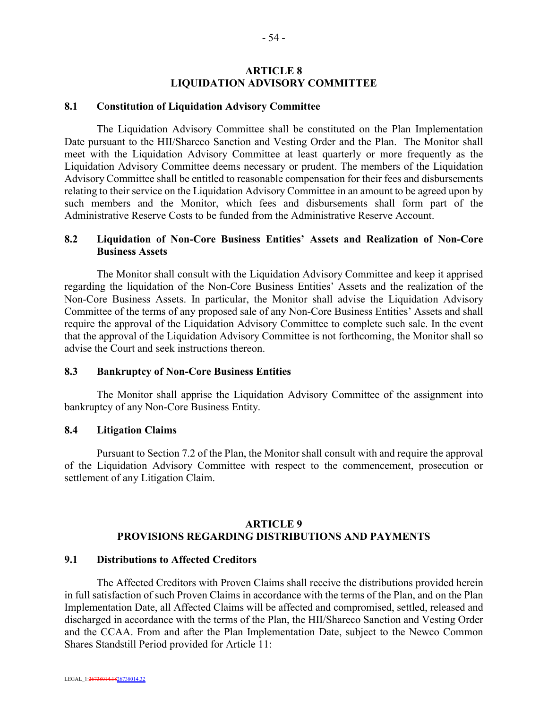### **ARTICLE 8 LIQUIDATION ADVISORY COMMITTEE**

#### **8.1 Constitution of Liquidation Advisory Committee**

The Liquidation Advisory Committee shall be constituted on the Plan Implementation Date pursuant to the HII/Shareco Sanction and Vesting Order and the Plan. The Monitor shall meet with the Liquidation Advisory Committee at least quarterly or more frequently as the Liquidation Advisory Committee deems necessary or prudent. The members of the Liquidation Advisory Committee shall be entitled to reasonable compensation for their fees and disbursements relating to their service on the Liquidation Advisory Committee in an amount to be agreed upon by such members and the Monitor, which fees and disbursements shall form part of the Administrative Reserve Costs to be funded from the Administrative Reserve Account.

### **8.2 Liquidation of Non-Core Business Entities' Assets and Realization of Non-Core Business Assets**

The Monitor shall consult with the Liquidation Advisory Committee and keep it apprised regarding the liquidation of the Non-Core Business Entities' Assets and the realization of the Non-Core Business Assets. In particular, the Monitor shall advise the Liquidation Advisory Committee of the terms of any proposed sale of any Non-Core Business Entities' Assets and shall require the approval of the Liquidation Advisory Committee to complete such sale. In the event that the approval of the Liquidation Advisory Committee is not forthcoming, the Monitor shall so advise the Court and seek instructions thereon.

#### **8.3 Bankruptcy of Non-Core Business Entities**

The Monitor shall apprise the Liquidation Advisory Committee of the assignment into bankruptcy of any Non-Core Business Entity.

### **8.4 Litigation Claims**

Pursuant to Section 7.2 of the Plan, the Monitor shall consult with and require the approval of the Liquidation Advisory Committee with respect to the commencement, prosecution or settlement of any Litigation Claim.

### **ARTICLE 9 PROVISIONS REGARDING DISTRIBUTIONS AND PAYMENTS**

#### **9.1 Distributions to Affected Creditors**

The Affected Creditors with Proven Claims shall receive the distributions provided herein in full satisfaction of such Proven Claims in accordance with the terms of the Plan, and on the Plan Implementation Date, all Affected Claims will be affected and compromised, settled, released and discharged in accordance with the terms of the Plan, the HII/Shareco Sanction and Vesting Order and the CCAA. From and after the Plan Implementation Date, subject to the Newco Common Shares Standstill Period provided for Article 11: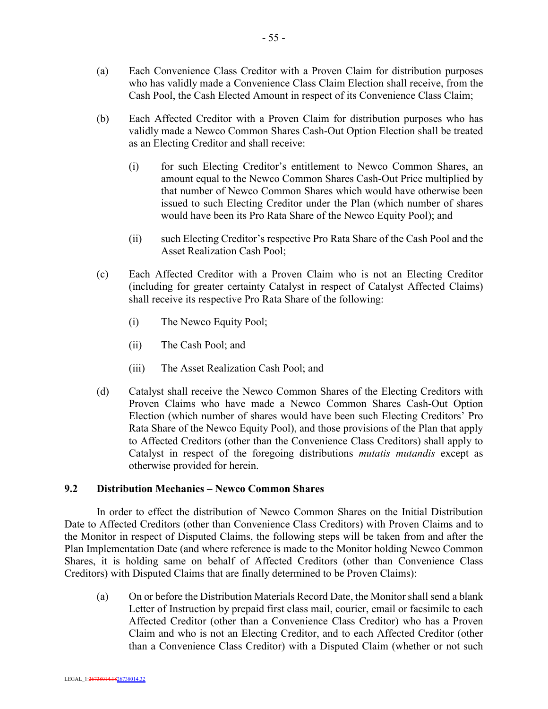- (a) Each Convenience Class Creditor with a Proven Claim for distribution purposes who has validly made a Convenience Class Claim Election shall receive, from the Cash Pool, the Cash Elected Amount in respect of its Convenience Class Claim;
- (b) Each Affected Creditor with a Proven Claim for distribution purposes who has validly made a Newco Common Shares Cash-Out Option Election shall be treated as an Electing Creditor and shall receive:
	- (i) for such Electing Creditor's entitlement to Newco Common Shares, an amount equal to the Newco Common Shares Cash-Out Price multiplied by that number of Newco Common Shares which would have otherwise been issued to such Electing Creditor under the Plan (which number of shares would have been its Pro Rata Share of the Newco Equity Pool); and
	- (ii) such Electing Creditor's respective Pro Rata Share of the Cash Pool and the Asset Realization Cash Pool;
- (c) Each Affected Creditor with a Proven Claim who is not an Electing Creditor (including for greater certainty Catalyst in respect of Catalyst Affected Claims) shall receive its respective Pro Rata Share of the following:
	- (i) The Newco Equity Pool;
	- (ii) The Cash Pool; and
	- (iii) The Asset Realization Cash Pool; and
- (d) Catalyst shall receive the Newco Common Shares of the Electing Creditors with Proven Claims who have made a Newco Common Shares Cash-Out Option Election (which number of shares would have been such Electing Creditors' Pro Rata Share of the Newco Equity Pool), and those provisions of the Plan that apply to Affected Creditors (other than the Convenience Class Creditors) shall apply to Catalyst in respect of the foregoing distributions *mutatis mutandis* except as otherwise provided for herein.

## **9.2 Distribution Mechanics – Newco Common Shares**

In order to effect the distribution of Newco Common Shares on the Initial Distribution Date to Affected Creditors (other than Convenience Class Creditors) with Proven Claims and to the Monitor in respect of Disputed Claims, the following steps will be taken from and after the Plan Implementation Date (and where reference is made to the Monitor holding Newco Common Shares, it is holding same on behalf of Affected Creditors (other than Convenience Class Creditors) with Disputed Claims that are finally determined to be Proven Claims):

(a) On or before the Distribution Materials Record Date, the Monitor shall send a blank Letter of Instruction by prepaid first class mail, courier, email or facsimile to each Affected Creditor (other than a Convenience Class Creditor) who has a Proven Claim and who is not an Electing Creditor, and to each Affected Creditor (other than a Convenience Class Creditor) with a Disputed Claim (whether or not such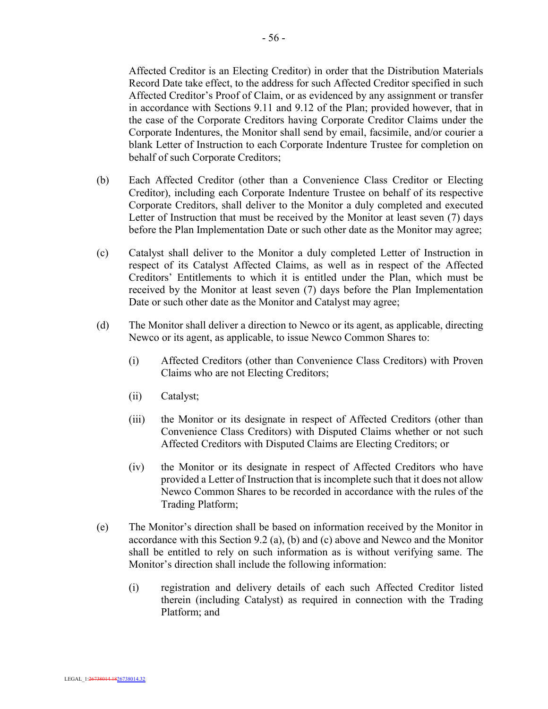Affected Creditor is an Electing Creditor) in order that the Distribution Materials Record Date take effect, to the address for such Affected Creditor specified in such Affected Creditor's Proof of Claim, or as evidenced by any assignment or transfer in accordance with Sections 9.11 and 9.12 of the Plan; provided however, that in the case of the Corporate Creditors having Corporate Creditor Claims under the Corporate Indentures, the Monitor shall send by email, facsimile, and/or courier a blank Letter of Instruction to each Corporate Indenture Trustee for completion on behalf of such Corporate Creditors;

- (b) Each Affected Creditor (other than a Convenience Class Creditor or Electing Creditor), including each Corporate Indenture Trustee on behalf of its respective Corporate Creditors, shall deliver to the Monitor a duly completed and executed Letter of Instruction that must be received by the Monitor at least seven (7) days before the Plan Implementation Date or such other date as the Monitor may agree;
- (c) Catalyst shall deliver to the Monitor a duly completed Letter of Instruction in respect of its Catalyst Affected Claims, as well as in respect of the Affected Creditors' Entitlements to which it is entitled under the Plan, which must be received by the Monitor at least seven (7) days before the Plan Implementation Date or such other date as the Monitor and Catalyst may agree;
- (d) The Monitor shall deliver a direction to Newco or its agent, as applicable, directing Newco or its agent, as applicable, to issue Newco Common Shares to:
	- (i) Affected Creditors (other than Convenience Class Creditors) with Proven Claims who are not Electing Creditors;
	- (ii) Catalyst;
	- (iii) the Monitor or its designate in respect of Affected Creditors (other than Convenience Class Creditors) with Disputed Claims whether or not such Affected Creditors with Disputed Claims are Electing Creditors; or
	- (iv) the Monitor or its designate in respect of Affected Creditors who have provided a Letter of Instruction that is incomplete such that it does not allow Newco Common Shares to be recorded in accordance with the rules of the Trading Platform;
- (e) The Monitor's direction shall be based on information received by the Monitor in accordance with this Section 9.2 (a), (b) and (c) above and Newco and the Monitor shall be entitled to rely on such information as is without verifying same. The Monitor's direction shall include the following information:
	- (i) registration and delivery details of each such Affected Creditor listed therein (including Catalyst) as required in connection with the Trading Platform; and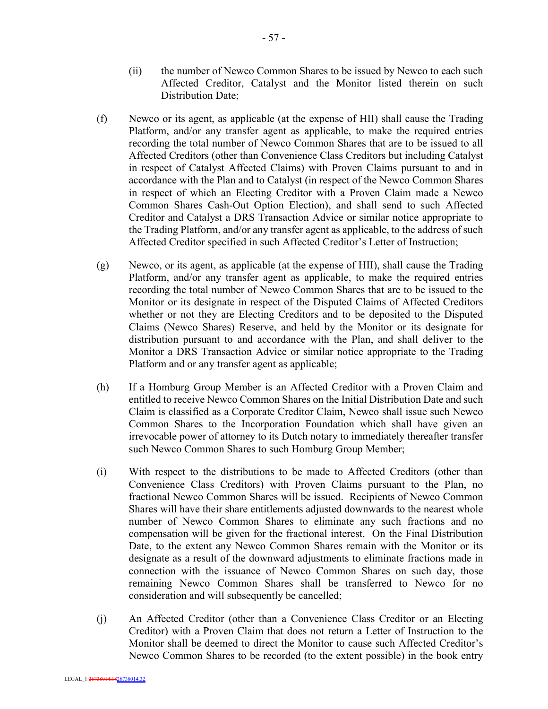- (ii) the number of Newco Common Shares to be issued by Newco to each such Affected Creditor, Catalyst and the Monitor listed therein on such Distribution Date;
- (f) Newco or its agent, as applicable (at the expense of HII) shall cause the Trading Platform, and/or any transfer agent as applicable, to make the required entries recording the total number of Newco Common Shares that are to be issued to all Affected Creditors (other than Convenience Class Creditors but including Catalyst in respect of Catalyst Affected Claims) with Proven Claims pursuant to and in accordance with the Plan and to Catalyst (in respect of the Newco Common Shares in respect of which an Electing Creditor with a Proven Claim made a Newco Common Shares Cash-Out Option Election), and shall send to such Affected Creditor and Catalyst a DRS Transaction Advice or similar notice appropriate to the Trading Platform, and/or any transfer agent as applicable, to the address of such Affected Creditor specified in such Affected Creditor's Letter of Instruction;
- (g) Newco, or its agent, as applicable (at the expense of HII), shall cause the Trading Platform, and/or any transfer agent as applicable, to make the required entries recording the total number of Newco Common Shares that are to be issued to the Monitor or its designate in respect of the Disputed Claims of Affected Creditors whether or not they are Electing Creditors and to be deposited to the Disputed Claims (Newco Shares) Reserve, and held by the Monitor or its designate for distribution pursuant to and accordance with the Plan, and shall deliver to the Monitor a DRS Transaction Advice or similar notice appropriate to the Trading Platform and or any transfer agent as applicable;
- (h) If a Homburg Group Member is an Affected Creditor with a Proven Claim and entitled to receive Newco Common Shares on the Initial Distribution Date and such Claim is classified as a Corporate Creditor Claim, Newco shall issue such Newco Common Shares to the Incorporation Foundation which shall have given an irrevocable power of attorney to its Dutch notary to immediately thereafter transfer such Newco Common Shares to such Homburg Group Member;
- (i) With respect to the distributions to be made to Affected Creditors (other than Convenience Class Creditors) with Proven Claims pursuant to the Plan, no fractional Newco Common Shares will be issued. Recipients of Newco Common Shares will have their share entitlements adjusted downwards to the nearest whole number of Newco Common Shares to eliminate any such fractions and no compensation will be given for the fractional interest. On the Final Distribution Date, to the extent any Newco Common Shares remain with the Monitor or its designate as a result of the downward adjustments to eliminate fractions made in connection with the issuance of Newco Common Shares on such day, those remaining Newco Common Shares shall be transferred to Newco for no consideration and will subsequently be cancelled;
- (j) An Affected Creditor (other than a Convenience Class Creditor or an Electing Creditor) with a Proven Claim that does not return a Letter of Instruction to the Monitor shall be deemed to direct the Monitor to cause such Affected Creditor's Newco Common Shares to be recorded (to the extent possible) in the book entry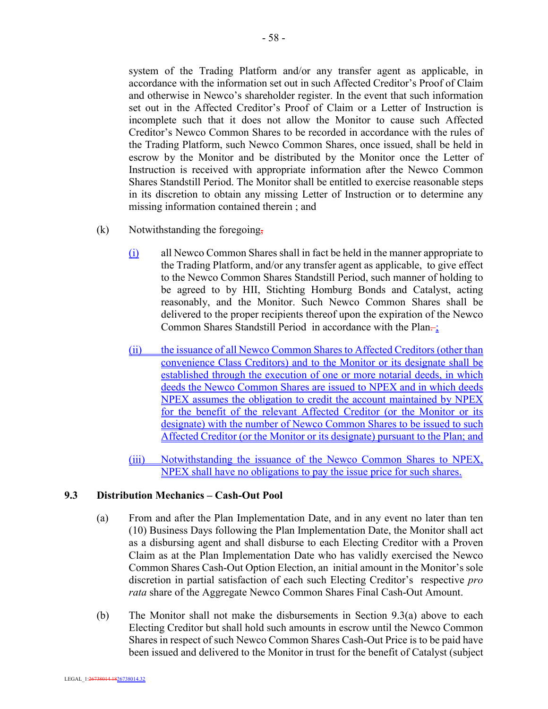system of the Trading Platform and/or any transfer agent as applicable, in accordance with the information set out in such Affected Creditor's Proof of Claim and otherwise in Newco's shareholder register. In the event that such information set out in the Affected Creditor's Proof of Claim or a Letter of Instruction is incomplete such that it does not allow the Monitor to cause such Affected Creditor's Newco Common Shares to be recorded in accordance with the rules of the Trading Platform, such Newco Common Shares, once issued, shall be held in escrow by the Monitor and be distributed by the Monitor once the Letter of Instruction is received with appropriate information after the Newco Common Shares Standstill Period. The Monitor shall be entitled to exercise reasonable steps in its discretion to obtain any missing Letter of Instruction or to determine any missing information contained therein ; and

- (k) Notwithstanding the foregoing,
	- (i) all Newco Common Shares shall in fact be held in the manner appropriate to the Trading Platform, and/or any transfer agent as applicable, to give effect to the Newco Common Shares Standstill Period, such manner of holding to be agreed to by HII, Stichting Homburg Bonds and Catalyst, acting reasonably, and the Monitor. Such Newco Common Shares shall be delivered to the proper recipients thereof upon the expiration of the Newco Common Shares Standstill Period in accordance with the Plan $\div$ ;
	- (ii) the issuance of all Newco Common Shares to Affected Creditors (other than convenience Class Creditors) and to the Monitor or its designate shall be established through the execution of one or more notarial deeds, in which deeds the Newco Common Shares are issued to NPEX and in which deeds NPEX assumes the obligation to credit the account maintained by NPEX for the benefit of the relevant Affected Creditor (or the Monitor or its designate) with the number of Newco Common Shares to be issued to such Affected Creditor (or the Monitor or its designate) pursuant to the Plan; and
	- (iii) Notwithstanding the issuance of the Newco Common Shares to NPEX, NPEX shall have no obligations to pay the issue price for such shares.

### **9.3 Distribution Mechanics – Cash-Out Pool**

- (a) From and after the Plan Implementation Date, and in any event no later than ten (10) Business Days following the Plan Implementation Date, the Monitor shall act as a disbursing agent and shall disburse to each Electing Creditor with a Proven Claim as at the Plan Implementation Date who has validly exercised the Newco Common Shares Cash-Out Option Election, an initial amount in the Monitor's sole discretion in partial satisfaction of each such Electing Creditor's respective *pro rata* share of the Aggregate Newco Common Shares Final Cash-Out Amount.
- (b) The Monitor shall not make the disbursements in Section 9.3(a) above to each Electing Creditor but shall hold such amounts in escrow until the Newco Common Shares in respect of such Newco Common Shares Cash-Out Price is to be paid have been issued and delivered to the Monitor in trust for the benefit of Catalyst (subject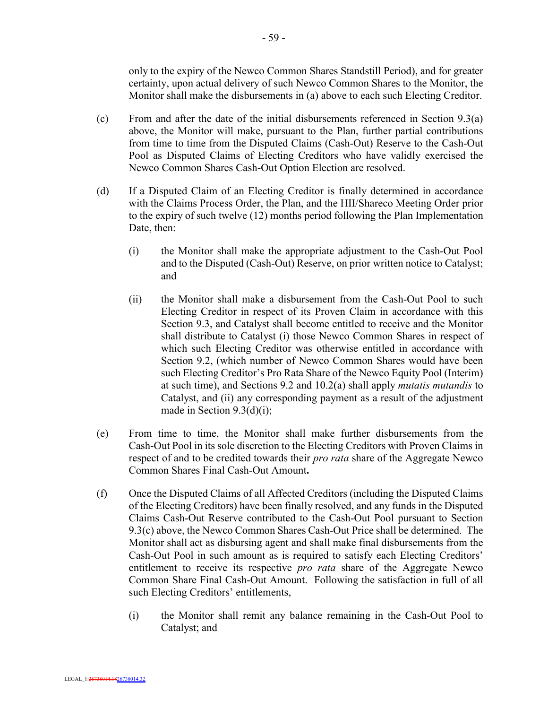only to the expiry of the Newco Common Shares Standstill Period), and for greater certainty, upon actual delivery of such Newco Common Shares to the Monitor, the Monitor shall make the disbursements in (a) above to each such Electing Creditor.

- (c) From and after the date of the initial disbursements referenced in Section 9.3(a) above, the Monitor will make, pursuant to the Plan, further partial contributions from time to time from the Disputed Claims (Cash-Out) Reserve to the Cash-Out Pool as Disputed Claims of Electing Creditors who have validly exercised the Newco Common Shares Cash-Out Option Election are resolved.
- (d) If a Disputed Claim of an Electing Creditor is finally determined in accordance with the Claims Process Order, the Plan, and the HII/Shareco Meeting Order prior to the expiry of such twelve (12) months period following the Plan Implementation Date, then:
	- (i) the Monitor shall make the appropriate adjustment to the Cash-Out Pool and to the Disputed (Cash-Out) Reserve, on prior written notice to Catalyst; and
	- (ii) the Monitor shall make a disbursement from the Cash-Out Pool to such Electing Creditor in respect of its Proven Claim in accordance with this Section 9.3, and Catalyst shall become entitled to receive and the Monitor shall distribute to Catalyst (i) those Newco Common Shares in respect of which such Electing Creditor was otherwise entitled in accordance with Section 9.2, (which number of Newco Common Shares would have been such Electing Creditor's Pro Rata Share of the Newco Equity Pool (Interim) at such time), and Sections 9.2 and 10.2(a) shall apply *mutatis mutandis* to Catalyst, and (ii) any corresponding payment as a result of the adjustment made in Section 9.3(d)(i);
- (e) From time to time, the Monitor shall make further disbursements from the Cash-Out Pool in its sole discretion to the Electing Creditors with Proven Claims in respect of and to be credited towards their *pro rata* share of the Aggregate Newco Common Shares Final Cash-Out Amount**.**
- (f) Once the Disputed Claims of all Affected Creditors (including the Disputed Claims of the Electing Creditors) have been finally resolved, and any funds in the Disputed Claims Cash-Out Reserve contributed to the Cash-Out Pool pursuant to Section 9.3(c) above, the Newco Common Shares Cash-Out Price shall be determined. The Monitor shall act as disbursing agent and shall make final disbursements from the Cash-Out Pool in such amount as is required to satisfy each Electing Creditors' entitlement to receive its respective *pro rata* share of the Aggregate Newco Common Share Final Cash-Out Amount. Following the satisfaction in full of all such Electing Creditors' entitlements,
	- (i) the Monitor shall remit any balance remaining in the Cash-Out Pool to Catalyst; and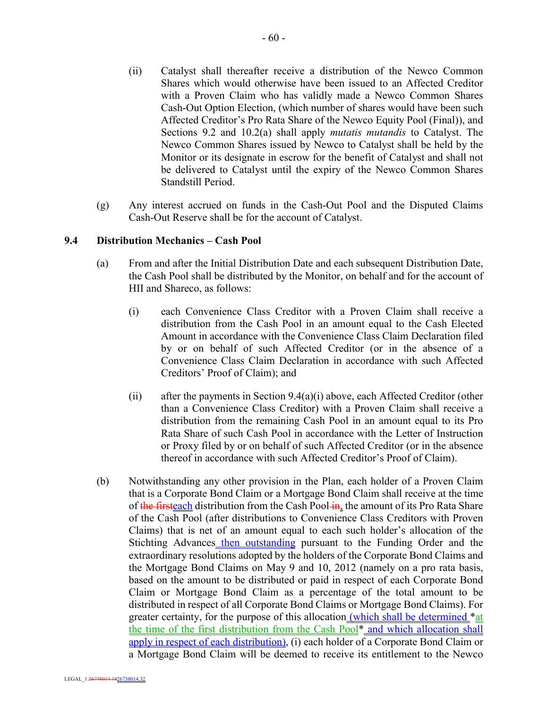- (ii) Catalyst shall thereafter receive a distribution of the Newco Common Shares which would otherwise have been issued to an Affected Creditor with a Proven Claim who has validly made a Newco Common Shares Cash-Out Option Election, (which number of shares would have been such Affected Creditor's Pro Rata Share of the Newco Equity Pool (Final)), and Sections 9.2 and 10.2(a) shall apply *mutatis mutandis* to Catalyst. The Newco Common Shares issued by Newco to Catalyst shall be held by the Monitor or its designate in escrow for the benefit of Catalyst and shall not be delivered to Catalyst until the expiry of the Newco Common Shares Standstill Period.
- (g) Any interest accrued on funds in the Cash-Out Pool and the Disputed Claims Cash-Out Reserve shall be for the account of Catalyst.

### **9.4 Distribution Mechanics – Cash Pool**

- (a) From and after the Initial Distribution Date and each subsequent Distribution Date, the Cash Pool shall be distributed by the Monitor, on behalf and for the account of HII and Shareco, as follows:
	- (i) each Convenience Class Creditor with a Proven Claim shall receive a distribution from the Cash Pool in an amount equal to the Cash Elected Amount in accordance with the Convenience Class Claim Declaration filed by or on behalf of such Affected Creditor (or in the absence of a Convenience Class Claim Declaration in accordance with such Affected Creditors' Proof of Claim); and
	- (ii) after the payments in Section 9.4(a)(i) above, each Affected Creditor (other than a Convenience Class Creditor) with a Proven Claim shall receive a distribution from the remaining Cash Pool in an amount equal to its Pro Rata Share of such Cash Pool in accordance with the Letter of Instruction or Proxy filed by or on behalf of such Affected Creditor (or in the absence thereof in accordance with such Affected Creditor's Proof of Claim).
- (b) Notwithstanding any other provision in the Plan, each holder of a Proven Claim that is a Corporate Bond Claim or a Mortgage Bond Claim shall receive at the time of the firsteach distribution from the Cash Pool-in, the amount of its Pro Rata Share of the Cash Pool (after distributions to Convenience Class Creditors with Proven Claims) that is net of an amount equal to each such holder's allocation of the Stichting Advances then outstanding pursuant to the Funding Order and the extraordinary resolutions adopted by the holders of the Corporate Bond Claims and the Mortgage Bond Claims on May 9 and 10, 2012 (namely on a pro rata basis, based on the amount to be distributed or paid in respect of each Corporate Bond Claim or Mortgage Bond Claim as a percentage of the total amount to be distributed in respect of all Corporate Bond Claims or Mortgage Bond Claims). For greater certainty, for the purpose of this allocation (which shall be determined \*at the time of the first distribution from the Cash Pool\* and which allocation shall apply in respect of each distribution), (i) each holder of a Corporate Bond Claim or a Mortgage Bond Claim will be deemed to receive its entitlement to the Newco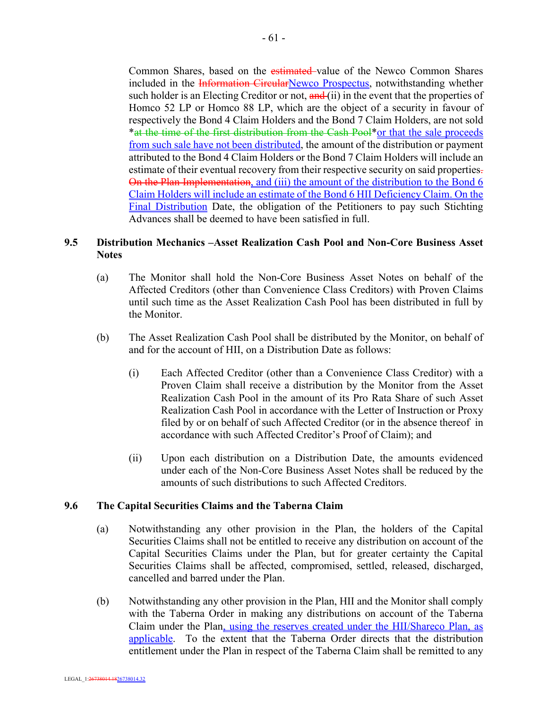Common Shares, based on the estimated value of the Newco Common Shares included in the **Information CircularNewco Prospectus**, notwithstanding whether such holder is an Electing Creditor or not,  $\frac{and}{i}$  (ii) in the event that the properties of Homco 52 LP or Homco 88 LP, which are the object of a security in favour of respectively the Bond 4 Claim Holders and the Bond 7 Claim Holders, are not sold \*at the time of the first distribution from the Cash Pool\*or that the sale proceeds from such sale have not been distributed, the amount of the distribution or payment attributed to the Bond 4 Claim Holders or the Bond 7 Claim Holders will include an estimate of their eventual recovery from their respective security on said properties. On the Plan Implementation, and (iii) the amount of the distribution to the Bond 6 Claim Holders will include an estimate of the Bond 6 HII Deficiency Claim. On the Final Distribution Date, the obligation of the Petitioners to pay such Stichting Advances shall be deemed to have been satisfied in full.

## **9.5 Distribution Mechanics –Asset Realization Cash Pool and Non-Core Business Asset Notes**

- (a) The Monitor shall hold the Non-Core Business Asset Notes on behalf of the Affected Creditors (other than Convenience Class Creditors) with Proven Claims until such time as the Asset Realization Cash Pool has been distributed in full by the Monitor.
- (b) The Asset Realization Cash Pool shall be distributed by the Monitor, on behalf of and for the account of HII, on a Distribution Date as follows:
	- (i) Each Affected Creditor (other than a Convenience Class Creditor) with a Proven Claim shall receive a distribution by the Monitor from the Asset Realization Cash Pool in the amount of its Pro Rata Share of such Asset Realization Cash Pool in accordance with the Letter of Instruction or Proxy filed by or on behalf of such Affected Creditor (or in the absence thereof in accordance with such Affected Creditor's Proof of Claim); and
	- (ii) Upon each distribution on a Distribution Date, the amounts evidenced under each of the Non-Core Business Asset Notes shall be reduced by the amounts of such distributions to such Affected Creditors.

### **9.6 The Capital Securities Claims and the Taberna Claim**

- (a) Notwithstanding any other provision in the Plan, the holders of the Capital Securities Claims shall not be entitled to receive any distribution on account of the Capital Securities Claims under the Plan, but for greater certainty the Capital Securities Claims shall be affected, compromised, settled, released, discharged, cancelled and barred under the Plan.
- (b) Notwithstanding any other provision in the Plan, HII and the Monitor shall comply with the Taberna Order in making any distributions on account of the Taberna Claim under the Plan, using the reserves created under the HII/Shareco Plan, as applicable. To the extent that the Taberna Order directs that the distribution entitlement under the Plan in respect of the Taberna Claim shall be remitted to any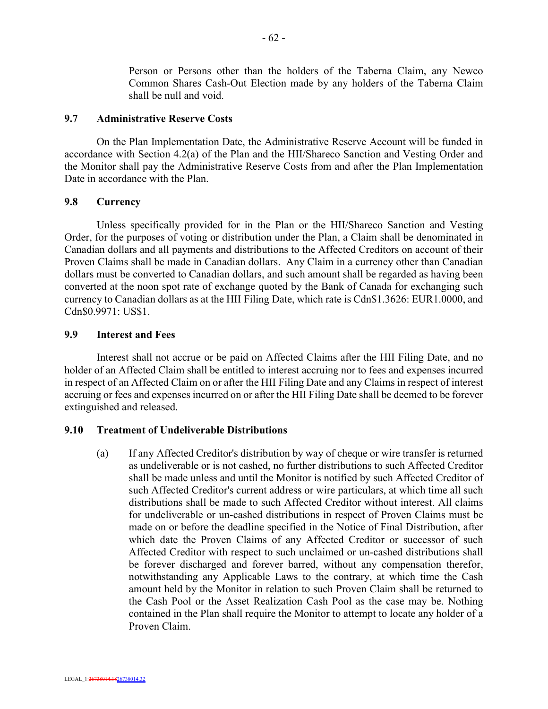Person or Persons other than the holders of the Taberna Claim, any Newco Common Shares Cash-Out Election made by any holders of the Taberna Claim shall be null and void.

#### **9.7 Administrative Reserve Costs**

On the Plan Implementation Date, the Administrative Reserve Account will be funded in accordance with Section 4.2(a) of the Plan and the HII/Shareco Sanction and Vesting Order and the Monitor shall pay the Administrative Reserve Costs from and after the Plan Implementation Date in accordance with the Plan.

#### **9.8 Currency**

Unless specifically provided for in the Plan or the HII/Shareco Sanction and Vesting Order, for the purposes of voting or distribution under the Plan, a Claim shall be denominated in Canadian dollars and all payments and distributions to the Affected Creditors on account of their Proven Claims shall be made in Canadian dollars. Any Claim in a currency other than Canadian dollars must be converted to Canadian dollars, and such amount shall be regarded as having been converted at the noon spot rate of exchange quoted by the Bank of Canada for exchanging such currency to Canadian dollars as at the HII Filing Date, which rate is Cdn\$1.3626: EUR1.0000, and Cdn\$0.9971: US\$1.

### **9.9 Interest and Fees**

Interest shall not accrue or be paid on Affected Claims after the HII Filing Date, and no holder of an Affected Claim shall be entitled to interest accruing nor to fees and expenses incurred in respect of an Affected Claim on or after the HII Filing Date and any Claims in respect of interest accruing or fees and expenses incurred on or after the HII Filing Date shall be deemed to be forever extinguished and released.

#### **9.10 Treatment of Undeliverable Distributions**

(a) If any Affected Creditor's distribution by way of cheque or wire transfer is returned as undeliverable or is not cashed, no further distributions to such Affected Creditor shall be made unless and until the Monitor is notified by such Affected Creditor of such Affected Creditor's current address or wire particulars, at which time all such distributions shall be made to such Affected Creditor without interest. All claims for undeliverable or un-cashed distributions in respect of Proven Claims must be made on or before the deadline specified in the Notice of Final Distribution, after which date the Proven Claims of any Affected Creditor or successor of such Affected Creditor with respect to such unclaimed or un-cashed distributions shall be forever discharged and forever barred, without any compensation therefor, notwithstanding any Applicable Laws to the contrary, at which time the Cash amount held by the Monitor in relation to such Proven Claim shall be returned to the Cash Pool or the Asset Realization Cash Pool as the case may be. Nothing contained in the Plan shall require the Monitor to attempt to locate any holder of a Proven Claim.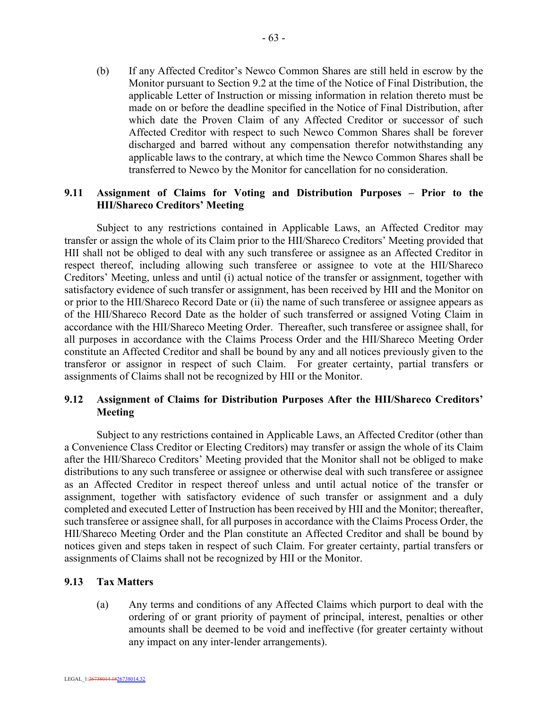(b) If any Affected Creditor's Newco Common Shares are still held in escrow by the Monitor pursuant to Section 9.2 at the time of the Notice of Final Distribution, the applicable Letter of Instruction or missing information in relation thereto must be made on or before the deadline specified in the Notice of Final Distribution, after which date the Proven Claim of any Affected Creditor or successor of such Affected Creditor with respect to such Newco Common Shares shall be forever discharged and barred without any compensation therefor notwithstanding any applicable laws to the contrary, at which time the Newco Common Shares shall be transferred to Newco by the Monitor for cancellation for no consideration.

## **9.11 Assignment of Claims for Voting and Distribution Purposes – Prior to the HII/Shareco Creditors' Meeting**

Subject to any restrictions contained in Applicable Laws, an Affected Creditor may transfer or assign the whole of its Claim prior to the HII/Shareco Creditors' Meeting provided that HII shall not be obliged to deal with any such transferee or assignee as an Affected Creditor in respect thereof, including allowing such transferee or assignee to vote at the HII/Shareco Creditors' Meeting, unless and until (i) actual notice of the transfer or assignment, together with satisfactory evidence of such transfer or assignment, has been received by HII and the Monitor on or prior to the HII/Shareco Record Date or (ii) the name of such transferee or assignee appears as of the HII/Shareco Record Date as the holder of such transferred or assigned Voting Claim in accordance with the HII/Shareco Meeting Order. Thereafter, such transferee or assignee shall, for all purposes in accordance with the Claims Process Order and the HII/Shareco Meeting Order constitute an Affected Creditor and shall be bound by any and all notices previously given to the transferor or assignor in respect of such Claim. For greater certainty, partial transfers or assignments of Claims shall not be recognized by HII or the Monitor.

## **9.12 Assignment of Claims for Distribution Purposes After the HII/Shareco Creditors' Meeting**

Subject to any restrictions contained in Applicable Laws, an Affected Creditor (other than a Convenience Class Creditor or Electing Creditors) may transfer or assign the whole of its Claim after the HII/Shareco Creditors' Meeting provided that the Monitor shall not be obliged to make distributions to any such transferee or assignee or otherwise deal with such transferee or assignee as an Affected Creditor in respect thereof unless and until actual notice of the transfer or assignment, together with satisfactory evidence of such transfer or assignment and a duly completed and executed Letter of Instruction has been received by HII and the Monitor; thereafter, such transferee or assignee shall, for all purposes in accordance with the Claims Process Order, the HII/Shareco Meeting Order and the Plan constitute an Affected Creditor and shall be bound by notices given and steps taken in respect of such Claim. For greater certainty, partial transfers or assignments of Claims shall not be recognized by HII or the Monitor.

### **9.13 Tax Matters**

(a) Any terms and conditions of any Affected Claims which purport to deal with the ordering of or grant priority of payment of principal, interest, penalties or other amounts shall be deemed to be void and ineffective (for greater certainty without any impact on any inter-lender arrangements).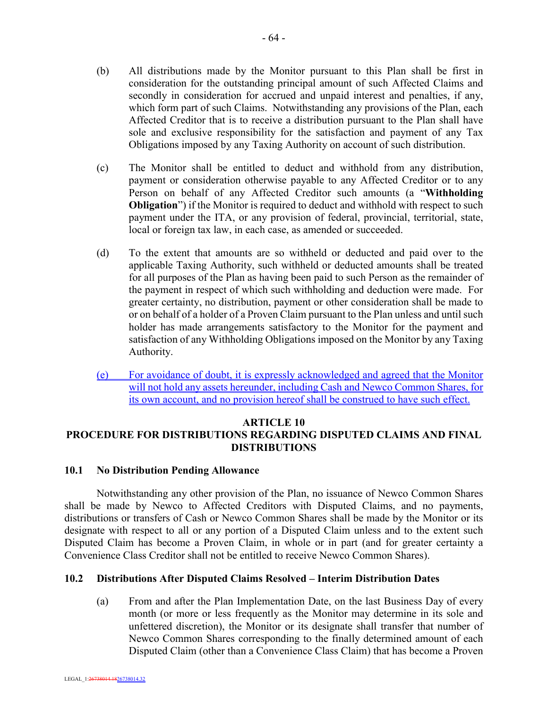- (b) All distributions made by the Monitor pursuant to this Plan shall be first in consideration for the outstanding principal amount of such Affected Claims and secondly in consideration for accrued and unpaid interest and penalties, if any, which form part of such Claims. Notwithstanding any provisions of the Plan, each Affected Creditor that is to receive a distribution pursuant to the Plan shall have sole and exclusive responsibility for the satisfaction and payment of any Tax Obligations imposed by any Taxing Authority on account of such distribution.
- (c) The Monitor shall be entitled to deduct and withhold from any distribution, payment or consideration otherwise payable to any Affected Creditor or to any Person on behalf of any Affected Creditor such amounts (a "**Withholding Obligation**") if the Monitor is required to deduct and withhold with respect to such payment under the ITA, or any provision of federal, provincial, territorial, state, local or foreign tax law, in each case, as amended or succeeded.
- (d) To the extent that amounts are so withheld or deducted and paid over to the applicable Taxing Authority, such withheld or deducted amounts shall be treated for all purposes of the Plan as having been paid to such Person as the remainder of the payment in respect of which such withholding and deduction were made. For greater certainty, no distribution, payment or other consideration shall be made to or on behalf of a holder of a Proven Claim pursuant to the Plan unless and until such holder has made arrangements satisfactory to the Monitor for the payment and satisfaction of any Withholding Obligations imposed on the Monitor by any Taxing Authority.
- (e) For avoidance of doubt, it is expressly acknowledged and agreed that the Monitor will not hold any assets hereunder, including Cash and Newco Common Shares, for its own account, and no provision hereof shall be construed to have such effect.

### **ARTICLE 10**

# **PROCEDURE FOR DISTRIBUTIONS REGARDING DISPUTED CLAIMS AND FINAL DISTRIBUTIONS**

### **10.1 No Distribution Pending Allowance**

Notwithstanding any other provision of the Plan, no issuance of Newco Common Shares shall be made by Newco to Affected Creditors with Disputed Claims, and no payments, distributions or transfers of Cash or Newco Common Shares shall be made by the Monitor or its designate with respect to all or any portion of a Disputed Claim unless and to the extent such Disputed Claim has become a Proven Claim, in whole or in part (and for greater certainty a Convenience Class Creditor shall not be entitled to receive Newco Common Shares).

### **10.2 Distributions After Disputed Claims Resolved – Interim Distribution Dates**

(a) From and after the Plan Implementation Date, on the last Business Day of every month (or more or less frequently as the Monitor may determine in its sole and unfettered discretion), the Monitor or its designate shall transfer that number of Newco Common Shares corresponding to the finally determined amount of each Disputed Claim (other than a Convenience Class Claim) that has become a Proven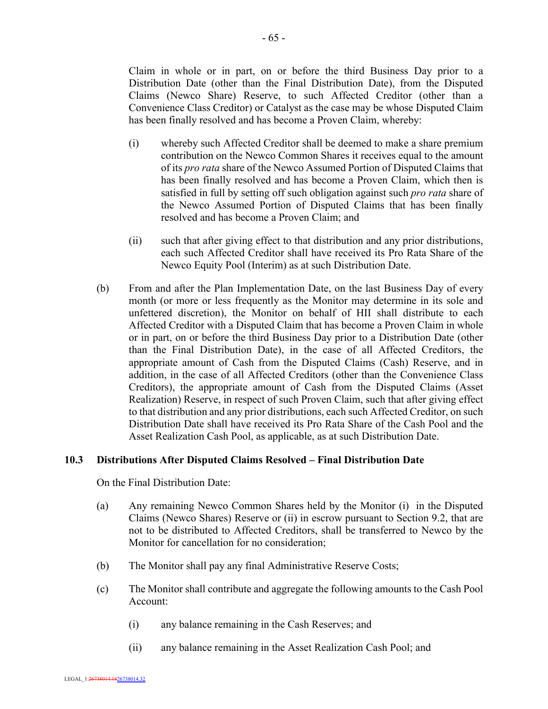Claim in whole or in part, on or before the third Business Day prior to a Distribution Date (other than the Final Distribution Date), from the Disputed Claims (Newco Share) Reserve, to such Affected Creditor (other than a Convenience Class Creditor) or Catalyst as the case may be whose Disputed Claim has been finally resolved and has become a Proven Claim, whereby:

- (i) whereby such Affected Creditor shall be deemed to make a share premium contribution on the Newco Common Shares it receives equal to the amount of its *pro rata* share of the Newco Assumed Portion of Disputed Claims that has been finally resolved and has become a Proven Claim, which then is satisfied in full by setting off such obligation against such *pro rata* share of the Newco Assumed Portion of Disputed Claims that has been finally resolved and has become a Proven Claim; and
- (ii) such that after giving effect to that distribution and any prior distributions, each such Affected Creditor shall have received its Pro Rata Share of the Newco Equity Pool (Interim) as at such Distribution Date.
- (b) From and after the Plan Implementation Date, on the last Business Day of every month (or more or less frequently as the Monitor may determine in its sole and unfettered discretion), the Monitor on behalf of HII shall distribute to each Affected Creditor with a Disputed Claim that has become a Proven Claim in whole or in part, on or before the third Business Day prior to a Distribution Date (other than the Final Distribution Date), in the case of all Affected Creditors, the appropriate amount of Cash from the Disputed Claims (Cash) Reserve, and in addition, in the case of all Affected Creditors (other than the Convenience Class Creditors), the appropriate amount of Cash from the Disputed Claims (Asset Realization) Reserve, in respect of such Proven Claim, such that after giving effect to that distribution and any prior distributions, each such Affected Creditor, on such Distribution Date shall have received its Pro Rata Share of the Cash Pool and the Asset Realization Cash Pool, as applicable, as at such Distribution Date.

## **10.3 Distributions After Disputed Claims Resolved – Final Distribution Date**

On the Final Distribution Date:

- (a) Any remaining Newco Common Shares held by the Monitor (i) in the Disputed Claims (Newco Shares) Reserve or (ii) in escrow pursuant to Section 9.2, that are not to be distributed to Affected Creditors, shall be transferred to Newco by the Monitor for cancellation for no consideration;
- (b) The Monitor shall pay any final Administrative Reserve Costs;
- (c) The Monitor shall contribute and aggregate the following amounts to the Cash Pool Account:
	- (i) any balance remaining in the Cash Reserves; and
	- (ii) any balance remaining in the Asset Realization Cash Pool; and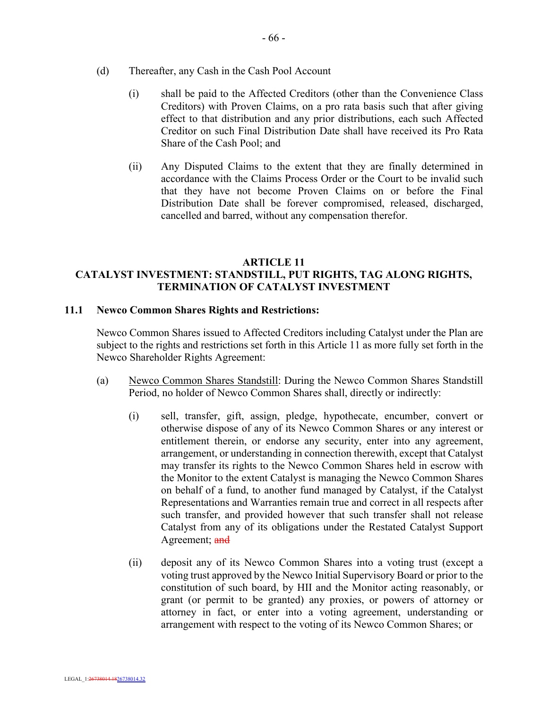- (d) Thereafter, any Cash in the Cash Pool Account
	- (i) shall be paid to the Affected Creditors (other than the Convenience Class Creditors) with Proven Claims, on a pro rata basis such that after giving effect to that distribution and any prior distributions, each such Affected Creditor on such Final Distribution Date shall have received its Pro Rata Share of the Cash Pool; and
	- (ii) Any Disputed Claims to the extent that they are finally determined in accordance with the Claims Process Order or the Court to be invalid such that they have not become Proven Claims on or before the Final Distribution Date shall be forever compromised, released, discharged, cancelled and barred, without any compensation therefor.

#### **ARTICLE 11 CATALYST INVESTMENT: STANDSTILL, PUT RIGHTS, TAG ALONG RIGHTS, TERMINATION OF CATALYST INVESTMENT**

### **11.1 Newco Common Shares Rights and Restrictions:**

Newco Common Shares issued to Affected Creditors including Catalyst under the Plan are subject to the rights and restrictions set forth in this Article 11 as more fully set forth in the Newco Shareholder Rights Agreement:

- (a) Newco Common Shares Standstill: During the Newco Common Shares Standstill Period, no holder of Newco Common Shares shall, directly or indirectly:
	- (i) sell, transfer, gift, assign, pledge, hypothecate, encumber, convert or otherwise dispose of any of its Newco Common Shares or any interest or entitlement therein, or endorse any security, enter into any agreement, arrangement, or understanding in connection therewith, except that Catalyst may transfer its rights to the Newco Common Shares held in escrow with the Monitor to the extent Catalyst is managing the Newco Common Shares on behalf of a fund, to another fund managed by Catalyst, if the Catalyst Representations and Warranties remain true and correct in all respects after such transfer, and provided however that such transfer shall not release Catalyst from any of its obligations under the Restated Catalyst Support Agreement; and
	- (ii) deposit any of its Newco Common Shares into a voting trust (except a voting trust approved by the Newco Initial Supervisory Board or prior to the constitution of such board, by HII and the Monitor acting reasonably, or grant (or permit to be granted) any proxies, or powers of attorney or attorney in fact, or enter into a voting agreement, understanding or arrangement with respect to the voting of its Newco Common Shares; or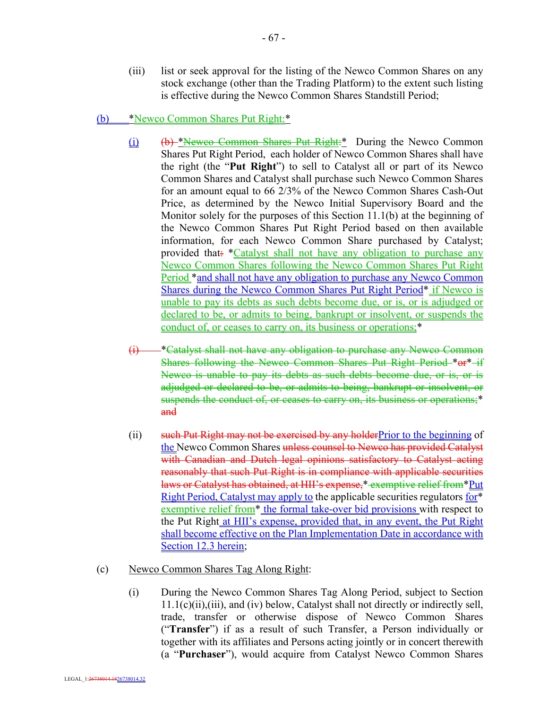(iii) list or seek approval for the listing of the Newco Common Shares on any stock exchange (other than the Trading Platform) to the extent such listing is effective during the Newco Common Shares Standstill Period;

### (b) \*Newco Common Shares Put Right:\*

- (i) (b) \*Newco Common Shares Put Right:\* During the Newco Common Shares Put Right Period, each holder of Newco Common Shares shall have the right (the "**Put Right**") to sell to Catalyst all or part of its Newco Common Shares and Catalyst shall purchase such Newco Common Shares for an amount equal to 66 2/3% of the Newco Common Shares Cash-Out Price, as determined by the Newco Initial Supervisory Board and the Monitor solely for the purposes of this Section 11.1(b) at the beginning of the Newco Common Shares Put Right Period based on then available information, for each Newco Common Share purchased by Catalyst; provided that: \*Catalyst shall not have any obligation to purchase any Newco Common Shares following the Newco Common Shares Put Right Period \*and shall not have any obligation to purchase any Newco Common Shares during the Newco Common Shares Put Right Period\* if Newco is unable to pay its debts as such debts become due, or is, or is adjudged or declared to be, or admits to being, bankrupt or insolvent, or suspends the conduct of, or ceases to carry on, its business or operations;\*
- (i) \*Catalyst shall not have any obligation to purchase any Newco Common Shares following the Newco Common Shares Put Right Period \*or\* if Newco is unable to pay its debts as such debts become due, or is, or is adjudged or declared to be, or admits to being, bankrupt or insolvent, or suspends the conduct of, or ceases to carry on, its business or operations;\* and
- (ii) such Put Right may not be exercised by any holderPrior to the beginning of the Newco Common Shares unless counsel to Newco has provided Catalyst with Canadian and Dutch legal opinions satisfactory to Catalyst acting reasonably that such Put Right is in compliance with applicable securities laws or Catalyst has obtained, at HII's expense,\* exemptive relief from\*Put Right Period, Catalyst may apply to the applicable securities regulators for\* exemptive relief from<sup>\*</sup> the formal take-over bid provisions with respect to the Put Right at HII's expense, provided that, in any event, the Put Right shall become effective on the Plan Implementation Date in accordance with Section 12.3 herein;
- (c) Newco Common Shares Tag Along Right:
	- (i) During the Newco Common Shares Tag Along Period, subject to Section 11.1(c)(ii),(iii), and (iv) below, Catalyst shall not directly or indirectly sell, trade, transfer or otherwise dispose of Newco Common Shares ("**Transfer**") if as a result of such Transfer, a Person individually or together with its affiliates and Persons acting jointly or in concert therewith (a "**Purchaser**"), would acquire from Catalyst Newco Common Shares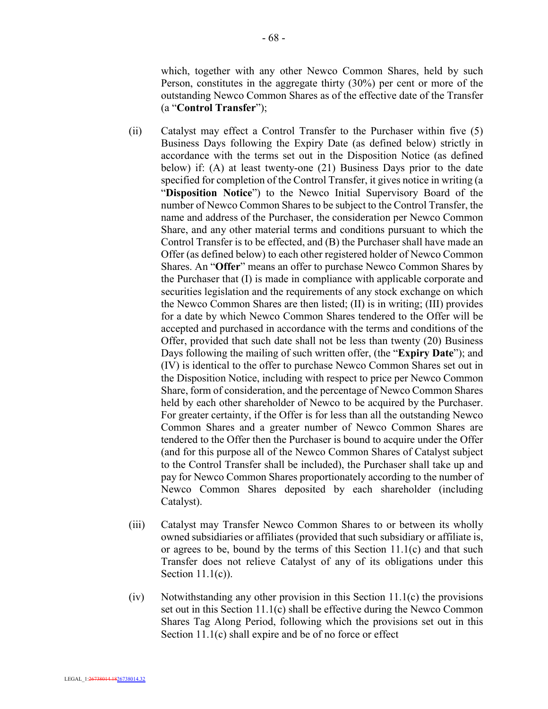which, together with any other Newco Common Shares, held by such Person, constitutes in the aggregate thirty (30%) per cent or more of the outstanding Newco Common Shares as of the effective date of the Transfer (a "**Control Transfer**");

- (ii) Catalyst may effect a Control Transfer to the Purchaser within five (5) Business Days following the Expiry Date (as defined below) strictly in accordance with the terms set out in the Disposition Notice (as defined below) if: (A) at least twenty-one (21) Business Days prior to the date specified for completion of the Control Transfer, it gives notice in writing (a "**Disposition Notice**") to the Newco Initial Supervisory Board of the number of Newco Common Shares to be subject to the Control Transfer, the name and address of the Purchaser, the consideration per Newco Common Share, and any other material terms and conditions pursuant to which the Control Transfer is to be effected, and (B) the Purchaser shall have made an Offer (as defined below) to each other registered holder of Newco Common Shares. An "**Offer**" means an offer to purchase Newco Common Shares by the Purchaser that (I) is made in compliance with applicable corporate and securities legislation and the requirements of any stock exchange on which the Newco Common Shares are then listed; (II) is in writing; (III) provides for a date by which Newco Common Shares tendered to the Offer will be accepted and purchased in accordance with the terms and conditions of the Offer, provided that such date shall not be less than twenty (20) Business Days following the mailing of such written offer, (the "**Expiry Date**"); and (IV) is identical to the offer to purchase Newco Common Shares set out in the Disposition Notice, including with respect to price per Newco Common Share, form of consideration, and the percentage of Newco Common Shares held by each other shareholder of Newco to be acquired by the Purchaser. For greater certainty, if the Offer is for less than all the outstanding Newco Common Shares and a greater number of Newco Common Shares are tendered to the Offer then the Purchaser is bound to acquire under the Offer (and for this purpose all of the Newco Common Shares of Catalyst subject to the Control Transfer shall be included), the Purchaser shall take up and pay for Newco Common Shares proportionately according to the number of Newco Common Shares deposited by each shareholder (including Catalyst).
- (iii) Catalyst may Transfer Newco Common Shares to or between its wholly owned subsidiaries or affiliates (provided that such subsidiary or affiliate is, or agrees to be, bound by the terms of this Section 11.1(c) and that such Transfer does not relieve Catalyst of any of its obligations under this Section 11.1(c)).
- (iv) Notwithstanding any other provision in this Section 11.1(c) the provisions set out in this Section 11.1(c) shall be effective during the Newco Common Shares Tag Along Period, following which the provisions set out in this Section 11.1(c) shall expire and be of no force or effect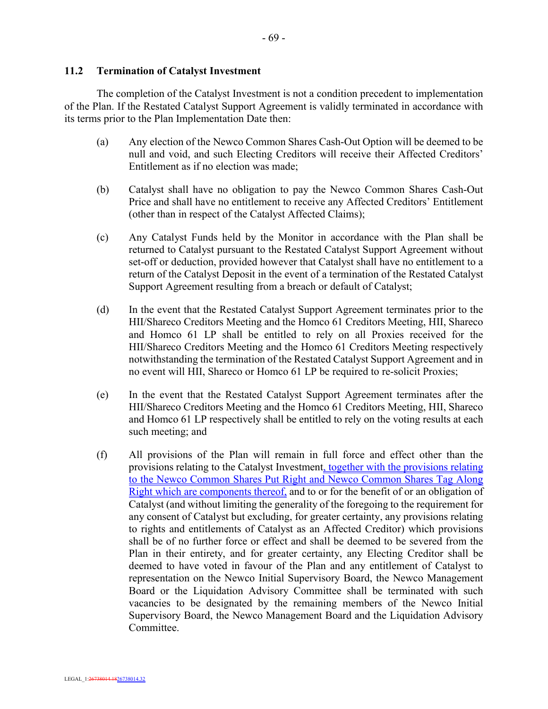## **11.2 Termination of Catalyst Investment**

The completion of the Catalyst Investment is not a condition precedent to implementation of the Plan. If the Restated Catalyst Support Agreement is validly terminated in accordance with its terms prior to the Plan Implementation Date then:

- (a) Any election of the Newco Common Shares Cash-Out Option will be deemed to be null and void, and such Electing Creditors will receive their Affected Creditors' Entitlement as if no election was made;
- (b) Catalyst shall have no obligation to pay the Newco Common Shares Cash-Out Price and shall have no entitlement to receive any Affected Creditors' Entitlement (other than in respect of the Catalyst Affected Claims);
- (c) Any Catalyst Funds held by the Monitor in accordance with the Plan shall be returned to Catalyst pursuant to the Restated Catalyst Support Agreement without set-off or deduction, provided however that Catalyst shall have no entitlement to a return of the Catalyst Deposit in the event of a termination of the Restated Catalyst Support Agreement resulting from a breach or default of Catalyst;
- (d) In the event that the Restated Catalyst Support Agreement terminates prior to the HII/Shareco Creditors Meeting and the Homco 61 Creditors Meeting, HII, Shareco and Homco 61 LP shall be entitled to rely on all Proxies received for the HII/Shareco Creditors Meeting and the Homco 61 Creditors Meeting respectively notwithstanding the termination of the Restated Catalyst Support Agreement and in no event will HII, Shareco or Homco 61 LP be required to re-solicit Proxies;
- (e) In the event that the Restated Catalyst Support Agreement terminates after the HII/Shareco Creditors Meeting and the Homco 61 Creditors Meeting, HII, Shareco and Homco 61 LP respectively shall be entitled to rely on the voting results at each such meeting; and
- (f) All provisions of the Plan will remain in full force and effect other than the provisions relating to the Catalyst Investment, together with the provisions relating to the Newco Common Shares Put Right and Newco Common Shares Tag Along Right which are components thereof, and to or for the benefit of or an obligation of Catalyst (and without limiting the generality of the foregoing to the requirement for any consent of Catalyst but excluding, for greater certainty, any provisions relating to rights and entitlements of Catalyst as an Affected Creditor) which provisions shall be of no further force or effect and shall be deemed to be severed from the Plan in their entirety, and for greater certainty, any Electing Creditor shall be deemed to have voted in favour of the Plan and any entitlement of Catalyst to representation on the Newco Initial Supervisory Board, the Newco Management Board or the Liquidation Advisory Committee shall be terminated with such vacancies to be designated by the remaining members of the Newco Initial Supervisory Board, the Newco Management Board and the Liquidation Advisory Committee.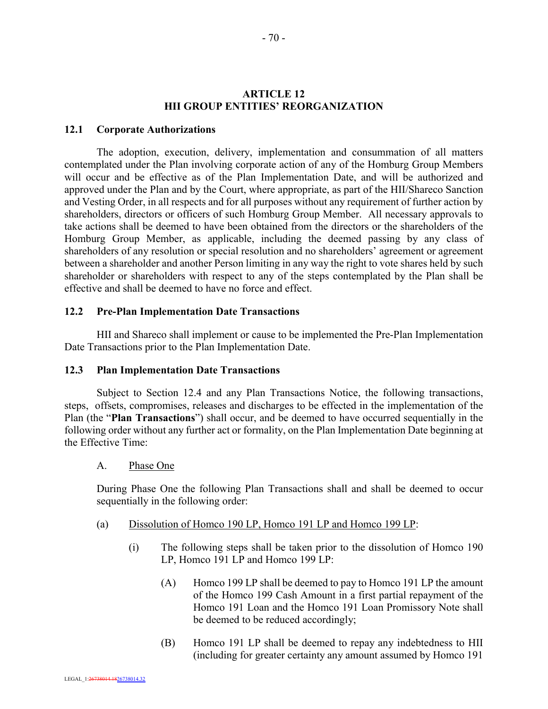## **ARTICLE 12 HII GROUP ENTITIES' REORGANIZATION**

#### **12.1 Corporate Authorizations**

The adoption, execution, delivery, implementation and consummation of all matters contemplated under the Plan involving corporate action of any of the Homburg Group Members will occur and be effective as of the Plan Implementation Date, and will be authorized and approved under the Plan and by the Court, where appropriate, as part of the HII/Shareco Sanction and Vesting Order, in all respects and for all purposes without any requirement of further action by shareholders, directors or officers of such Homburg Group Member. All necessary approvals to take actions shall be deemed to have been obtained from the directors or the shareholders of the Homburg Group Member, as applicable, including the deemed passing by any class of shareholders of any resolution or special resolution and no shareholders' agreement or agreement between a shareholder and another Person limiting in any way the right to vote shares held by such shareholder or shareholders with respect to any of the steps contemplated by the Plan shall be effective and shall be deemed to have no force and effect.

#### **12.2 Pre-Plan Implementation Date Transactions**

HII and Shareco shall implement or cause to be implemented the Pre-Plan Implementation Date Transactions prior to the Plan Implementation Date.

#### **12.3 Plan Implementation Date Transactions**

Subject to Section 12.4 and any Plan Transactions Notice, the following transactions, steps, offsets, compromises, releases and discharges to be effected in the implementation of the Plan (the "**Plan Transactions**") shall occur, and be deemed to have occurred sequentially in the following order without any further act or formality, on the Plan Implementation Date beginning at the Effective Time:

#### A. Phase One

During Phase One the following Plan Transactions shall and shall be deemed to occur sequentially in the following order:

- (a) Dissolution of Homco 190 LP, Homco 191 LP and Homco 199 LP:
	- (i) The following steps shall be taken prior to the dissolution of Homco 190 LP, Homco 191 LP and Homco 199 LP:
		- (A) Homco 199 LP shall be deemed to pay to Homco 191 LP the amount of the Homco 199 Cash Amount in a first partial repayment of the Homco 191 Loan and the Homco 191 Loan Promissory Note shall be deemed to be reduced accordingly;
		- (B) Homco 191 LP shall be deemed to repay any indebtedness to HII (including for greater certainty any amount assumed by Homco 191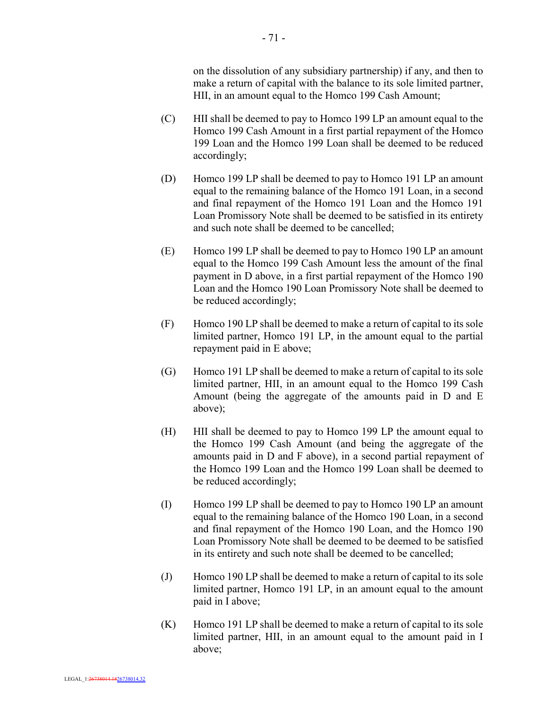on the dissolution of any subsidiary partnership) if any, and then to make a return of capital with the balance to its sole limited partner, HII, in an amount equal to the Homco 199 Cash Amount;

- (C) HII shall be deemed to pay to Homco 199 LP an amount equal to the Homco 199 Cash Amount in a first partial repayment of the Homco 199 Loan and the Homco 199 Loan shall be deemed to be reduced accordingly;
- (D) Homco 199 LP shall be deemed to pay to Homco 191 LP an amount equal to the remaining balance of the Homco 191 Loan, in a second and final repayment of the Homco 191 Loan and the Homco 191 Loan Promissory Note shall be deemed to be satisfied in its entirety and such note shall be deemed to be cancelled;
- (E) Homco 199 LP shall be deemed to pay to Homco 190 LP an amount equal to the Homco 199 Cash Amount less the amount of the final payment in D above, in a first partial repayment of the Homco 190 Loan and the Homco 190 Loan Promissory Note shall be deemed to be reduced accordingly;
- (F) Homco 190 LP shall be deemed to make a return of capital to its sole limited partner, Homco 191 LP, in the amount equal to the partial repayment paid in E above;
- (G) Homco 191 LP shall be deemed to make a return of capital to its sole limited partner, HII, in an amount equal to the Homco 199 Cash Amount (being the aggregate of the amounts paid in D and E above);
- (H) HII shall be deemed to pay to Homco 199 LP the amount equal to the Homco 199 Cash Amount (and being the aggregate of the amounts paid in D and F above), in a second partial repayment of the Homco 199 Loan and the Homco 199 Loan shall be deemed to be reduced accordingly;
- (I) Homco 199 LP shall be deemed to pay to Homco 190 LP an amount equal to the remaining balance of the Homco 190 Loan, in a second and final repayment of the Homco 190 Loan, and the Homco 190 Loan Promissory Note shall be deemed to be deemed to be satisfied in its entirety and such note shall be deemed to be cancelled;
- (J) Homco 190 LP shall be deemed to make a return of capital to its sole limited partner, Homco 191 LP, in an amount equal to the amount paid in I above;
- (K) Homco 191 LP shall be deemed to make a return of capital to its sole limited partner, HII, in an amount equal to the amount paid in I above;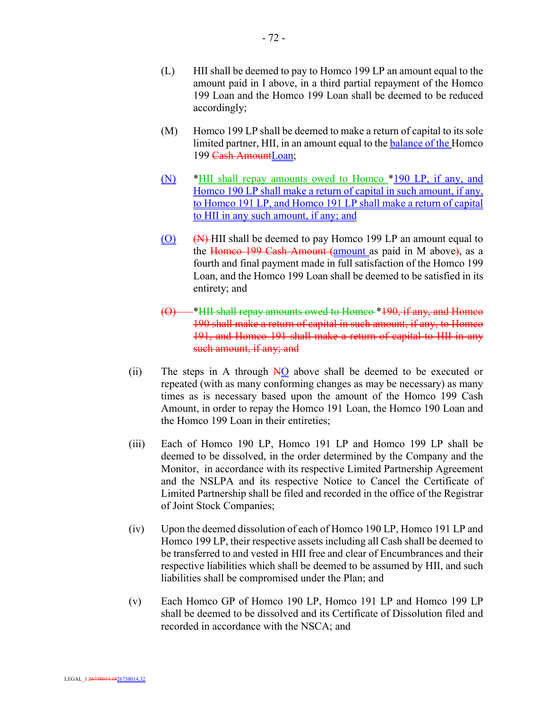- (L) HII shall be deemed to pay to Homco 199 LP an amount equal to the amount paid in I above, in a third partial repayment of the Homco 199 Loan and the Homco 199 Loan shall be deemed to be reduced accordingly;
- (M) Homco 199 LP shall be deemed to make a return of capital to its sole limited partner, HII, in an amount equal to the **balance of the Homco** 199 Cash AmountLoan;
- (N) \*HII shall repay amounts owed to Homco \*190 LP, if any, and Homco 190 LP shall make a return of capital in such amount, if any, to Homco 191 LP, and Homco 191 LP shall make a return of capital to HII in any such amount, if any; and
- $\overline{(0)}$   $\overline{(N)}$  HII shall be deemed to pay Homco 199 LP an amount equal to the Homeo 199 Cash Amount (amount as paid in M above), as a fourth and final payment made in full satisfaction of the Homco 199 Loan, and the Homco 199 Loan shall be deemed to be satisfied in its entirety; and
- <sup>\*</sup>HII shall repay amounts owed to Homco \*190, if any, and Homco 190 shall make a return of capital in such amount, if any, to Homco 191, and Homco 191 shall make a return of capital to HII in any such amount, if any; and
- (ii) The steps in A through NO above shall be deemed to be executed or repeated (with as many conforming changes as may be necessary) as many times as is necessary based upon the amount of the Homco 199 Cash Amount, in order to repay the Homco 191 Loan, the Homco 190 Loan and the Homco 199 Loan in their entireties;
- (iii) Each of Homco 190 LP, Homco 191 LP and Homco 199 LP shall be deemed to be dissolved, in the order determined by the Company and the Monitor, in accordance with its respective Limited Partnership Agreement and the NSLPA and its respective Notice to Cancel the Certificate of Limited Partnership shall be filed and recorded in the office of the Registrar of Joint Stock Companies;
- (iv) Upon the deemed dissolution of each of Homco 190 LP, Homco 191 LP and Homco 199 LP, their respective assets including all Cash shall be deemed to be transferred to and vested in HII free and clear of Encumbrances and their respective liabilities which shall be deemed to be assumed by HII, and such liabilities shall be compromised under the Plan; and
- (v) Each Homco GP of Homco 190 LP, Homco 191 LP and Homco 199 LP shall be deemed to be dissolved and its Certificate of Dissolution filed and recorded in accordance with the NSCA; and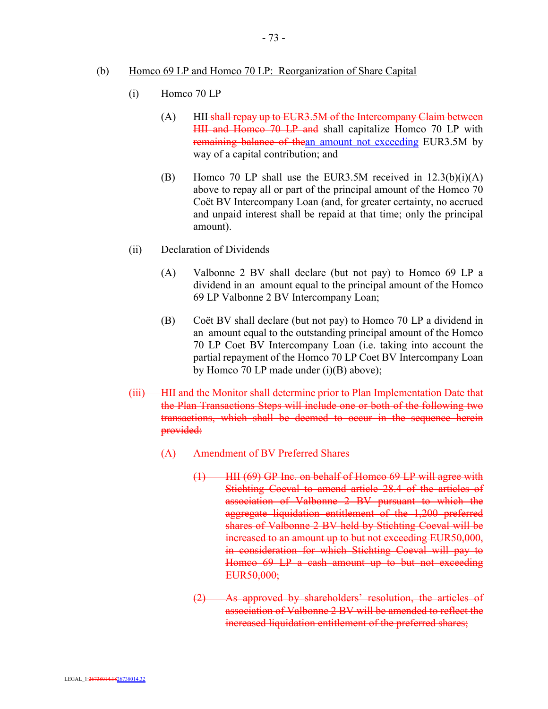- (b) Homco 69 LP and Homco 70 LP: Reorganization of Share Capital
	- (i) Homco 70 LP
		- (A) HII-shall repay up to EUR3.5M of the Intercompany Claim between HII and Homco 70 LP and shall capitalize Homco 70 LP with remaining balance of thean amount not exceeding EUR3.5M by way of a capital contribution; and
		- (B) Homco 70 LP shall use the EUR3.5M received in  $12.3(b)(i)(A)$ above to repay all or part of the principal amount of the Homco 70 Coët BV Intercompany Loan (and, for greater certainty, no accrued and unpaid interest shall be repaid at that time; only the principal amount).
	- (ii) Declaration of Dividends
		- (A) Valbonne 2 BV shall declare (but not pay) to Homco 69 LP a dividend in an amount equal to the principal amount of the Homco 69 LP Valbonne 2 BV Intercompany Loan;
		- (B) Coët BV shall declare (but not pay) to Homco 70 LP a dividend in an amount equal to the outstanding principal amount of the Homco 70 LP Coet BV Intercompany Loan (i.e. taking into account the partial repayment of the Homco 70 LP Coet BV Intercompany Loan by Homco 70 LP made under (i)(B) above);
	- (iii) HII and the Monitor shall determine prior to Plan Implementation Date that the Plan Transactions Steps will include one or both of the following two transactions, which shall be deemed to occur in the sequence herein provided:
		- (A) Amendment of BV Preferred Shares
			- $(1)$  HII (69) GP Inc. on behalf of Homco 69 LP will agree with Stichting Coeval to amend article 28.4 of the articles of association of Valbonne 2 BV pursuant to which the aggregate liquidation entitlement of the 1,200 preferred shares of Valbonne 2 BV held by Stichting Coeval will be increased to an amount up to but not exceeding EUR50,000, in consideration for which Stichting Coeval will pay to Homco 69 LP a cash amount up to but not exceeding EUR50,000;
			- (2) As approved by shareholders' resolution, the articles of association of Valbonne 2 BV will be amended to reflect the increased liquidation entitlement of the preferred shares;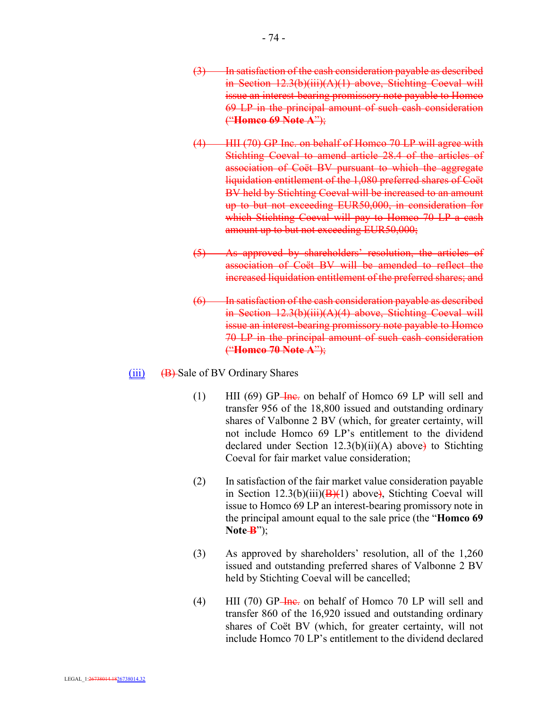- (3) In satisfaction of the cash consideration payable as described in Section 12.3(b)(iii)(A)(1) above, Stichting Coeval will issue an interest-bearing promissory note payable to Homco 69 LP in the principal amount of such cash consideration ("**Homco 69 Note A**");
- (4) HII (70) GP Inc. on behalf of Homco 70 LP will agree with Stichting Coeval to amend article 28.4 of the articles of association of Coët BV pursuant to which the aggregate liquidation entitlement of the 1,080 preferred shares of Coët BV held by Stichting Coeval will be increased to an amount up to but not exceeding EUR50,000, in consideration for which Stichting Coeval will pay to Homco 70 LP a cash amount up to but not exceeding EUR50,000;
- (5) As approved by shareholders' resolution, the articles of association of Coët BV will be amended to reflect the increased liquidation entitlement of the preferred shares; and
- (6) In satisfaction of the cash consideration payable as described in Section 12.3(b)(iii)(A)(4) above, Stichting Coeval will issue an interest-bearing promissory note payable to Homco 70 LP in the principal amount of such cash consideration ("**Homco 70 Note A**");
- $(iii)$  (B) Sale of BV Ordinary Shares
	- (1) HII (69) GP- $\frac{1}{2}$  Here. on behalf of Homco 69 LP will sell and transfer 956 of the 18,800 issued and outstanding ordinary shares of Valbonne 2 BV (which, for greater certainty, will not include Homco 69 LP's entitlement to the dividend declared under Section  $12.3(b)(ii)(A)$  above) to Stichting Coeval for fair market value consideration;
	- (2) In satisfaction of the fair market value consideration payable in Section  $12.3(b)(iii)(B)(1)$  above), Stichting Coeval will issue to Homco 69 LP an interest-bearing promissory note in the principal amount equal to the sale price (the "**Homco 69**   $Note-B$ ");
	- (3) As approved by shareholders' resolution, all of the 1,260 issued and outstanding preferred shares of Valbonne 2 BV held by Stichting Coeval will be cancelled;
	- (4) HII (70) GP- $\frac{2}{1}$  Here. on behalf of Homco 70 LP will sell and transfer 860 of the 16,920 issued and outstanding ordinary shares of Coët BV (which, for greater certainty, will not include Homco 70 LP's entitlement to the dividend declared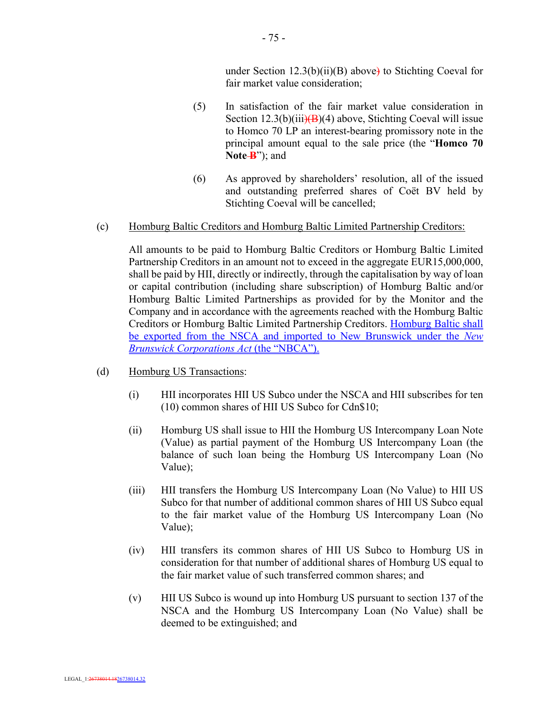under Section  $12.3(b)(ii)(B)$  above) to Stichting Coeval for fair market value consideration;

- (5) In satisfaction of the fair market value consideration in Section  $12.3(b)(iii)(B)(4)$  above, Stichting Coeval will issue to Homco 70 LP an interest-bearing promissory note in the principal amount equal to the sale price (the "**Homco 70**  Note-**B**"); and
- (6) As approved by shareholders' resolution, all of the issued and outstanding preferred shares of Coët BV held by Stichting Coeval will be cancelled;

#### (c) Homburg Baltic Creditors and Homburg Baltic Limited Partnership Creditors:

All amounts to be paid to Homburg Baltic Creditors or Homburg Baltic Limited Partnership Creditors in an amount not to exceed in the aggregate EUR15,000,000, shall be paid by HII, directly or indirectly, through the capitalisation by way of loan or capital contribution (including share subscription) of Homburg Baltic and/or Homburg Baltic Limited Partnerships as provided for by the Monitor and the Company and in accordance with the agreements reached with the Homburg Baltic Creditors or Homburg Baltic Limited Partnership Creditors. Homburg Baltic shall be exported from the NSCA and imported to New Brunswick under the *New Brunswick Corporations Act* (the "NBCA").

- (d) Homburg US Transactions:
	- (i) HII incorporates HII US Subco under the NSCA and HII subscribes for ten (10) common shares of HII US Subco for Cdn\$10;
	- (ii) Homburg US shall issue to HII the Homburg US Intercompany Loan Note (Value) as partial payment of the Homburg US Intercompany Loan (the balance of such loan being the Homburg US Intercompany Loan (No Value);
	- (iii) HII transfers the Homburg US Intercompany Loan (No Value) to HII US Subco for that number of additional common shares of HII US Subco equal to the fair market value of the Homburg US Intercompany Loan (No Value);
	- (iv) HII transfers its common shares of HII US Subco to Homburg US in consideration for that number of additional shares of Homburg US equal to the fair market value of such transferred common shares; and
	- (v) HII US Subco is wound up into Homburg US pursuant to section 137 of the NSCA and the Homburg US Intercompany Loan (No Value) shall be deemed to be extinguished; and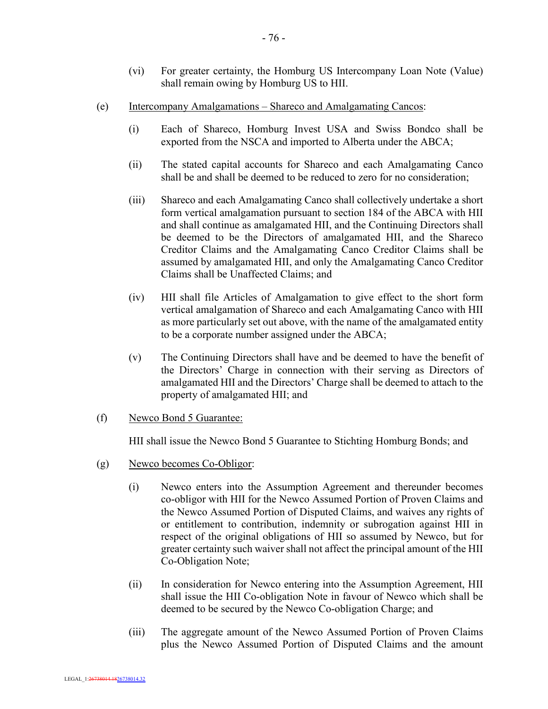- (vi) For greater certainty, the Homburg US Intercompany Loan Note (Value) shall remain owing by Homburg US to HII.
- (e) Intercompany Amalgamations Shareco and Amalgamating Cancos:
	- (i) Each of Shareco, Homburg Invest USA and Swiss Bondco shall be exported from the NSCA and imported to Alberta under the ABCA;
	- (ii) The stated capital accounts for Shareco and each Amalgamating Canco shall be and shall be deemed to be reduced to zero for no consideration;
	- (iii) Shareco and each Amalgamating Canco shall collectively undertake a short form vertical amalgamation pursuant to section 184 of the ABCA with HII and shall continue as amalgamated HII, and the Continuing Directors shall be deemed to be the Directors of amalgamated HII, and the Shareco Creditor Claims and the Amalgamating Canco Creditor Claims shall be assumed by amalgamated HII, and only the Amalgamating Canco Creditor Claims shall be Unaffected Claims; and
	- (iv) HII shall file Articles of Amalgamation to give effect to the short form vertical amalgamation of Shareco and each Amalgamating Canco with HII as more particularly set out above, with the name of the amalgamated entity to be a corporate number assigned under the ABCA;
	- (v) The Continuing Directors shall have and be deemed to have the benefit of the Directors' Charge in connection with their serving as Directors of amalgamated HII and the Directors' Charge shall be deemed to attach to the property of amalgamated HII; and
- (f) Newco Bond 5 Guarantee:

HII shall issue the Newco Bond 5 Guarantee to Stichting Homburg Bonds; and

- (g) Newco becomes Co-Obligor:
	- (i) Newco enters into the Assumption Agreement and thereunder becomes co-obligor with HII for the Newco Assumed Portion of Proven Claims and the Newco Assumed Portion of Disputed Claims, and waives any rights of or entitlement to contribution, indemnity or subrogation against HII in respect of the original obligations of HII so assumed by Newco, but for greater certainty such waiver shall not affect the principal amount of the HII Co-Obligation Note;
	- (ii) In consideration for Newco entering into the Assumption Agreement, HII shall issue the HII Co-obligation Note in favour of Newco which shall be deemed to be secured by the Newco Co-obligation Charge; and
	- (iii) The aggregate amount of the Newco Assumed Portion of Proven Claims plus the Newco Assumed Portion of Disputed Claims and the amount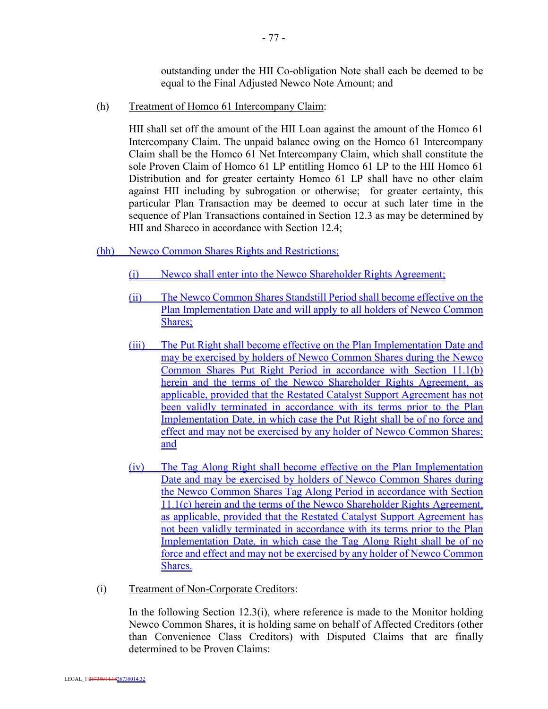outstanding under the HII Co-obligation Note shall each be deemed to be equal to the Final Adjusted Newco Note Amount; and

(h) Treatment of Homco 61 Intercompany Claim:

HII shall set off the amount of the HII Loan against the amount of the Homco 61 Intercompany Claim. The unpaid balance owing on the Homco 61 Intercompany Claim shall be the Homco 61 Net Intercompany Claim, which shall constitute the sole Proven Claim of Homco 61 LP entitling Homco 61 LP to the HII Homco 61 Distribution and for greater certainty Homco 61 LP shall have no other claim against HII including by subrogation or otherwise; for greater certainty, this particular Plan Transaction may be deemed to occur at such later time in the sequence of Plan Transactions contained in Section 12.3 as may be determined by HII and Shareco in accordance with Section 12.4;

- (hh) Newco Common Shares Rights and Restrictions:
	- (i) Newco shall enter into the Newco Shareholder Rights Agreement;
	- (ii) The Newco Common Shares Standstill Period shall become effective on the Plan Implementation Date and will apply to all holders of Newco Common Shares;
	- (iii) The Put Right shall become effective on the Plan Implementation Date and may be exercised by holders of Newco Common Shares during the Newco Common Shares Put Right Period in accordance with Section 11.1(b) herein and the terms of the Newco Shareholder Rights Agreement, as applicable, provided that the Restated Catalyst Support Agreement has not been validly terminated in accordance with its terms prior to the Plan Implementation Date, in which case the Put Right shall be of no force and effect and may not be exercised by any holder of Newco Common Shares; and
	- (iv) The Tag Along Right shall become effective on the Plan Implementation Date and may be exercised by holders of Newco Common Shares during the Newco Common Shares Tag Along Period in accordance with Section 11.1(c) herein and the terms of the Newco Shareholder Rights Agreement, as applicable, provided that the Restated Catalyst Support Agreement has not been validly terminated in accordance with its terms prior to the Plan Implementation Date, in which case the Tag Along Right shall be of no force and effect and may not be exercised by any holder of Newco Common Shares.
- (i) Treatment of Non-Corporate Creditors:

In the following Section  $12.3(i)$ , where reference is made to the Monitor holding Newco Common Shares, it is holding same on behalf of Affected Creditors (other than Convenience Class Creditors) with Disputed Claims that are finally determined to be Proven Claims: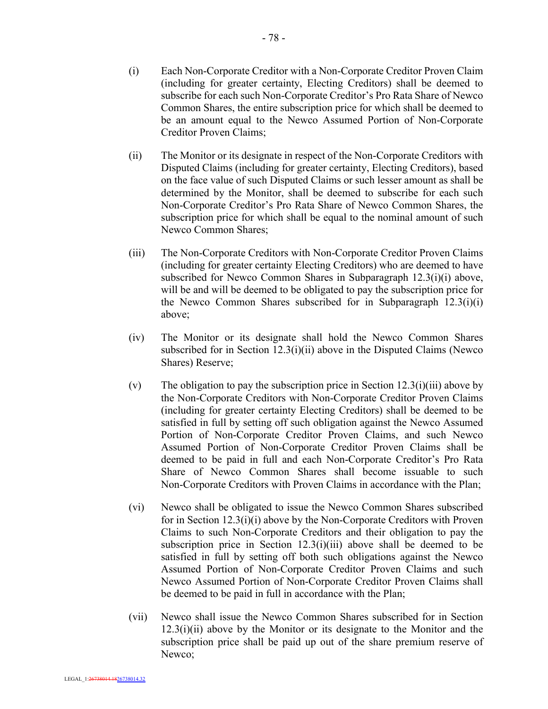- (i) Each Non-Corporate Creditor with a Non-Corporate Creditor Proven Claim (including for greater certainty, Electing Creditors) shall be deemed to subscribe for each such Non-Corporate Creditor's Pro Rata Share of Newco Common Shares, the entire subscription price for which shall be deemed to be an amount equal to the Newco Assumed Portion of Non-Corporate Creditor Proven Claims;
- (ii) The Monitor or its designate in respect of the Non-Corporate Creditors with Disputed Claims (including for greater certainty, Electing Creditors), based on the face value of such Disputed Claims or such lesser amount as shall be determined by the Monitor, shall be deemed to subscribe for each such Non-Corporate Creditor's Pro Rata Share of Newco Common Shares, the subscription price for which shall be equal to the nominal amount of such Newco Common Shares;
- (iii) The Non-Corporate Creditors with Non-Corporate Creditor Proven Claims (including for greater certainty Electing Creditors) who are deemed to have subscribed for Newco Common Shares in Subparagraph 12.3(i)(i) above, will be and will be deemed to be obligated to pay the subscription price for the Newco Common Shares subscribed for in Subparagraph 12.3(i)(i) above;
- (iv) The Monitor or its designate shall hold the Newco Common Shares subscribed for in Section 12.3(i)(ii) above in the Disputed Claims (Newco) Shares) Reserve;
- (v) The obligation to pay the subscription price in Section  $12.3(i)(iii)$  above by the Non-Corporate Creditors with Non-Corporate Creditor Proven Claims (including for greater certainty Electing Creditors) shall be deemed to be satisfied in full by setting off such obligation against the Newco Assumed Portion of Non-Corporate Creditor Proven Claims, and such Newco Assumed Portion of Non-Corporate Creditor Proven Claims shall be deemed to be paid in full and each Non-Corporate Creditor's Pro Rata Share of Newco Common Shares shall become issuable to such Non-Corporate Creditors with Proven Claims in accordance with the Plan;
- (vi) Newco shall be obligated to issue the Newco Common Shares subscribed for in Section 12.3(i)(i) above by the Non-Corporate Creditors with Proven Claims to such Non-Corporate Creditors and their obligation to pay the subscription price in Section  $12.3(i)(iii)$  above shall be deemed to be satisfied in full by setting off both such obligations against the Newco Assumed Portion of Non-Corporate Creditor Proven Claims and such Newco Assumed Portion of Non-Corporate Creditor Proven Claims shall be deemed to be paid in full in accordance with the Plan;
- (vii) Newco shall issue the Newco Common Shares subscribed for in Section  $12.3(i)(ii)$  above by the Monitor or its designate to the Monitor and the subscription price shall be paid up out of the share premium reserve of Newco;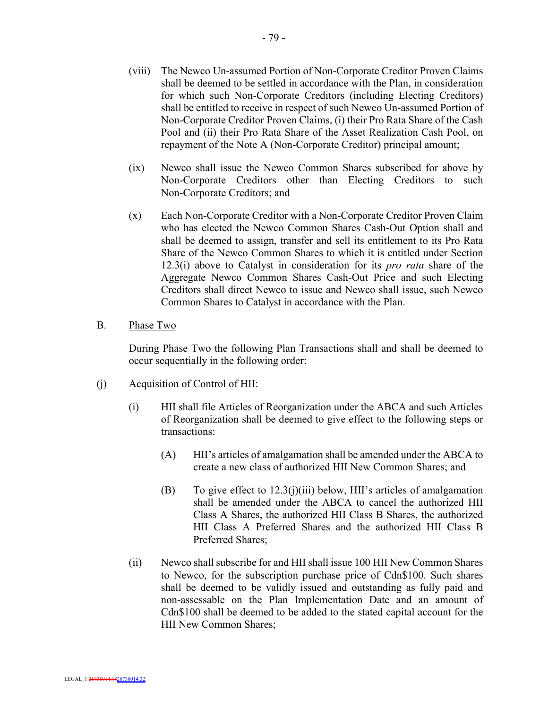- (viii) The Newco Un-assumed Portion of Non-Corporate Creditor Proven Claims shall be deemed to be settled in accordance with the Plan, in consideration for which such Non-Corporate Creditors (including Electing Creditors) shall be entitled to receive in respect of such Newco Un-assumed Portion of Non-Corporate Creditor Proven Claims, (i) their Pro Rata Share of the Cash Pool and (ii) their Pro Rata Share of the Asset Realization Cash Pool, on repayment of the Note A (Non-Corporate Creditor) principal amount;
- (ix) Newco shall issue the Newco Common Shares subscribed for above by Non-Corporate Creditors other than Electing Creditors to such Non-Corporate Creditors; and
- (x) Each Non-Corporate Creditor with a Non-Corporate Creditor Proven Claim who has elected the Newco Common Shares Cash-Out Option shall and shall be deemed to assign, transfer and sell its entitlement to its Pro Rata Share of the Newco Common Shares to which it is entitled under Section 12.3(i) above to Catalyst in consideration for its *pro rata* share of the Aggregate Newco Common Shares Cash-Out Price and such Electing Creditors shall direct Newco to issue and Newco shall issue, such Newco Common Shares to Catalyst in accordance with the Plan.
- B. Phase Two

During Phase Two the following Plan Transactions shall and shall be deemed to occur sequentially in the following order:

- (j) Acquisition of Control of HII:
	- (i) HII shall file Articles of Reorganization under the ABCA and such Articles of Reorganization shall be deemed to give effect to the following steps or transactions:
		- (A) HII's articles of amalgamation shall be amended under the ABCA to create a new class of authorized HII New Common Shares; and
		- (B) To give effect to  $12.3(j)(iii)$  below, HII's articles of amalgamation shall be amended under the ABCA to cancel the authorized HII Class A Shares, the authorized HII Class B Shares, the authorized HII Class A Preferred Shares and the authorized HII Class B Preferred Shares;
	- (ii) Newco shall subscribe for and HII shall issue 100 HII New Common Shares to Newco, for the subscription purchase price of Cdn\$100. Such shares shall be deemed to be validly issued and outstanding as fully paid and non-assessable on the Plan Implementation Date and an amount of Cdn\$100 shall be deemed to be added to the stated capital account for the HII New Common Shares;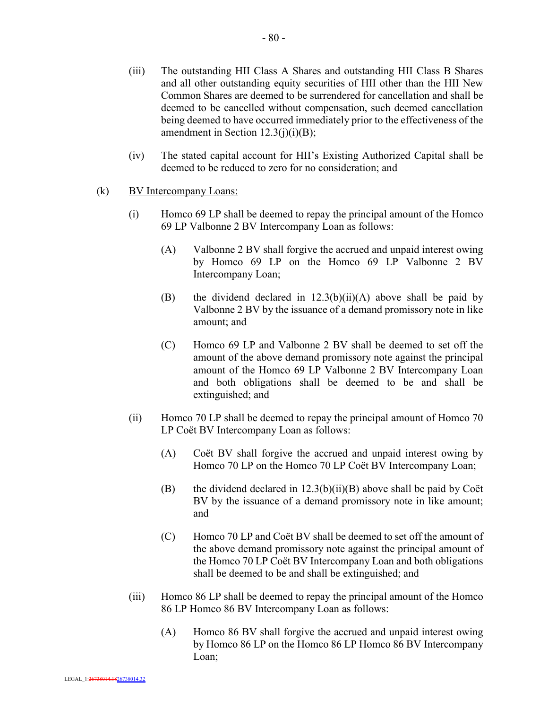- (iii) The outstanding HII Class A Shares and outstanding HII Class B Shares and all other outstanding equity securities of HII other than the HII New Common Shares are deemed to be surrendered for cancellation and shall be deemed to be cancelled without compensation, such deemed cancellation being deemed to have occurred immediately prior to the effectiveness of the amendment in Section 12.3(j)(i)(B);
- (iv) The stated capital account for HII's Existing Authorized Capital shall be deemed to be reduced to zero for no consideration; and
- (k) BV Intercompany Loans:
	- (i) Homco 69 LP shall be deemed to repay the principal amount of the Homco 69 LP Valbonne 2 BV Intercompany Loan as follows:
		- (A) Valbonne 2 BV shall forgive the accrued and unpaid interest owing by Homco 69 LP on the Homco 69 LP Valbonne 2 BV Intercompany Loan;
		- (B) the dividend declared in 12.3(b)(ii)(A) above shall be paid by Valbonne 2 BV by the issuance of a demand promissory note in like amount; and
		- (C) Homco 69 LP and Valbonne 2 BV shall be deemed to set off the amount of the above demand promissory note against the principal amount of the Homco 69 LP Valbonne 2 BV Intercompany Loan and both obligations shall be deemed to be and shall be extinguished; and
	- (ii) Homco 70 LP shall be deemed to repay the principal amount of Homco 70 LP Coët BV Intercompany Loan as follows:
		- (A) Coët BV shall forgive the accrued and unpaid interest owing by Homco 70 LP on the Homco 70 LP Coët BV Intercompany Loan;
		- (B) the dividend declared in  $12.3(b)(ii)(B)$  above shall be paid by Coët BV by the issuance of a demand promissory note in like amount; and
		- (C) Homco 70 LP and Coët BV shall be deemed to set off the amount of the above demand promissory note against the principal amount of the Homco 70 LP Coët BV Intercompany Loan and both obligations shall be deemed to be and shall be extinguished; and
	- (iii) Homco 86 LP shall be deemed to repay the principal amount of the Homco 86 LP Homco 86 BV Intercompany Loan as follows:
		- (A) Homco 86 BV shall forgive the accrued and unpaid interest owing by Homco 86 LP on the Homco 86 LP Homco 86 BV Intercompany Loan;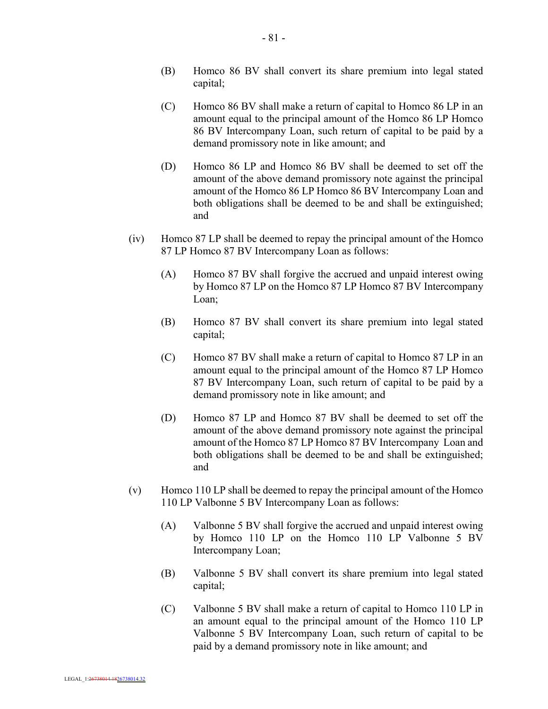- (B) Homco 86 BV shall convert its share premium into legal stated capital;
- (C) Homco 86 BV shall make a return of capital to Homco 86 LP in an amount equal to the principal amount of the Homco 86 LP Homco 86 BV Intercompany Loan, such return of capital to be paid by a demand promissory note in like amount; and
- (D) Homco 86 LP and Homco 86 BV shall be deemed to set off the amount of the above demand promissory note against the principal amount of the Homco 86 LP Homco 86 BV Intercompany Loan and both obligations shall be deemed to be and shall be extinguished; and
- (iv) Homco 87 LP shall be deemed to repay the principal amount of the Homco 87 LP Homco 87 BV Intercompany Loan as follows:
	- (A) Homco 87 BV shall forgive the accrued and unpaid interest owing by Homco 87 LP on the Homco 87 LP Homco 87 BV Intercompany Loan;
	- (B) Homco 87 BV shall convert its share premium into legal stated capital;
	- (C) Homco 87 BV shall make a return of capital to Homco 87 LP in an amount equal to the principal amount of the Homco 87 LP Homco 87 BV Intercompany Loan, such return of capital to be paid by a demand promissory note in like amount; and
	- (D) Homco 87 LP and Homco 87 BV shall be deemed to set off the amount of the above demand promissory note against the principal amount of the Homco 87 LP Homco 87 BV Intercompany Loan and both obligations shall be deemed to be and shall be extinguished; and
- (v) Homco 110 LP shall be deemed to repay the principal amount of the Homco 110 LP Valbonne 5 BV Intercompany Loan as follows:
	- (A) Valbonne 5 BV shall forgive the accrued and unpaid interest owing by Homco 110 LP on the Homco 110 LP Valbonne 5 BV Intercompany Loan;
	- (B) Valbonne 5 BV shall convert its share premium into legal stated capital;
	- (C) Valbonne 5 BV shall make a return of capital to Homco 110 LP in an amount equal to the principal amount of the Homco 110 LP Valbonne 5 BV Intercompany Loan, such return of capital to be paid by a demand promissory note in like amount; and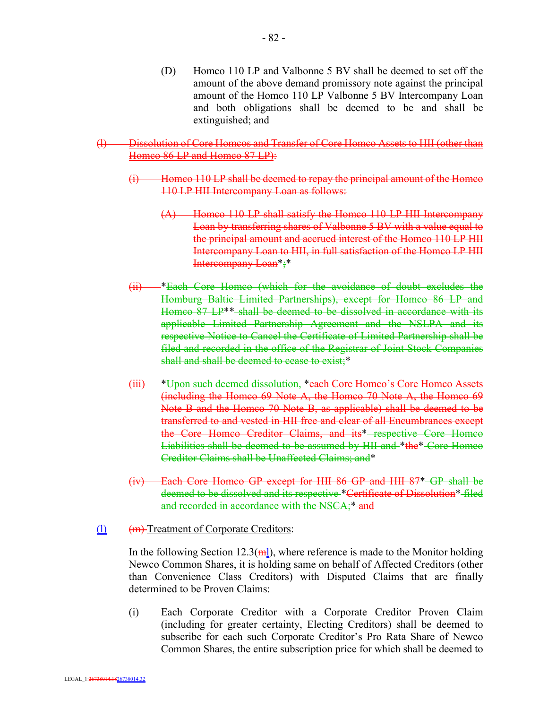(D) Homco 110 LP and Valbonne 5 BV shall be deemed to set off the amount of the above demand promissory note against the principal amount of the Homco 110 LP Valbonne 5 BV Intercompany Loan and both obligations shall be deemed to be and shall be extinguished; and

# (l) Dissolution of Core Homcos and Transfer of Core Homco Assets to HII (other than Homco 86 LP and Homco 87 LP):

- (i) Homco 110 LP shall be deemed to repay the principal amount of the Homco 110 LP HII Intercompany Loan as follows:
	- (A) Homco 110 LP shall satisfy the Homco 110 LP HII Intercompany Loan by transferring shares of Valbonne 5 BV with a value equal to the principal amount and accrued interest of the Homco 110 LP HII Intercompany Loan to HII, in full satisfaction of the Homco LP HII Intercompany Loan\*;\*
- (ii) \*Each Core Homco (which for the avoidance of doubt excludes the Homburg Baltic Limited Partnerships), except for Homco 86 LP and Homco 87 LP<sup>\*\*</sup> shall be deemed to be dissolved in accordance with its applicable Limited Partnership Agreement and the NSLPA and its respective Notice to Cancel the Certificate of Limited Partnership shall be filed and recorded in the office of the Registrar of Joint Stock Companies shall and shall be deemed to cease to exist;\*
- (iii) \*Upon such deemed dissolution, \*each Core Homco's Core Homco Assets (including the Homco 69 Note A, the Homco 70 Note A, the Homco 69 Note B and the Homco 70 Note B, as applicable) shall be deemed to be transferred to and vested in HII free and clear of all Encumbrances except the Core Homco Creditor Claims, and its\* respective Core Homco Liabilities shall be deemed to be assumed by HII and \*the\* Core Homco Creditor Claims shall be Unaffected Claims; and\*
- (iv) Each Core Homco GP except for HII 86 GP and HII 87\* GP shall be deemed to be dissolved and its respective \*Certificate of Dissolution\* filed and recorded in accordance with the NSCA;\* and

#### (l) (m) Treatment of Corporate Creditors:

In the following Section 12.3( $\text{m}$ ), where reference is made to the Monitor holding Newco Common Shares, it is holding same on behalf of Affected Creditors (other than Convenience Class Creditors) with Disputed Claims that are finally determined to be Proven Claims:

(i) Each Corporate Creditor with a Corporate Creditor Proven Claim (including for greater certainty, Electing Creditors) shall be deemed to subscribe for each such Corporate Creditor's Pro Rata Share of Newco Common Shares, the entire subscription price for which shall be deemed to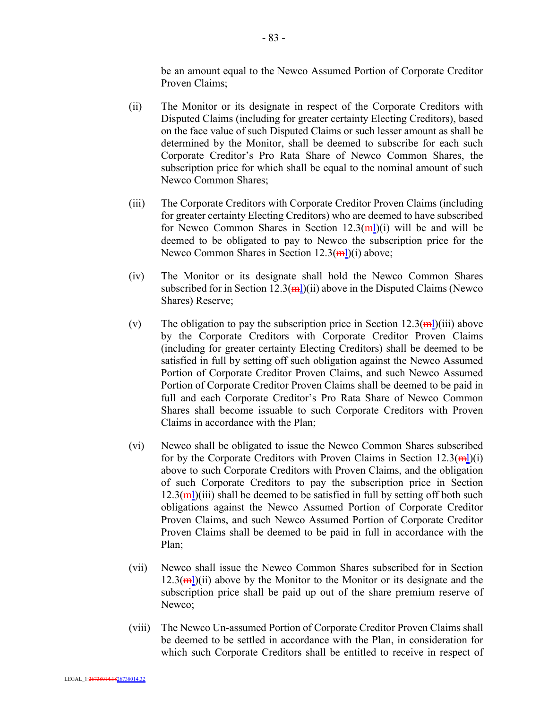be an amount equal to the Newco Assumed Portion of Corporate Creditor Proven Claims;

- (ii) The Monitor or its designate in respect of the Corporate Creditors with Disputed Claims (including for greater certainty Electing Creditors), based on the face value of such Disputed Claims or such lesser amount as shall be determined by the Monitor, shall be deemed to subscribe for each such Corporate Creditor's Pro Rata Share of Newco Common Shares, the subscription price for which shall be equal to the nominal amount of such Newco Common Shares;
- (iii) The Corporate Creditors with Corporate Creditor Proven Claims (including for greater certainty Electing Creditors) who are deemed to have subscribed for Newco Common Shares in Section  $12.3(\text{mI})(i)$  will be and will be deemed to be obligated to pay to Newco the subscription price for the Newco Common Shares in Section  $12.3(\text{m})$ (i) above;
- (iv) The Monitor or its designate shall hold the Newco Common Shares subscribed for in Section 12.3( $\frac{m}{m}$ )(ii) above in the Disputed Claims (Newco Shares) Reserve;
- (v) The obligation to pay the subscription price in Section  $12.3(\text{m})$ (iii) above by the Corporate Creditors with Corporate Creditor Proven Claims (including for greater certainty Electing Creditors) shall be deemed to be satisfied in full by setting off such obligation against the Newco Assumed Portion of Corporate Creditor Proven Claims, and such Newco Assumed Portion of Corporate Creditor Proven Claims shall be deemed to be paid in full and each Corporate Creditor's Pro Rata Share of Newco Common Shares shall become issuable to such Corporate Creditors with Proven Claims in accordance with the Plan;
- (vi) Newco shall be obligated to issue the Newco Common Shares subscribed for by the Corporate Creditors with Proven Claims in Section  $12.3(\text{mI})(i)$ above to such Corporate Creditors with Proven Claims, and the obligation of such Corporate Creditors to pay the subscription price in Section  $12.3(\text{m})$ (iii) shall be deemed to be satisfied in full by setting off both such obligations against the Newco Assumed Portion of Corporate Creditor Proven Claims, and such Newco Assumed Portion of Corporate Creditor Proven Claims shall be deemed to be paid in full in accordance with the Plan;
- (vii) Newco shall issue the Newco Common Shares subscribed for in Section  $12.3(\text{m})$ (ii) above by the Monitor to the Monitor or its designate and the subscription price shall be paid up out of the share premium reserve of Newco;
- (viii) The Newco Un-assumed Portion of Corporate Creditor Proven Claims shall be deemed to be settled in accordance with the Plan, in consideration for which such Corporate Creditors shall be entitled to receive in respect of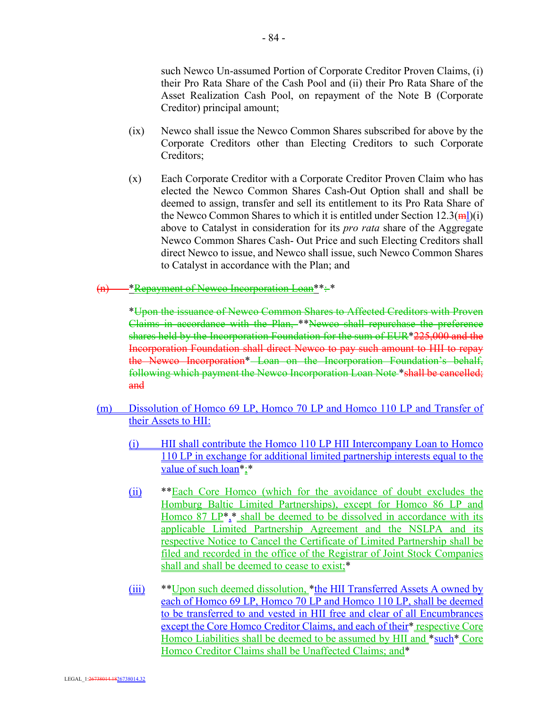such Newco Un-assumed Portion of Corporate Creditor Proven Claims, (i) their Pro Rata Share of the Cash Pool and (ii) their Pro Rata Share of the Asset Realization Cash Pool, on repayment of the Note B (Corporate Creditor) principal amount;

- (ix) Newco shall issue the Newco Common Shares subscribed for above by the Corporate Creditors other than Electing Creditors to such Corporate Creditors;
- (x) Each Corporate Creditor with a Corporate Creditor Proven Claim who has elected the Newco Common Shares Cash-Out Option shall and shall be deemed to assign, transfer and sell its entitlement to its Pro Rata Share of the Newco Common Shares to which it is entitled under Section  $12.3(\text{m})$ (i) above to Catalyst in consideration for its *pro rata* share of the Aggregate Newco Common Shares Cash- Out Price and such Electing Creditors shall direct Newco to issue, and Newco shall issue, such Newco Common Shares to Catalyst in accordance with the Plan; and
- (n) \*Repayment of Newco Incorporation Loan\*\*: \*

\*Upon the issuance of Newco Common Shares to Affected Creditors with Proven Claims in accordance with the Plan, \*\*Newco shall repurchase the preference shares held by the Incorporation Foundation for the sum of EUR\*225,000 and the Incorporation Foundation shall direct Newco to pay such amount to HII to repay the Newco Incorporation\* Loan on the Incorporation Foundation's behalf, following which payment the Newco Incorporation Loan Note \*shall be cancelled; and

- (m) Dissolution of Homco 69 LP, Homco 70 LP and Homco 110 LP and Transfer of their Assets to HII:
	- (i) HII shall contribute the Homco 110 LP HII Intercompany Loan to Homco 110 LP in exchange for additional limited partnership interests equal to the value of such loan<sup>\*</sup>;\*
	- (ii) \*\*Each Core Homco (which for the avoidance of doubt excludes the Homburg Baltic Limited Partnerships), except for Homco 86 LP and Homco  $87 \text{ LP}^*$ , shall be deemed to be dissolved in accordance with its applicable Limited Partnership Agreement and the NSLPA and its respective Notice to Cancel the Certificate of Limited Partnership shall be filed and recorded in the office of the Registrar of Joint Stock Companies shall and shall be deemed to cease to exist;\*
	- (iii) \*\*Upon such deemed dissolution, \*the HII Transferred Assets A owned by each of Homco 69 LP, Homco 70 LP and Homco 110 LP, shall be deemed to be transferred to and vested in HII free and clear of all Encumbrances except the Core Homco Creditor Claims, and each of their\* respective Core Homco Liabilities shall be deemed to be assumed by HII and \*such\* Core Homco Creditor Claims shall be Unaffected Claims; and\*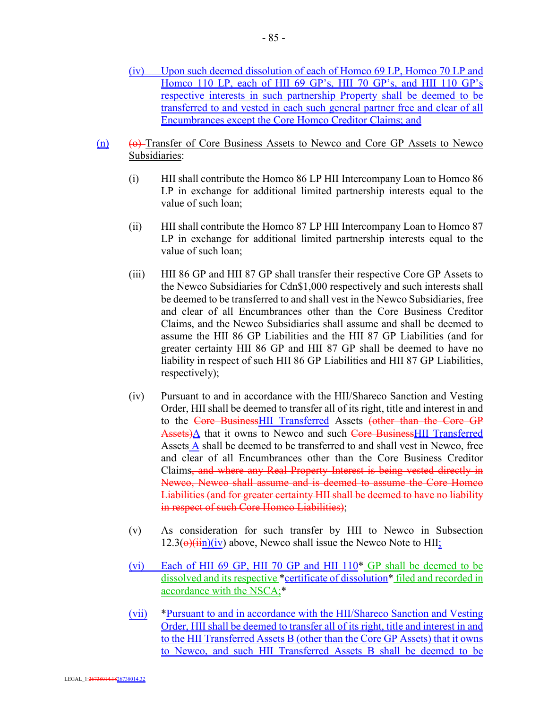- (iv) Upon such deemed dissolution of each of Homco 69 LP, Homco 70 LP and Homco 110 LP, each of HII 69 GP's, HII 70 GP's, and HII 110 GP's respective interests in such partnership Property shall be deemed to be transferred to and vested in each such general partner free and clear of all Encumbrances except the Core Homco Creditor Claims; and
- $(n)$  (o) Transfer of Core Business Assets to Newco and Core GP Assets to Newco Subsidiaries:
	- (i) HII shall contribute the Homco 86 LP HII Intercompany Loan to Homco 86 LP in exchange for additional limited partnership interests equal to the value of such loan;
	- (ii) HII shall contribute the Homco 87 LP HII Intercompany Loan to Homco 87 LP in exchange for additional limited partnership interests equal to the value of such loan;
	- (iii) HII 86 GP and HII 87 GP shall transfer their respective Core GP Assets to the Newco Subsidiaries for Cdn\$1,000 respectively and such interests shall be deemed to be transferred to and shall vest in the Newco Subsidiaries, free and clear of all Encumbrances other than the Core Business Creditor Claims, and the Newco Subsidiaries shall assume and shall be deemed to assume the HII 86 GP Liabilities and the HII 87 GP Liabilities (and for greater certainty HII 86 GP and HII 87 GP shall be deemed to have no liability in respect of such HII 86 GP Liabilities and HII 87 GP Liabilities, respectively);
	- (iv) Pursuant to and in accordance with the HII/Shareco Sanction and Vesting Order, HII shall be deemed to transfer all of its right, title and interest in and to the Core BusinessHII Transferred Assets (other than the Core GP Assets)A that it owns to Newco and such Core BusinessHII Transferred Assets A shall be deemed to be transferred to and shall vest in Newco, free and clear of all Encumbrances other than the Core Business Creditor Claims, and where any Real Property Interest is being vested directly in Newco, Newco shall assume and is deemed to assume the Core Homco Liabilities (and for greater certainty HII shall be deemed to have no liability in respect of such Core Homco Liabilities);
	- (v) As consideration for such transfer by HII to Newco in Subsection  $12.3(\Theta)(\frac{1}{11})$  (iv) above, Newco shall issue the Newco Note to HII;
	- (vi) Each of HII 69 GP, HII 70 GP and HII  $110*$  GP shall be deemed to be dissolved and its respective \*certificate of dissolution\* filed and recorded in accordance with the NSCA;\*
	- (vii) \*Pursuant to and in accordance with the HII/Shareco Sanction and Vesting Order, HII shall be deemed to transfer all of its right, title and interest in and to the HII Transferred Assets B (other than the Core GP Assets) that it owns to Newco, and such HII Transferred Assets B shall be deemed to be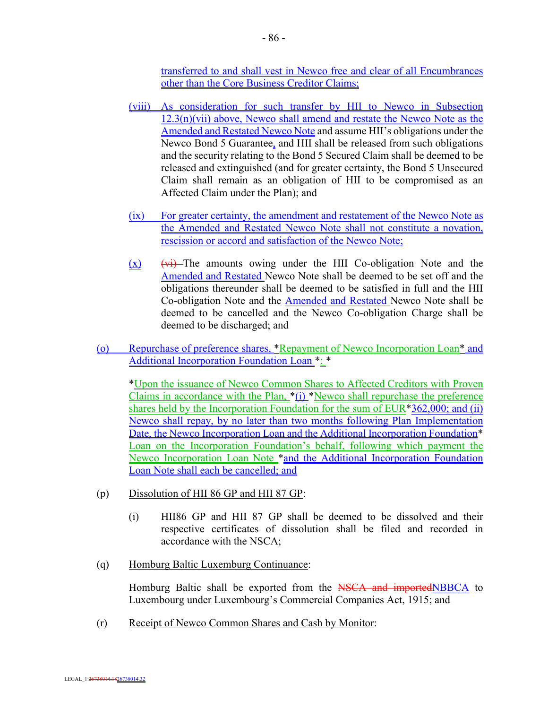transferred to and shall vest in Newco free and clear of all Encumbrances other than the Core Business Creditor Claims;

- (viii) As consideration for such transfer by HII to Newco in Subsection  $12.3(n)(vii)$  above, Newco shall amend and restate the Newco Note as the Amended and Restated Newco Note and assume HII's obligations under the Newco Bond 5 Guarantee, and HII shall be released from such obligations and the security relating to the Bond 5 Secured Claim shall be deemed to be released and extinguished (and for greater certainty, the Bond 5 Unsecured Claim shall remain as an obligation of HII to be compromised as an Affected Claim under the Plan); and
- (ix) For greater certainty, the amendment and restatement of the Newco Note as the Amended and Restated Newco Note shall not constitute a novation, rescission or accord and satisfaction of the Newco Note;
- $(x)$  (vi) The amounts owing under the HII Co-obligation Note and the Amended and Restated Newco Note shall be deemed to be set off and the obligations thereunder shall be deemed to be satisfied in full and the HII Co-obligation Note and the Amended and Restated Newco Note shall be deemed to be cancelled and the Newco Co-obligation Charge shall be deemed to be discharged; and
- (o) Repurchase of preference shares, \*Repayment of Newco Incorporation Loan\* and Additional Incorporation Foundation Loan \*: \*

\*Upon the issuance of Newco Common Shares to Affected Creditors with Proven Claims in accordance with the Plan, \*(i) \*Newco shall repurchase the preference shares held by the Incorporation Foundation for the sum of EUR<sup>\*</sup>362,000; and (ii) Newco shall repay, by no later than two months following Plan Implementation Date, the Newco Incorporation Loan and the Additional Incorporation Foundation<sup>\*</sup> Loan on the Incorporation Foundation's behalf, following which payment the Newco Incorporation Loan Note \*and the Additional Incorporation Foundation Loan Note shall each be cancelled; and

- (p) Dissolution of HII 86 GP and HII 87 GP:
	- (i) HII86 GP and HII 87 GP shall be deemed to be dissolved and their respective certificates of dissolution shall be filed and recorded in accordance with the NSCA;
- (q) Homburg Baltic Luxemburg Continuance:

Homburg Baltic shall be exported from the NSCA and importedNBBCA to Luxembourg under Luxembourg's Commercial Companies Act, 1915; and

(r) Receipt of Newco Common Shares and Cash by Monitor: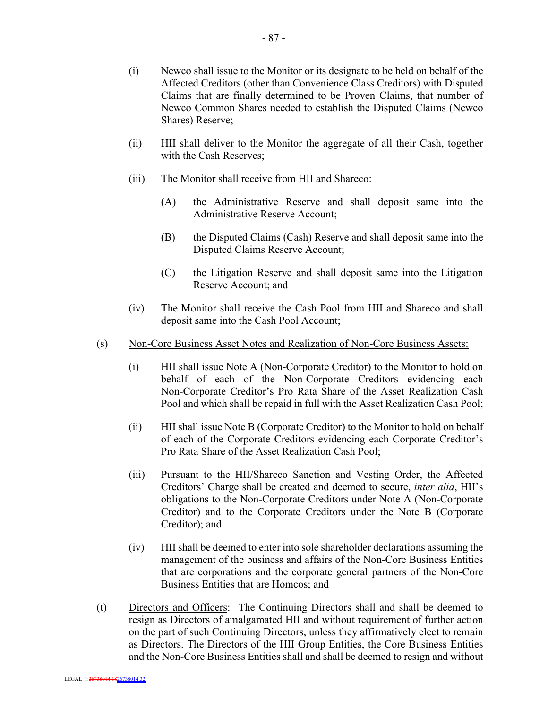- 87 -

- (i) Newco shall issue to the Monitor or its designate to be held on behalf of the Affected Creditors (other than Convenience Class Creditors) with Disputed Claims that are finally determined to be Proven Claims, that number of Newco Common Shares needed to establish the Disputed Claims (Newco Shares) Reserve;
- (ii) HII shall deliver to the Monitor the aggregate of all their Cash, together with the Cash Reserves;
- (iii) The Monitor shall receive from HII and Shareco:
	- (A) the Administrative Reserve and shall deposit same into the Administrative Reserve Account;
	- (B) the Disputed Claims (Cash) Reserve and shall deposit same into the Disputed Claims Reserve Account;
	- (C) the Litigation Reserve and shall deposit same into the Litigation Reserve Account; and
- (iv) The Monitor shall receive the Cash Pool from HII and Shareco and shall deposit same into the Cash Pool Account;
- (s) Non-Core Business Asset Notes and Realization of Non-Core Business Assets:
	- (i) HII shall issue Note A (Non-Corporate Creditor) to the Monitor to hold on behalf of each of the Non-Corporate Creditors evidencing each Non-Corporate Creditor's Pro Rata Share of the Asset Realization Cash Pool and which shall be repaid in full with the Asset Realization Cash Pool;
	- (ii) HII shall issue Note B (Corporate Creditor) to the Monitor to hold on behalf of each of the Corporate Creditors evidencing each Corporate Creditor's Pro Rata Share of the Asset Realization Cash Pool;
	- (iii) Pursuant to the HII/Shareco Sanction and Vesting Order, the Affected Creditors' Charge shall be created and deemed to secure, *inter alia*, HII's obligations to the Non-Corporate Creditors under Note A (Non-Corporate Creditor) and to the Corporate Creditors under the Note B (Corporate Creditor); and
	- (iv) HII shall be deemed to enter into sole shareholder declarations assuming the management of the business and affairs of the Non-Core Business Entities that are corporations and the corporate general partners of the Non-Core Business Entities that are Homcos; and
- (t) Directors and Officers: The Continuing Directors shall and shall be deemed to resign as Directors of amalgamated HII and without requirement of further action on the part of such Continuing Directors, unless they affirmatively elect to remain as Directors. The Directors of the HII Group Entities, the Core Business Entities and the Non-Core Business Entities shall and shall be deemed to resign and without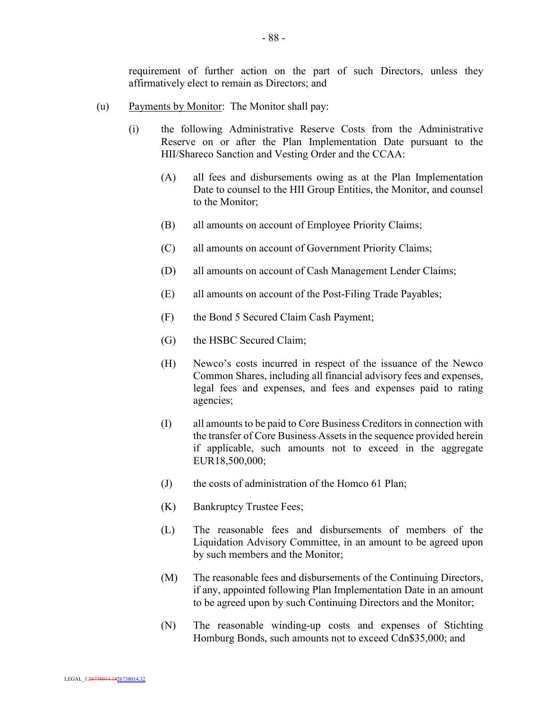requirement of further action on the part of such Directors, unless they affirmatively elect to remain as Directors; and

- (u) Payments by Monitor: The Monitor shall pay:
	- (i) the following Administrative Reserve Costs from the Administrative Reserve on or after the Plan Implementation Date pursuant to the HII/Shareco Sanction and Vesting Order and the CCAA:
		- (A) all fees and disbursements owing as at the Plan Implementation Date to counsel to the HII Group Entities, the Monitor, and counsel to the Monitor;
		- (B) all amounts on account of Employee Priority Claims;
		- (C) all amounts on account of Government Priority Claims;
		- (D) all amounts on account of Cash Management Lender Claims;
		- (E) all amounts on account of the Post-Filing Trade Payables;
		- (F) the Bond 5 Secured Claim Cash Payment;
		- (G) the HSBC Secured Claim;
		- (H) Newco's costs incurred in respect of the issuance of the Newco Common Shares, including all financial advisory fees and expenses, legal fees and expenses, and fees and expenses paid to rating agencies;
		- (I) all amounts to be paid to Core Business Creditors in connection with the transfer of Core Business Assets in the sequence provided herein if applicable, such amounts not to exceed in the aggregate EUR18,500,000;
		- (J) the costs of administration of the Homco 61 Plan;
		- (K) Bankruptcy Trustee Fees;
		- (L) The reasonable fees and disbursements of members of the Liquidation Advisory Committee, in an amount to be agreed upon by such members and the Monitor;
		- (M) The reasonable fees and disbursements of the Continuing Directors, if any, appointed following Plan Implementation Date in an amount to be agreed upon by such Continuing Directors and the Monitor;
		- (N) The reasonable winding-up costs and expenses of Stichting Homburg Bonds, such amounts not to exceed Cdn\$35,000; and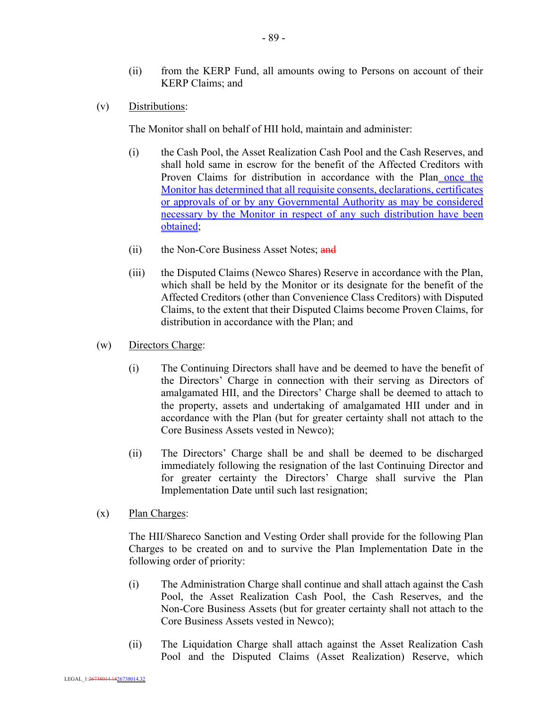- (ii) from the KERP Fund, all amounts owing to Persons on account of their KERP Claims; and
- (v) Distributions:

The Monitor shall on behalf of HII hold, maintain and administer:

- (i) the Cash Pool, the Asset Realization Cash Pool and the Cash Reserves, and shall hold same in escrow for the benefit of the Affected Creditors with Proven Claims for distribution in accordance with the Plan once the Monitor has determined that all requisite consents, declarations, certificates or approvals of or by any Governmental Authority as may be considered necessary by the Monitor in respect of any such distribution have been obtained;
- (ii) the Non-Core Business Asset Notes; and
- (iii) the Disputed Claims (Newco Shares) Reserve in accordance with the Plan, which shall be held by the Monitor or its designate for the benefit of the Affected Creditors (other than Convenience Class Creditors) with Disputed Claims, to the extent that their Disputed Claims become Proven Claims, for distribution in accordance with the Plan; and
- (w) Directors Charge:
	- (i) The Continuing Directors shall have and be deemed to have the benefit of the Directors' Charge in connection with their serving as Directors of amalgamated HII, and the Directors' Charge shall be deemed to attach to the property, assets and undertaking of amalgamated HII under and in accordance with the Plan (but for greater certainty shall not attach to the Core Business Assets vested in Newco);
	- (ii) The Directors' Charge shall be and shall be deemed to be discharged immediately following the resignation of the last Continuing Director and for greater certainty the Directors' Charge shall survive the Plan Implementation Date until such last resignation;
- (x) Plan Charges:

The HII/Shareco Sanction and Vesting Order shall provide for the following Plan Charges to be created on and to survive the Plan Implementation Date in the following order of priority:

- (i) The Administration Charge shall continue and shall attach against the Cash Pool, the Asset Realization Cash Pool, the Cash Reserves, and the Non-Core Business Assets (but for greater certainty shall not attach to the Core Business Assets vested in Newco);
- (ii) The Liquidation Charge shall attach against the Asset Realization Cash Pool and the Disputed Claims (Asset Realization) Reserve, which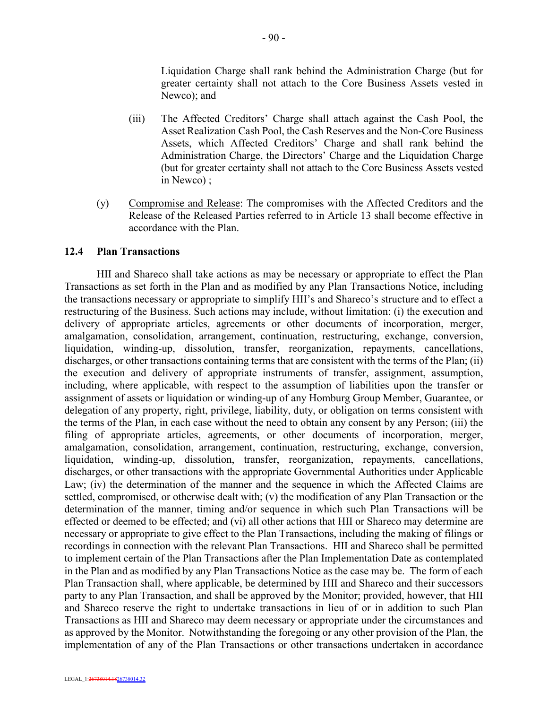Liquidation Charge shall rank behind the Administration Charge (but for greater certainty shall not attach to the Core Business Assets vested in Newco); and

- (iii) The Affected Creditors' Charge shall attach against the Cash Pool, the Asset Realization Cash Pool, the Cash Reserves and the Non-Core Business Assets, which Affected Creditors' Charge and shall rank behind the Administration Charge, the Directors' Charge and the Liquidation Charge (but for greater certainty shall not attach to the Core Business Assets vested in Newco) ;
- (y) Compromise and Release: The compromises with the Affected Creditors and the Release of the Released Parties referred to in Article 13 shall become effective in accordance with the Plan.

#### **12.4 Plan Transactions**

HII and Shareco shall take actions as may be necessary or appropriate to effect the Plan Transactions as set forth in the Plan and as modified by any Plan Transactions Notice, including the transactions necessary or appropriate to simplify HII's and Shareco's structure and to effect a restructuring of the Business. Such actions may include, without limitation: (i) the execution and delivery of appropriate articles, agreements or other documents of incorporation, merger, amalgamation, consolidation, arrangement, continuation, restructuring, exchange, conversion, liquidation, winding-up, dissolution, transfer, reorganization, repayments, cancellations, discharges, or other transactions containing terms that are consistent with the terms of the Plan; (ii) the execution and delivery of appropriate instruments of transfer, assignment, assumption, including, where applicable, with respect to the assumption of liabilities upon the transfer or assignment of assets or liquidation or winding-up of any Homburg Group Member, Guarantee, or delegation of any property, right, privilege, liability, duty, or obligation on terms consistent with the terms of the Plan, in each case without the need to obtain any consent by any Person; (iii) the filing of appropriate articles, agreements, or other documents of incorporation, merger, amalgamation, consolidation, arrangement, continuation, restructuring, exchange, conversion, liquidation, winding-up, dissolution, transfer, reorganization, repayments, cancellations, discharges, or other transactions with the appropriate Governmental Authorities under Applicable Law; (iv) the determination of the manner and the sequence in which the Affected Claims are settled, compromised, or otherwise dealt with; (v) the modification of any Plan Transaction or the determination of the manner, timing and/or sequence in which such Plan Transactions will be effected or deemed to be effected; and (vi) all other actions that HII or Shareco may determine are necessary or appropriate to give effect to the Plan Transactions, including the making of filings or recordings in connection with the relevant Plan Transactions. HII and Shareco shall be permitted to implement certain of the Plan Transactions after the Plan Implementation Date as contemplated in the Plan and as modified by any Plan Transactions Notice as the case may be. The form of each Plan Transaction shall, where applicable, be determined by HII and Shareco and their successors party to any Plan Transaction, and shall be approved by the Monitor; provided, however, that HII and Shareco reserve the right to undertake transactions in lieu of or in addition to such Plan Transactions as HII and Shareco may deem necessary or appropriate under the circumstances and as approved by the Monitor. Notwithstanding the foregoing or any other provision of the Plan, the implementation of any of the Plan Transactions or other transactions undertaken in accordance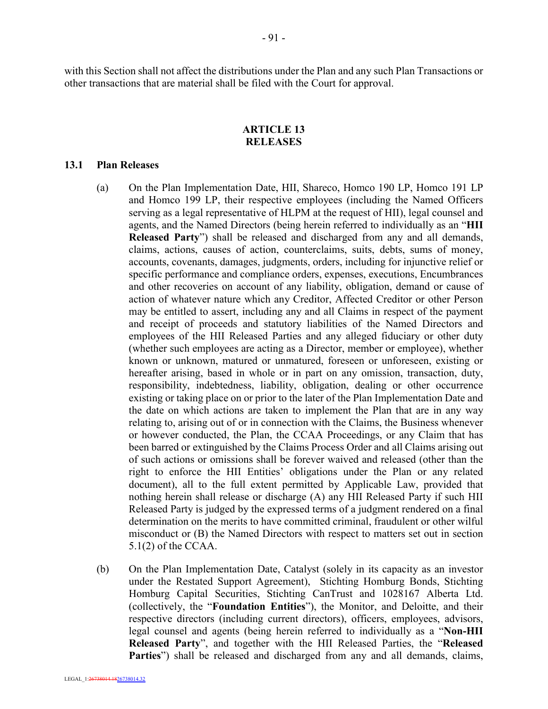with this Section shall not affect the distributions under the Plan and any such Plan Transactions or other transactions that are material shall be filed with the Court for approval.

#### **ARTICLE 13 RELEASES**

#### **13.1 Plan Releases**

- (a) On the Plan Implementation Date, HII, Shareco, Homco 190 LP, Homco 191 LP and Homco 199 LP, their respective employees (including the Named Officers serving as a legal representative of HLPM at the request of HII), legal counsel and agents, and the Named Directors (being herein referred to individually as an "**HII Released Party**") shall be released and discharged from any and all demands, claims, actions, causes of action, counterclaims, suits, debts, sums of money, accounts, covenants, damages, judgments, orders, including for injunctive relief or specific performance and compliance orders, expenses, executions, Encumbrances and other recoveries on account of any liability, obligation, demand or cause of action of whatever nature which any Creditor, Affected Creditor or other Person may be entitled to assert, including any and all Claims in respect of the payment and receipt of proceeds and statutory liabilities of the Named Directors and employees of the HII Released Parties and any alleged fiduciary or other duty (whether such employees are acting as a Director, member or employee), whether known or unknown, matured or unmatured, foreseen or unforeseen, existing or hereafter arising, based in whole or in part on any omission, transaction, duty, responsibility, indebtedness, liability, obligation, dealing or other occurrence existing or taking place on or prior to the later of the Plan Implementation Date and the date on which actions are taken to implement the Plan that are in any way relating to, arising out of or in connection with the Claims, the Business whenever or however conducted, the Plan, the CCAA Proceedings, or any Claim that has been barred or extinguished by the Claims Process Order and all Claims arising out of such actions or omissions shall be forever waived and released (other than the right to enforce the HII Entities' obligations under the Plan or any related document), all to the full extent permitted by Applicable Law, provided that nothing herein shall release or discharge (A) any HII Released Party if such HII Released Party is judged by the expressed terms of a judgment rendered on a final determination on the merits to have committed criminal, fraudulent or other wilful misconduct or (B) the Named Directors with respect to matters set out in section 5.1(2) of the CCAA.
- (b) On the Plan Implementation Date, Catalyst (solely in its capacity as an investor under the Restated Support Agreement), Stichting Homburg Bonds, Stichting Homburg Capital Securities, Stichting CanTrust and 1028167 Alberta Ltd. (collectively, the "**Foundation Entities**"), the Monitor, and Deloitte, and their respective directors (including current directors), officers, employees, advisors, legal counsel and agents (being herein referred to individually as a "**Non-HII Released Party**", and together with the HII Released Parties, the "**Released Parties**") shall be released and discharged from any and all demands, claims,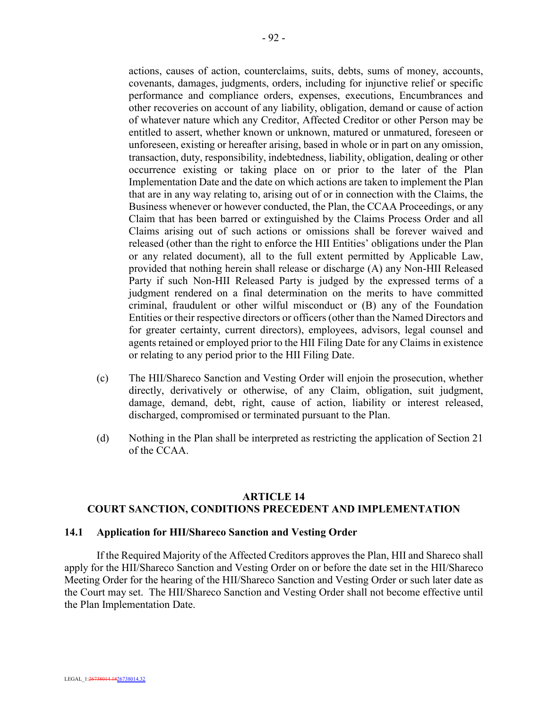actions, causes of action, counterclaims, suits, debts, sums of money, accounts, covenants, damages, judgments, orders, including for injunctive relief or specific performance and compliance orders, expenses, executions, Encumbrances and other recoveries on account of any liability, obligation, demand or cause of action of whatever nature which any Creditor, Affected Creditor or other Person may be entitled to assert, whether known or unknown, matured or unmatured, foreseen or unforeseen, existing or hereafter arising, based in whole or in part on any omission, transaction, duty, responsibility, indebtedness, liability, obligation, dealing or other occurrence existing or taking place on or prior to the later of the Plan Implementation Date and the date on which actions are taken to implement the Plan that are in any way relating to, arising out of or in connection with the Claims, the Business whenever or however conducted, the Plan, the CCAA Proceedings, or any Claim that has been barred or extinguished by the Claims Process Order and all Claims arising out of such actions or omissions shall be forever waived and released (other than the right to enforce the HII Entities' obligations under the Plan or any related document), all to the full extent permitted by Applicable Law, provided that nothing herein shall release or discharge (A) any Non-HII Released Party if such Non-HII Released Party is judged by the expressed terms of a judgment rendered on a final determination on the merits to have committed criminal, fraudulent or other wilful misconduct or (B) any of the Foundation Entities or their respective directors or officers (other than the Named Directors and for greater certainty, current directors), employees, advisors, legal counsel and agents retained or employed prior to the HII Filing Date for any Claims in existence or relating to any period prior to the HII Filing Date.

- (c) The HII/Shareco Sanction and Vesting Order will enjoin the prosecution, whether directly, derivatively or otherwise, of any Claim, obligation, suit judgment, damage, demand, debt, right, cause of action, liability or interest released, discharged, compromised or terminated pursuant to the Plan.
- (d) Nothing in the Plan shall be interpreted as restricting the application of Section 21 of the CCAA.

# **ARTICLE 14 COURT SANCTION, CONDITIONS PRECEDENT AND IMPLEMENTATION**

# **14.1 Application for HII/Shareco Sanction and Vesting Order**

If the Required Majority of the Affected Creditors approves the Plan, HII and Shareco shall apply for the HII/Shareco Sanction and Vesting Order on or before the date set in the HII/Shareco Meeting Order for the hearing of the HII/Shareco Sanction and Vesting Order or such later date as the Court may set. The HII/Shareco Sanction and Vesting Order shall not become effective until the Plan Implementation Date.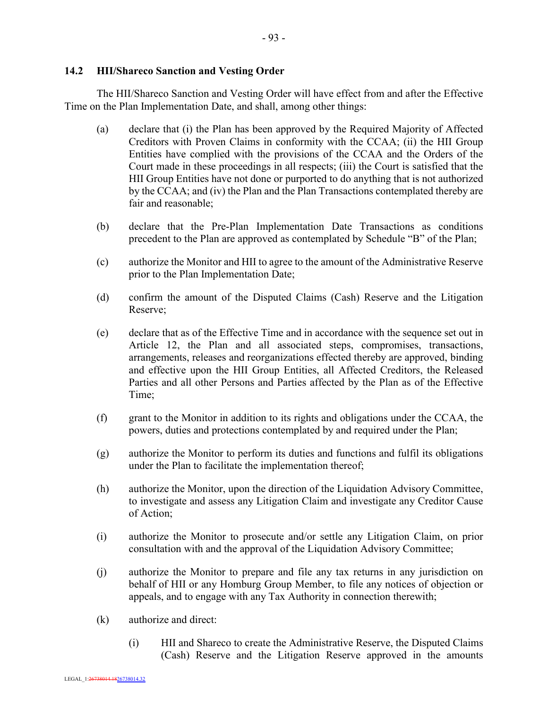# **14.2 HII/Shareco Sanction and Vesting Order**

The HII/Shareco Sanction and Vesting Order will have effect from and after the Effective Time on the Plan Implementation Date, and shall, among other things:

- (a) declare that (i) the Plan has been approved by the Required Majority of Affected Creditors with Proven Claims in conformity with the CCAA; (ii) the HII Group Entities have complied with the provisions of the CCAA and the Orders of the Court made in these proceedings in all respects; (iii) the Court is satisfied that the HII Group Entities have not done or purported to do anything that is not authorized by the CCAA; and (iv) the Plan and the Plan Transactions contemplated thereby are fair and reasonable;
- (b) declare that the Pre-Plan Implementation Date Transactions as conditions precedent to the Plan are approved as contemplated by Schedule "B" of the Plan;
- (c) authorize the Monitor and HII to agree to the amount of the Administrative Reserve prior to the Plan Implementation Date;
- (d) confirm the amount of the Disputed Claims (Cash) Reserve and the Litigation Reserve;
- (e) declare that as of the Effective Time and in accordance with the sequence set out in Article 12, the Plan and all associated steps, compromises, transactions, arrangements, releases and reorganizations effected thereby are approved, binding and effective upon the HII Group Entities, all Affected Creditors, the Released Parties and all other Persons and Parties affected by the Plan as of the Effective Time;
- (f) grant to the Monitor in addition to its rights and obligations under the CCAA, the powers, duties and protections contemplated by and required under the Plan;
- (g) authorize the Monitor to perform its duties and functions and fulfil its obligations under the Plan to facilitate the implementation thereof;
- (h) authorize the Monitor, upon the direction of the Liquidation Advisory Committee, to investigate and assess any Litigation Claim and investigate any Creditor Cause of Action;
- (i) authorize the Monitor to prosecute and/or settle any Litigation Claim, on prior consultation with and the approval of the Liquidation Advisory Committee;
- (j) authorize the Monitor to prepare and file any tax returns in any jurisdiction on behalf of HII or any Homburg Group Member, to file any notices of objection or appeals, and to engage with any Tax Authority in connection therewith;
- (k) authorize and direct:
	- (i) HII and Shareco to create the Administrative Reserve, the Disputed Claims (Cash) Reserve and the Litigation Reserve approved in the amounts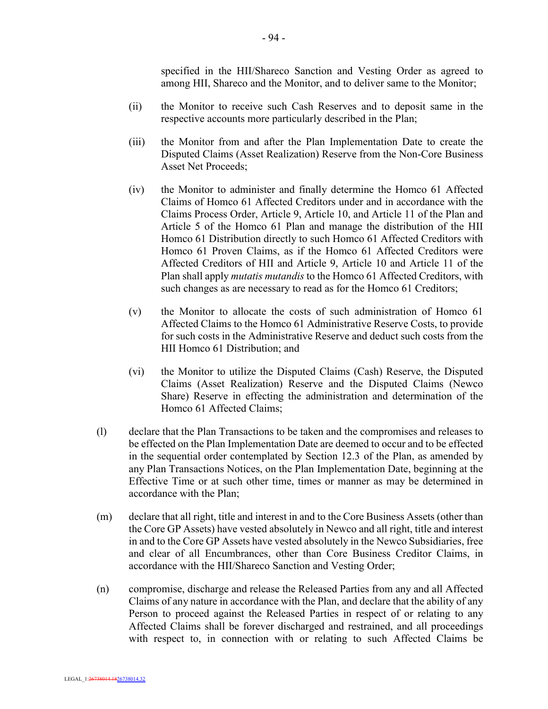specified in the HII/Shareco Sanction and Vesting Order as agreed to among HII, Shareco and the Monitor, and to deliver same to the Monitor;

- (ii) the Monitor to receive such Cash Reserves and to deposit same in the respective accounts more particularly described in the Plan;
- (iii) the Monitor from and after the Plan Implementation Date to create the Disputed Claims (Asset Realization) Reserve from the Non-Core Business Asset Net Proceeds;
- (iv) the Monitor to administer and finally determine the Homco 61 Affected Claims of Homco 61 Affected Creditors under and in accordance with the Claims Process Order, Article 9, Article 10, and Article 11 of the Plan and Article 5 of the Homco 61 Plan and manage the distribution of the HII Homco 61 Distribution directly to such Homco 61 Affected Creditors with Homco 61 Proven Claims, as if the Homco 61 Affected Creditors were Affected Creditors of HII and Article 9, Article 10 and Article 11 of the Plan shall apply *mutatis mutandis* to the Homco 61 Affected Creditors, with such changes as are necessary to read as for the Homco 61 Creditors;
- (v) the Monitor to allocate the costs of such administration of Homco 61 Affected Claims to the Homco 61 Administrative Reserve Costs, to provide for such costs in the Administrative Reserve and deduct such costs from the HII Homco 61 Distribution; and
- (vi) the Monitor to utilize the Disputed Claims (Cash) Reserve, the Disputed Claims (Asset Realization) Reserve and the Disputed Claims (Newco Share) Reserve in effecting the administration and determination of the Homco 61 Affected Claims;
- (l) declare that the Plan Transactions to be taken and the compromises and releases to be effected on the Plan Implementation Date are deemed to occur and to be effected in the sequential order contemplated by Section 12.3 of the Plan, as amended by any Plan Transactions Notices, on the Plan Implementation Date, beginning at the Effective Time or at such other time, times or manner as may be determined in accordance with the Plan;
- (m) declare that all right, title and interest in and to the Core Business Assets (other than the Core GP Assets) have vested absolutely in Newco and all right, title and interest in and to the Core GP Assets have vested absolutely in the Newco Subsidiaries, free and clear of all Encumbrances, other than Core Business Creditor Claims, in accordance with the HII/Shareco Sanction and Vesting Order;
- (n) compromise, discharge and release the Released Parties from any and all Affected Claims of any nature in accordance with the Plan, and declare that the ability of any Person to proceed against the Released Parties in respect of or relating to any Affected Claims shall be forever discharged and restrained, and all proceedings with respect to, in connection with or relating to such Affected Claims be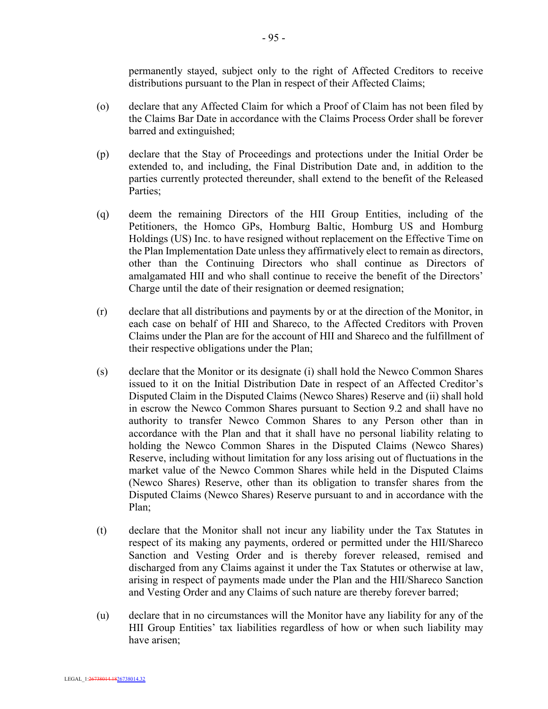permanently stayed, subject only to the right of Affected Creditors to receive distributions pursuant to the Plan in respect of their Affected Claims;

- (o) declare that any Affected Claim for which a Proof of Claim has not been filed by the Claims Bar Date in accordance with the Claims Process Order shall be forever barred and extinguished;
- (p) declare that the Stay of Proceedings and protections under the Initial Order be extended to, and including, the Final Distribution Date and, in addition to the parties currently protected thereunder, shall extend to the benefit of the Released Parties;
- (q) deem the remaining Directors of the HII Group Entities, including of the Petitioners, the Homco GPs, Homburg Baltic, Homburg US and Homburg Holdings (US) Inc. to have resigned without replacement on the Effective Time on the Plan Implementation Date unless they affirmatively elect to remain as directors, other than the Continuing Directors who shall continue as Directors of amalgamated HII and who shall continue to receive the benefit of the Directors' Charge until the date of their resignation or deemed resignation;
- (r) declare that all distributions and payments by or at the direction of the Monitor, in each case on behalf of HII and Shareco, to the Affected Creditors with Proven Claims under the Plan are for the account of HII and Shareco and the fulfillment of their respective obligations under the Plan;
- (s) declare that the Monitor or its designate (i) shall hold the Newco Common Shares issued to it on the Initial Distribution Date in respect of an Affected Creditor's Disputed Claim in the Disputed Claims (Newco Shares) Reserve and (ii) shall hold in escrow the Newco Common Shares pursuant to Section 9.2 and shall have no authority to transfer Newco Common Shares to any Person other than in accordance with the Plan and that it shall have no personal liability relating to holding the Newco Common Shares in the Disputed Claims (Newco Shares) Reserve, including without limitation for any loss arising out of fluctuations in the market value of the Newco Common Shares while held in the Disputed Claims (Newco Shares) Reserve, other than its obligation to transfer shares from the Disputed Claims (Newco Shares) Reserve pursuant to and in accordance with the Plan;
- (t) declare that the Monitor shall not incur any liability under the Tax Statutes in respect of its making any payments, ordered or permitted under the HII/Shareco Sanction and Vesting Order and is thereby forever released, remised and discharged from any Claims against it under the Tax Statutes or otherwise at law, arising in respect of payments made under the Plan and the HII/Shareco Sanction and Vesting Order and any Claims of such nature are thereby forever barred;
- (u) declare that in no circumstances will the Monitor have any liability for any of the HII Group Entities' tax liabilities regardless of how or when such liability may have arisen;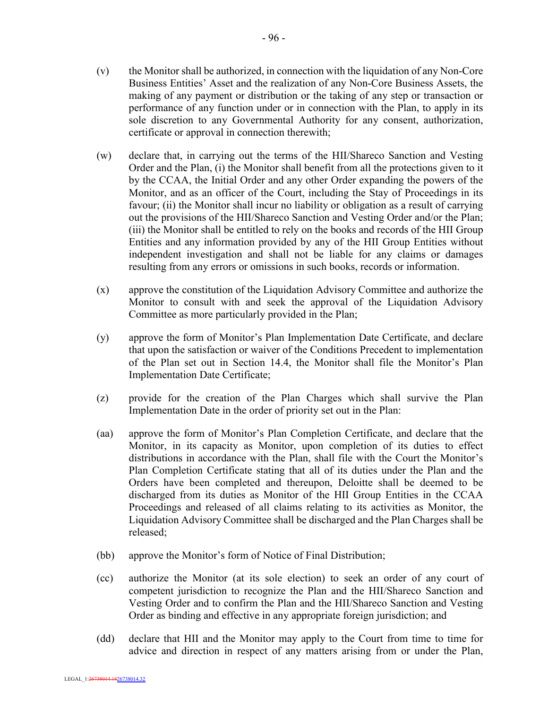- (v) the Monitor shall be authorized, in connection with the liquidation of any Non-Core Business Entities' Asset and the realization of any Non-Core Business Assets, the making of any payment or distribution or the taking of any step or transaction or performance of any function under or in connection with the Plan, to apply in its sole discretion to any Governmental Authority for any consent, authorization, certificate or approval in connection therewith;
- (w) declare that, in carrying out the terms of the HII/Shareco Sanction and Vesting Order and the Plan, (i) the Monitor shall benefit from all the protections given to it by the CCAA, the Initial Order and any other Order expanding the powers of the Monitor, and as an officer of the Court, including the Stay of Proceedings in its favour; (ii) the Monitor shall incur no liability or obligation as a result of carrying out the provisions of the HII/Shareco Sanction and Vesting Order and/or the Plan; (iii) the Monitor shall be entitled to rely on the books and records of the HII Group Entities and any information provided by any of the HII Group Entities without independent investigation and shall not be liable for any claims or damages resulting from any errors or omissions in such books, records or information.
- (x) approve the constitution of the Liquidation Advisory Committee and authorize the Monitor to consult with and seek the approval of the Liquidation Advisory Committee as more particularly provided in the Plan;
- (y) approve the form of Monitor's Plan Implementation Date Certificate, and declare that upon the satisfaction or waiver of the Conditions Precedent to implementation of the Plan set out in Section 14.4, the Monitor shall file the Monitor's Plan Implementation Date Certificate;
- (z) provide for the creation of the Plan Charges which shall survive the Plan Implementation Date in the order of priority set out in the Plan:
- (aa) approve the form of Monitor's Plan Completion Certificate, and declare that the Monitor, in its capacity as Monitor, upon completion of its duties to effect distributions in accordance with the Plan, shall file with the Court the Monitor's Plan Completion Certificate stating that all of its duties under the Plan and the Orders have been completed and thereupon, Deloitte shall be deemed to be discharged from its duties as Monitor of the HII Group Entities in the CCAA Proceedings and released of all claims relating to its activities as Monitor, the Liquidation Advisory Committee shall be discharged and the Plan Charges shall be released;
- (bb) approve the Monitor's form of Notice of Final Distribution;
- (cc) authorize the Monitor (at its sole election) to seek an order of any court of competent jurisdiction to recognize the Plan and the HII/Shareco Sanction and Vesting Order and to confirm the Plan and the HII/Shareco Sanction and Vesting Order as binding and effective in any appropriate foreign jurisdiction; and
- (dd) declare that HII and the Monitor may apply to the Court from time to time for advice and direction in respect of any matters arising from or under the Plan,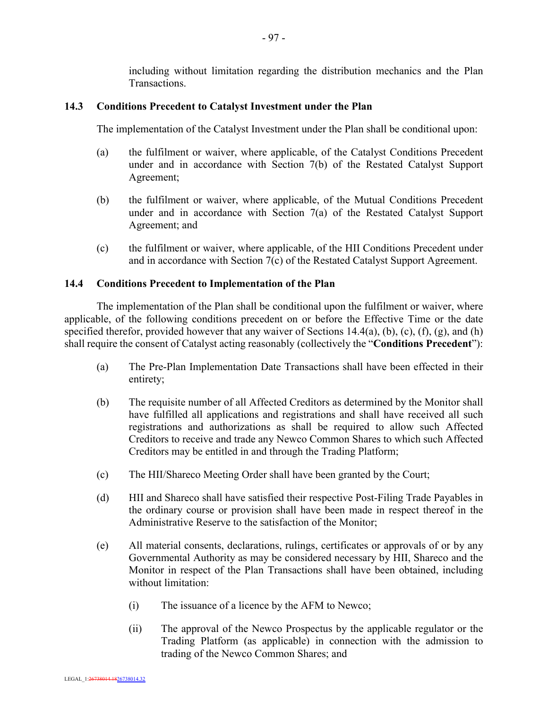including without limitation regarding the distribution mechanics and the Plan **Transactions** 

## **14.3 Conditions Precedent to Catalyst Investment under the Plan**

The implementation of the Catalyst Investment under the Plan shall be conditional upon:

- (a) the fulfilment or waiver, where applicable, of the Catalyst Conditions Precedent under and in accordance with Section 7(b) of the Restated Catalyst Support Agreement;
- (b) the fulfilment or waiver, where applicable, of the Mutual Conditions Precedent under and in accordance with Section 7(a) of the Restated Catalyst Support Agreement; and
- (c) the fulfilment or waiver, where applicable, of the HII Conditions Precedent under and in accordance with Section 7(c) of the Restated Catalyst Support Agreement.

#### **14.4 Conditions Precedent to Implementation of the Plan**

The implementation of the Plan shall be conditional upon the fulfilment or waiver, where applicable, of the following conditions precedent on or before the Effective Time or the date specified therefor, provided however that any waiver of Sections 14.4(a), (b), (c), (f), (g), and (h) shall require the consent of Catalyst acting reasonably (collectively the "**Conditions Precedent**"):

- (a) The Pre-Plan Implementation Date Transactions shall have been effected in their entirety;
- (b) The requisite number of all Affected Creditors as determined by the Monitor shall have fulfilled all applications and registrations and shall have received all such registrations and authorizations as shall be required to allow such Affected Creditors to receive and trade any Newco Common Shares to which such Affected Creditors may be entitled in and through the Trading Platform;
- (c) The HII/Shareco Meeting Order shall have been granted by the Court;
- (d) HII and Shareco shall have satisfied their respective Post-Filing Trade Payables in the ordinary course or provision shall have been made in respect thereof in the Administrative Reserve to the satisfaction of the Monitor;
- (e) All material consents, declarations, rulings, certificates or approvals of or by any Governmental Authority as may be considered necessary by HII, Shareco and the Monitor in respect of the Plan Transactions shall have been obtained, including without limitation:
	- (i) The issuance of a licence by the AFM to Newco;
	- (ii) The approval of the Newco Prospectus by the applicable regulator or the Trading Platform (as applicable) in connection with the admission to trading of the Newco Common Shares; and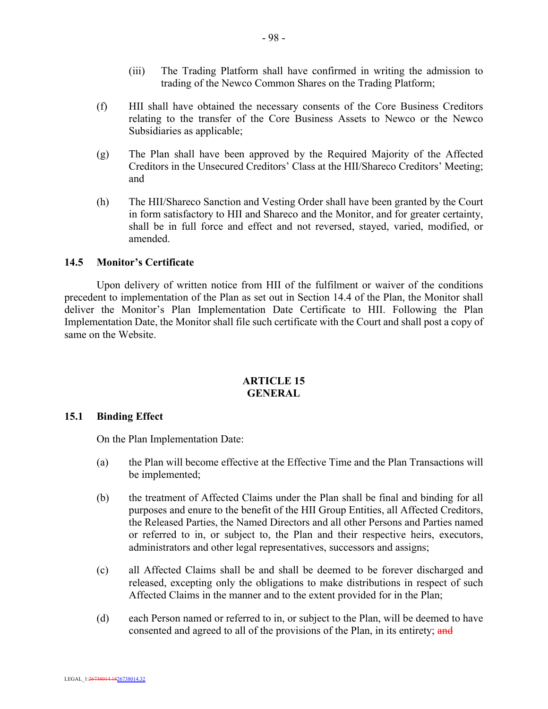- (iii) The Trading Platform shall have confirmed in writing the admission to trading of the Newco Common Shares on the Trading Platform;
- (f) HII shall have obtained the necessary consents of the Core Business Creditors relating to the transfer of the Core Business Assets to Newco or the Newco Subsidiaries as applicable;
- (g) The Plan shall have been approved by the Required Majority of the Affected Creditors in the Unsecured Creditors' Class at the HII/Shareco Creditors' Meeting; and
- (h) The HII/Shareco Sanction and Vesting Order shall have been granted by the Court in form satisfactory to HII and Shareco and the Monitor, and for greater certainty, shall be in full force and effect and not reversed, stayed, varied, modified, or amended.

## **14.5 Monitor's Certificate**

Upon delivery of written notice from HII of the fulfilment or waiver of the conditions precedent to implementation of the Plan as set out in Section 14.4 of the Plan, the Monitor shall deliver the Monitor's Plan Implementation Date Certificate to HII. Following the Plan Implementation Date, the Monitor shall file such certificate with the Court and shall post a copy of same on the Website.

# **ARTICLE 15 GENERAL**

#### **15.1 Binding Effect**

On the Plan Implementation Date:

- (a) the Plan will become effective at the Effective Time and the Plan Transactions will be implemented;
- (b) the treatment of Affected Claims under the Plan shall be final and binding for all purposes and enure to the benefit of the HII Group Entities, all Affected Creditors, the Released Parties, the Named Directors and all other Persons and Parties named or referred to in, or subject to, the Plan and their respective heirs, executors, administrators and other legal representatives, successors and assigns;
- (c) all Affected Claims shall be and shall be deemed to be forever discharged and released, excepting only the obligations to make distributions in respect of such Affected Claims in the manner and to the extent provided for in the Plan;
- (d) each Person named or referred to in, or subject to the Plan, will be deemed to have consented and agreed to all of the provisions of the Plan, in its entirety; and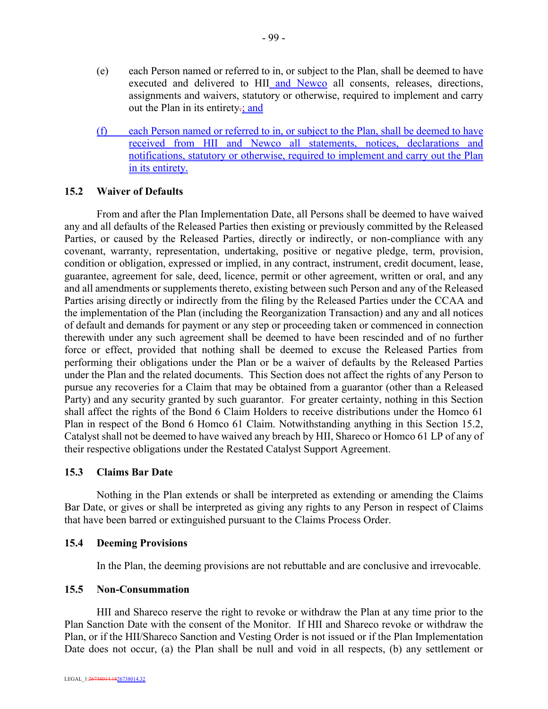- (e) each Person named or referred to in, or subject to the Plan, shall be deemed to have executed and delivered to HII and Newco all consents, releases, directions, assignments and waivers, statutory or otherwise, required to implement and carry out the Plan in its entirety-; and
- (f) each Person named or referred to in, or subject to the Plan, shall be deemed to have received from HII and Newco all statements, notices, declarations and notifications, statutory or otherwise, required to implement and carry out the Plan in its entirety.

# **15.2 Waiver of Defaults**

From and after the Plan Implementation Date, all Persons shall be deemed to have waived any and all defaults of the Released Parties then existing or previously committed by the Released Parties, or caused by the Released Parties, directly or indirectly, or non-compliance with any covenant, warranty, representation, undertaking, positive or negative pledge, term, provision, condition or obligation, expressed or implied, in any contract, instrument, credit document, lease, guarantee, agreement for sale, deed, licence, permit or other agreement, written or oral, and any and all amendments or supplements thereto, existing between such Person and any of the Released Parties arising directly or indirectly from the filing by the Released Parties under the CCAA and the implementation of the Plan (including the Reorganization Transaction) and any and all notices of default and demands for payment or any step or proceeding taken or commenced in connection therewith under any such agreement shall be deemed to have been rescinded and of no further force or effect, provided that nothing shall be deemed to excuse the Released Parties from performing their obligations under the Plan or be a waiver of defaults by the Released Parties under the Plan and the related documents. This Section does not affect the rights of any Person to pursue any recoveries for a Claim that may be obtained from a guarantor (other than a Released Party) and any security granted by such guarantor. For greater certainty, nothing in this Section shall affect the rights of the Bond 6 Claim Holders to receive distributions under the Homco 61 Plan in respect of the Bond 6 Homco 61 Claim. Notwithstanding anything in this Section 15.2, Catalyst shall not be deemed to have waived any breach by HII, Shareco or Homco 61 LP of any of their respective obligations under the Restated Catalyst Support Agreement.

# **15.3 Claims Bar Date**

Nothing in the Plan extends or shall be interpreted as extending or amending the Claims Bar Date, or gives or shall be interpreted as giving any rights to any Person in respect of Claims that have been barred or extinguished pursuant to the Claims Process Order.

#### **15.4 Deeming Provisions**

In the Plan, the deeming provisions are not rebuttable and are conclusive and irrevocable.

#### **15.5 Non-Consummation**

HII and Shareco reserve the right to revoke or withdraw the Plan at any time prior to the Plan Sanction Date with the consent of the Monitor. If HII and Shareco revoke or withdraw the Plan, or if the HII/Shareco Sanction and Vesting Order is not issued or if the Plan Implementation Date does not occur, (a) the Plan shall be null and void in all respects, (b) any settlement or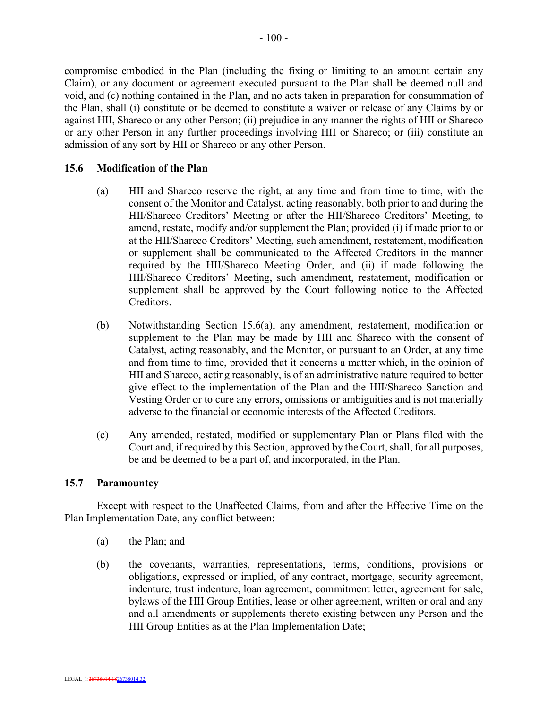compromise embodied in the Plan (including the fixing or limiting to an amount certain any Claim), or any document or agreement executed pursuant to the Plan shall be deemed null and void, and (c) nothing contained in the Plan, and no acts taken in preparation for consummation of the Plan, shall (i) constitute or be deemed to constitute a waiver or release of any Claims by or against HII, Shareco or any other Person; (ii) prejudice in any manner the rights of HII or Shareco or any other Person in any further proceedings involving HII or Shareco; or (iii) constitute an admission of any sort by HII or Shareco or any other Person.

#### **15.6 Modification of the Plan**

- (a) HII and Shareco reserve the right, at any time and from time to time, with the consent of the Monitor and Catalyst, acting reasonably, both prior to and during the HII/Shareco Creditors' Meeting or after the HII/Shareco Creditors' Meeting, to amend, restate, modify and/or supplement the Plan; provided (i) if made prior to or at the HII/Shareco Creditors' Meeting, such amendment, restatement, modification or supplement shall be communicated to the Affected Creditors in the manner required by the HII/Shareco Meeting Order, and (ii) if made following the HII/Shareco Creditors' Meeting, such amendment, restatement, modification or supplement shall be approved by the Court following notice to the Affected **Creditors**
- (b) Notwithstanding Section 15.6(a), any amendment, restatement, modification or supplement to the Plan may be made by HII and Shareco with the consent of Catalyst, acting reasonably, and the Monitor, or pursuant to an Order, at any time and from time to time, provided that it concerns a matter which, in the opinion of HII and Shareco, acting reasonably, is of an administrative nature required to better give effect to the implementation of the Plan and the HII/Shareco Sanction and Vesting Order or to cure any errors, omissions or ambiguities and is not materially adverse to the financial or economic interests of the Affected Creditors.
- (c) Any amended, restated, modified or supplementary Plan or Plans filed with the Court and, if required by this Section, approved by the Court, shall, for all purposes, be and be deemed to be a part of, and incorporated, in the Plan.

#### **15.7 Paramountcy**

Except with respect to the Unaffected Claims, from and after the Effective Time on the Plan Implementation Date, any conflict between:

- (a) the Plan; and
- (b) the covenants, warranties, representations, terms, conditions, provisions or obligations, expressed or implied, of any contract, mortgage, security agreement, indenture, trust indenture, loan agreement, commitment letter, agreement for sale, bylaws of the HII Group Entities, lease or other agreement, written or oral and any and all amendments or supplements thereto existing between any Person and the HII Group Entities as at the Plan Implementation Date;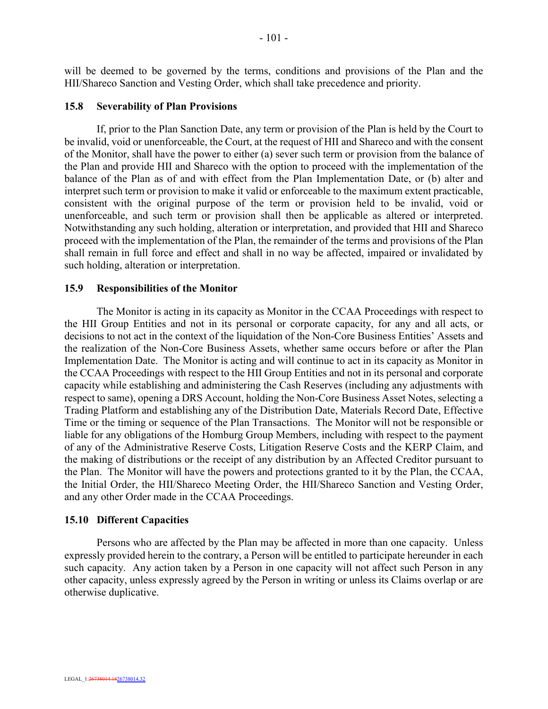will be deemed to be governed by the terms, conditions and provisions of the Plan and the HII/Shareco Sanction and Vesting Order, which shall take precedence and priority.

## **15.8 Severability of Plan Provisions**

If, prior to the Plan Sanction Date, any term or provision of the Plan is held by the Court to be invalid, void or unenforceable, the Court, at the request of HII and Shareco and with the consent of the Monitor, shall have the power to either (a) sever such term or provision from the balance of the Plan and provide HII and Shareco with the option to proceed with the implementation of the balance of the Plan as of and with effect from the Plan Implementation Date, or (b) alter and interpret such term or provision to make it valid or enforceable to the maximum extent practicable, consistent with the original purpose of the term or provision held to be invalid, void or unenforceable, and such term or provision shall then be applicable as altered or interpreted. Notwithstanding any such holding, alteration or interpretation, and provided that HII and Shareco proceed with the implementation of the Plan, the remainder of the terms and provisions of the Plan shall remain in full force and effect and shall in no way be affected, impaired or invalidated by such holding, alteration or interpretation.

#### **15.9 Responsibilities of the Monitor**

The Monitor is acting in its capacity as Monitor in the CCAA Proceedings with respect to the HII Group Entities and not in its personal or corporate capacity, for any and all acts, or decisions to not act in the context of the liquidation of the Non-Core Business Entities' Assets and the realization of the Non-Core Business Assets, whether same occurs before or after the Plan Implementation Date. The Monitor is acting and will continue to act in its capacity as Monitor in the CCAA Proceedings with respect to the HII Group Entities and not in its personal and corporate capacity while establishing and administering the Cash Reserves (including any adjustments with respect to same), opening a DRS Account, holding the Non-Core Business Asset Notes, selecting a Trading Platform and establishing any of the Distribution Date, Materials Record Date, Effective Time or the timing or sequence of the Plan Transactions. The Monitor will not be responsible or liable for any obligations of the Homburg Group Members, including with respect to the payment of any of the Administrative Reserve Costs, Litigation Reserve Costs and the KERP Claim, and the making of distributions or the receipt of any distribution by an Affected Creditor pursuant to the Plan. The Monitor will have the powers and protections granted to it by the Plan, the CCAA, the Initial Order, the HII/Shareco Meeting Order, the HII/Shareco Sanction and Vesting Order, and any other Order made in the CCAA Proceedings.

# **15.10 Different Capacities**

Persons who are affected by the Plan may be affected in more than one capacity. Unless expressly provided herein to the contrary, a Person will be entitled to participate hereunder in each such capacity. Any action taken by a Person in one capacity will not affect such Person in any other capacity, unless expressly agreed by the Person in writing or unless its Claims overlap or are otherwise duplicative.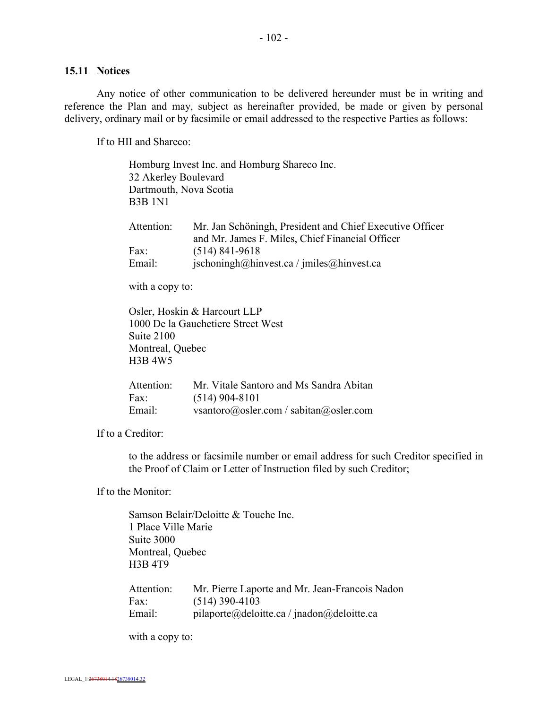Any notice of other communication to be delivered hereunder must be in writing and reference the Plan and may, subject as hereinafter provided, be made or given by personal delivery, ordinary mail or by facsimile or email addressed to the respective Parties as follows:

If to HII and Shareco:

| 32 Akerley Boulevard<br>Dartmouth, Nova Scotia<br><b>B3B</b> 1N1 | Homburg Invest Inc. and Homburg Shareco Inc.                                                                |
|------------------------------------------------------------------|-------------------------------------------------------------------------------------------------------------|
| Attention:                                                       | Mr. Jan Schöningh, President and Chief Executive Officer<br>and Mr. James F. Miles, Chief Financial Officer |
| Fax:                                                             | $(514)$ 841-9618                                                                                            |
| Email:                                                           | $ischoningh(\partial)$ hinvest.ca / jmiles $(\partial)$ hinvest.ca                                          |

with a copy to:

Osler, Hoskin & Harcourt LLP 1000 De la Gauchetiere Street West Suite 2100 Montreal, Quebec H3B 4W5

| Attention: | Mr. Vitale Santoro and Ms Sandra Abitan |
|------------|-----------------------------------------|
| Fax:       | $(514)$ 904-8101                        |
| Email:     | vsantoro@osler.com / sabitan@osler.com  |

If to a Creditor:

to the address or facsimile number or email address for such Creditor specified in the Proof of Claim or Letter of Instruction filed by such Creditor;

If to the Monitor:

Samson Belair/Deloitte & Touche Inc. 1 Place Ville Marie Suite 3000 Montreal, Quebec H3B 4T9 Attention: Mr. Pierre Laporte and Mr. Jean-Francois Nadon

| Attention: | Mr. Pierre Laporte and Mr. Jean-Francois Nadon |
|------------|------------------------------------------------|
| Fax:       | $(514)$ 390-4103                               |
| Email:     | pilaporte@deloitte.ca/jnadon@deloitte.ca       |

with a copy to: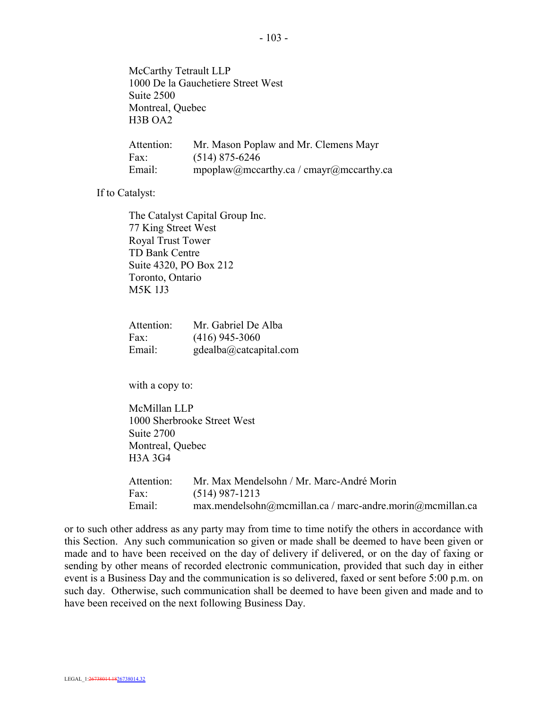McCarthy Tetrault LLP 1000 De la Gauchetiere Street West Suite 2500 Montreal, Quebec H3B OA2

| Attention: | Mr. Mason Poplaw and Mr. Clemens Mayr   |
|------------|-----------------------------------------|
| Fax:       | $(514)$ 875-6246                        |
| Email:     | mpoplaw@mccarthy.ca / cmayr@mccarthy.ca |

If to Catalyst:

The Catalyst Capital Group Inc. 77 King Street West Royal Trust Tower TD Bank Centre Suite 4320, PO Box 212 Toronto, Ontario M5K 1J3

| Attention: | Mr. Gabriel De Alba    |
|------------|------------------------|
| Fax:       | $(416)$ 945-3060       |
| Email:     | gdealba@catcapital.com |

with a copy to:

McMillan LLP 1000 Sherbrooke Street West Suite 2700 Montreal, Quebec H3A 3G4

| Attention: | Mr. Max Mendelsohn / Mr. Marc-André Morin                    |
|------------|--------------------------------------------------------------|
| Fax:       | $(514)$ 987-1213                                             |
| Email:     | $max$ .mendelsohn@mcmillan.ca / marc-andre.morin@mcmillan.ca |

or to such other address as any party may from time to time notify the others in accordance with this Section. Any such communication so given or made shall be deemed to have been given or made and to have been received on the day of delivery if delivered, or on the day of faxing or sending by other means of recorded electronic communication, provided that such day in either event is a Business Day and the communication is so delivered, faxed or sent before 5:00 p.m. on such day. Otherwise, such communication shall be deemed to have been given and made and to have been received on the next following Business Day.